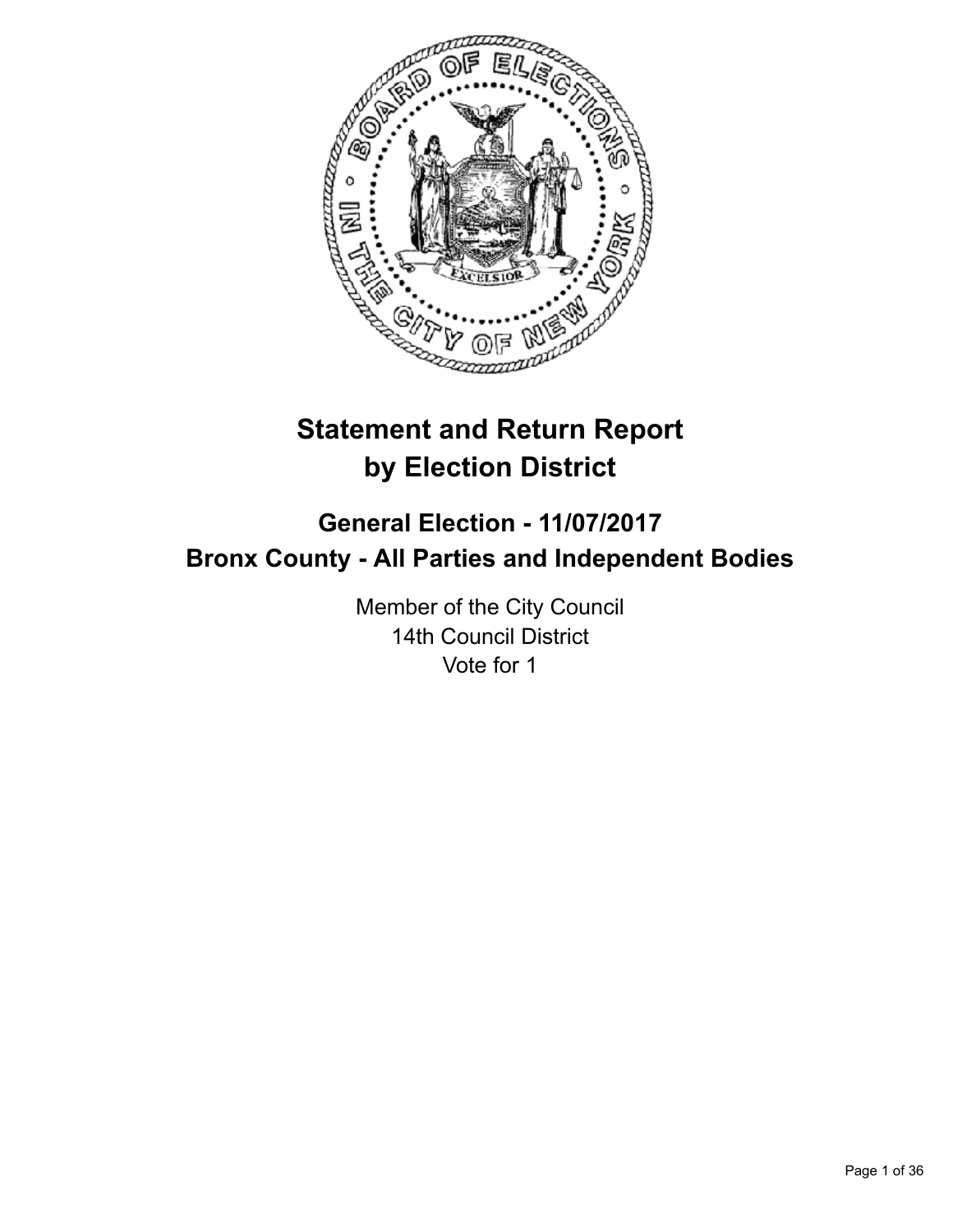

# **Statement and Return Report by Election District**

# **General Election - 11/07/2017 Bronx County - All Parties and Independent Bodies**

Member of the City Council 14th Council District Vote for 1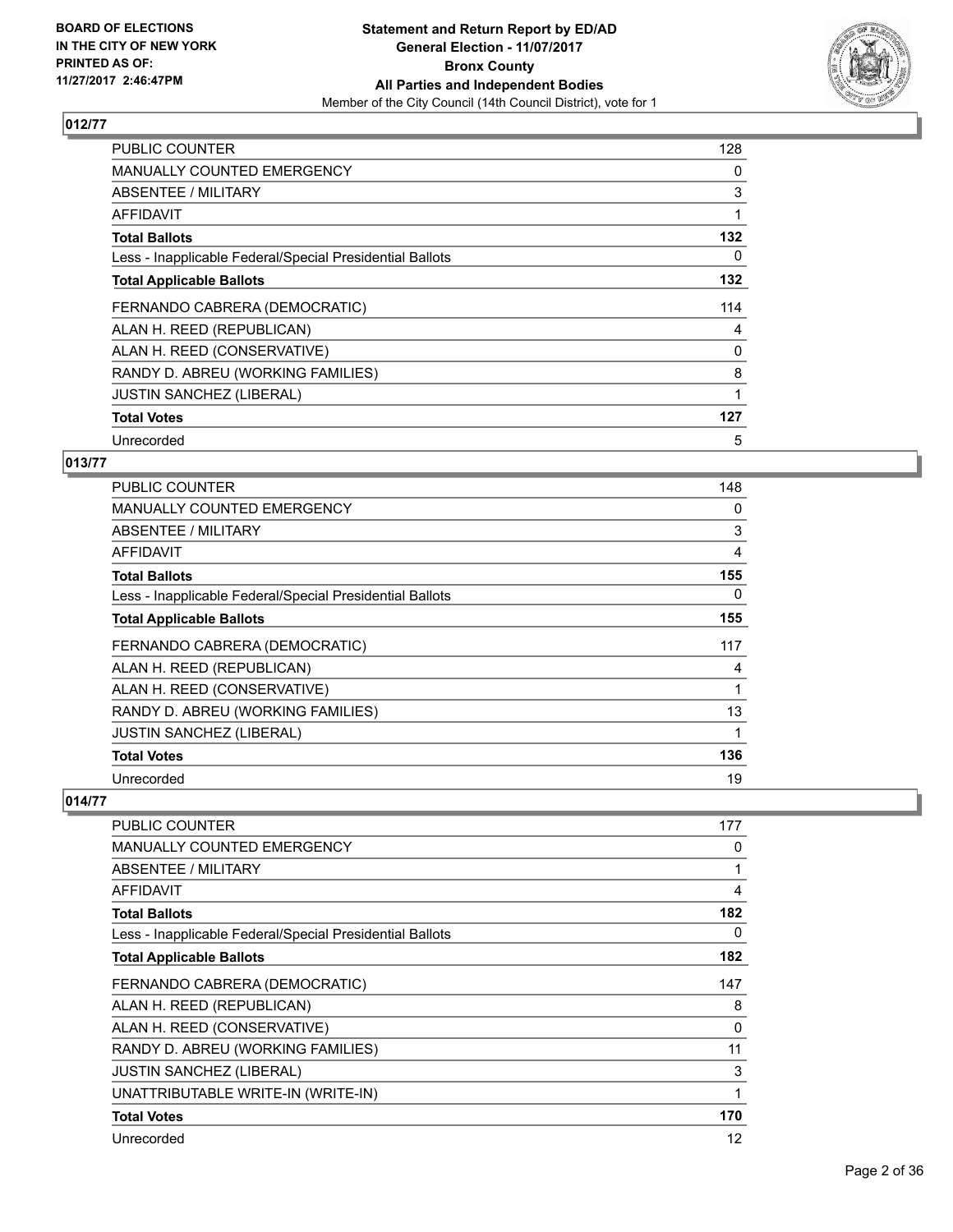

| <b>PUBLIC COUNTER</b>                                    | 128 |
|----------------------------------------------------------|-----|
| <b>MANUALLY COUNTED EMERGENCY</b>                        | 0   |
| <b>ABSENTEE / MILITARY</b>                               | 3   |
| AFFIDAVIT                                                |     |
| <b>Total Ballots</b>                                     | 132 |
| Less - Inapplicable Federal/Special Presidential Ballots | 0   |
| <b>Total Applicable Ballots</b>                          | 132 |
| FERNANDO CABRERA (DEMOCRATIC)                            | 114 |
| ALAN H. REED (REPUBLICAN)                                | 4   |
| ALAN H. REED (CONSERVATIVE)                              | 0   |
| RANDY D. ABREU (WORKING FAMILIES)                        | 8   |
| <b>JUSTIN SANCHEZ (LIBERAL)</b>                          | 1   |
| <b>Total Votes</b>                                       | 127 |
| Unrecorded                                               | 5   |

## **013/77**

| <b>PUBLIC COUNTER</b>                                    | 148 |
|----------------------------------------------------------|-----|
| <b>MANUALLY COUNTED EMERGENCY</b>                        | 0   |
| ABSENTEE / MILITARY                                      | 3   |
| AFFIDAVIT                                                | 4   |
| <b>Total Ballots</b>                                     | 155 |
| Less - Inapplicable Federal/Special Presidential Ballots | 0   |
| <b>Total Applicable Ballots</b>                          | 155 |
| FERNANDO CABRERA (DEMOCRATIC)                            | 117 |
| ALAN H. REED (REPUBLICAN)                                | 4   |
| ALAN H. REED (CONSERVATIVE)                              |     |
| RANDY D. ABREU (WORKING FAMILIES)                        | 13  |
| <b>JUSTIN SANCHEZ (LIBERAL)</b>                          |     |
| <b>Total Votes</b>                                       | 136 |
| Unrecorded                                               | 19  |

| PUBLIC COUNTER                                           | 177 |
|----------------------------------------------------------|-----|
| <b>MANUALLY COUNTED EMERGENCY</b>                        | 0   |
| <b>ABSENTEE / MILITARY</b>                               | 1   |
| <b>AFFIDAVIT</b>                                         | 4   |
| <b>Total Ballots</b>                                     | 182 |
| Less - Inapplicable Federal/Special Presidential Ballots | 0   |
| <b>Total Applicable Ballots</b>                          | 182 |
| FERNANDO CABRERA (DEMOCRATIC)                            | 147 |
| ALAN H. REED (REPUBLICAN)                                | 8   |
| ALAN H. REED (CONSERVATIVE)                              | 0   |
| RANDY D. ABREU (WORKING FAMILIES)                        | 11  |
| <b>JUSTIN SANCHEZ (LIBERAL)</b>                          | 3   |
| UNATTRIBUTABLE WRITE-IN (WRITE-IN)                       | 1   |
| <b>Total Votes</b>                                       | 170 |
| Unrecorded                                               | 12  |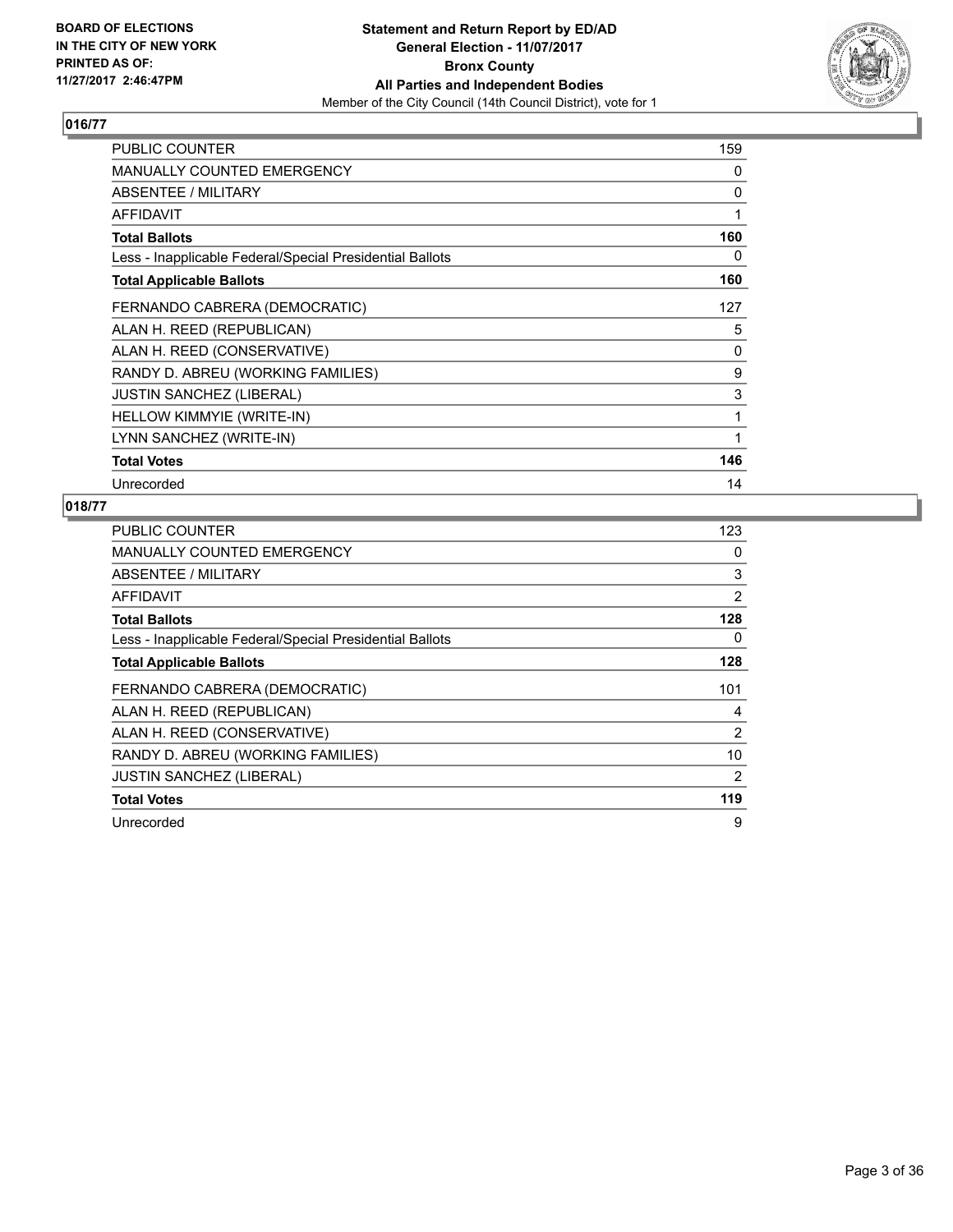

| PUBLIC COUNTER                                           | 159 |
|----------------------------------------------------------|-----|
| <b>MANUALLY COUNTED EMERGENCY</b>                        | 0   |
| ABSENTEE / MILITARY                                      | 0   |
| AFFIDAVIT                                                | 1   |
| <b>Total Ballots</b>                                     | 160 |
| Less - Inapplicable Federal/Special Presidential Ballots | 0   |
| <b>Total Applicable Ballots</b>                          | 160 |
| FERNANDO CABRERA (DEMOCRATIC)                            | 127 |
| ALAN H. REED (REPUBLICAN)                                | 5   |
| ALAN H. REED (CONSERVATIVE)                              | 0   |
| RANDY D. ABREU (WORKING FAMILIES)                        | 9   |
| <b>JUSTIN SANCHEZ (LIBERAL)</b>                          | 3   |
| HELLOW KIMMYIE (WRITE-IN)                                | 1   |
| LYNN SANCHEZ (WRITE-IN)                                  | 1   |
| <b>Total Votes</b>                                       | 146 |
| Unrecorded                                               | 14  |

| <b>PUBLIC COUNTER</b>                                    | 123            |
|----------------------------------------------------------|----------------|
| <b>MANUALLY COUNTED EMERGENCY</b>                        | 0              |
| <b>ABSENTEE / MILITARY</b>                               | 3              |
| AFFIDAVIT                                                | 2              |
| <b>Total Ballots</b>                                     | 128            |
| Less - Inapplicable Federal/Special Presidential Ballots | 0              |
| <b>Total Applicable Ballots</b>                          | 128            |
| FERNANDO CABRERA (DEMOCRATIC)                            | 101            |
| ALAN H. REED (REPUBLICAN)                                | 4              |
| ALAN H. REED (CONSERVATIVE)                              | 2              |
| RANDY D. ABREU (WORKING FAMILIES)                        | 10             |
| <b>JUSTIN SANCHEZ (LIBERAL)</b>                          | $\overline{2}$ |
| <b>Total Votes</b>                                       | 119            |
|                                                          |                |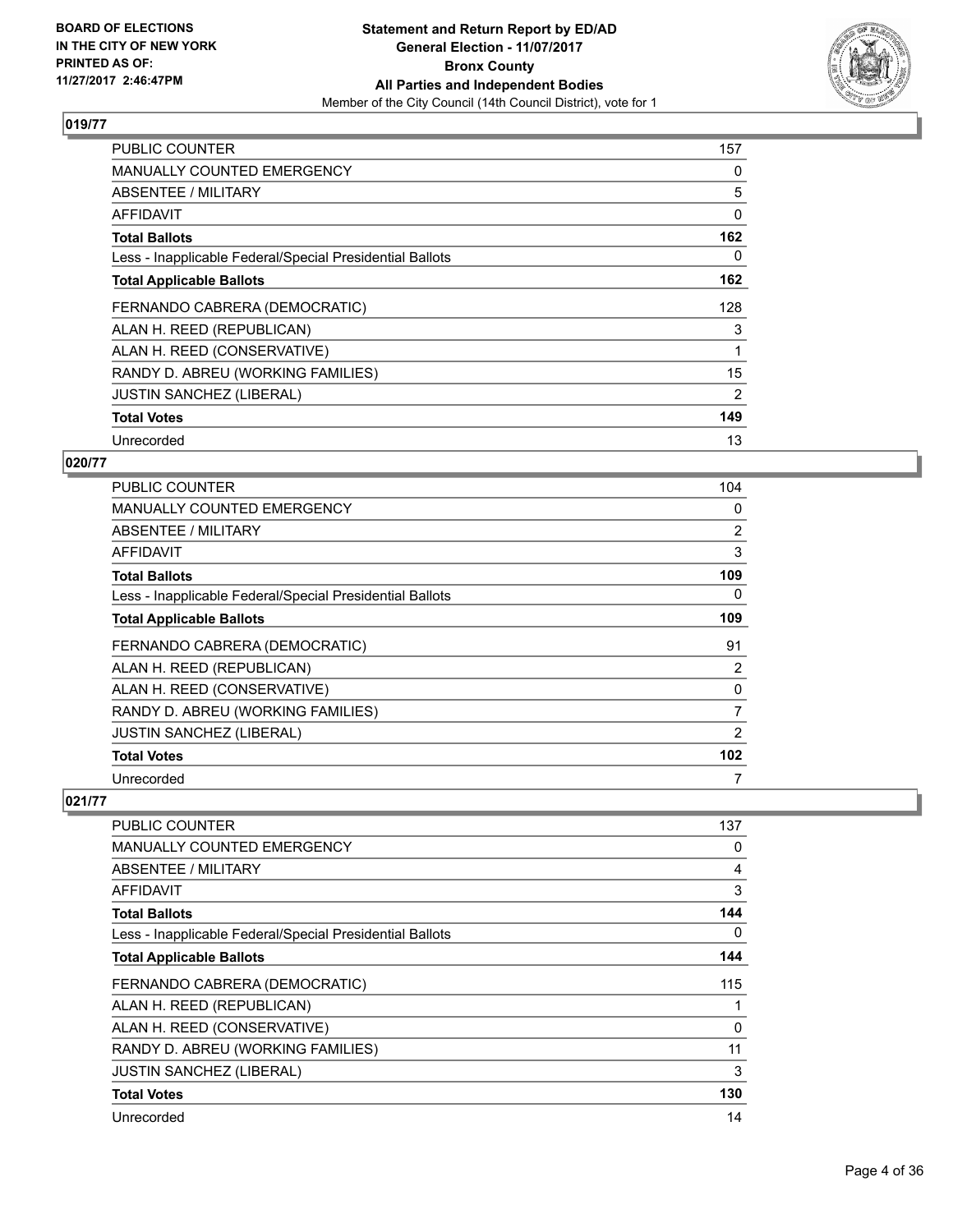

| <b>PUBLIC COUNTER</b>                                    | 157 |
|----------------------------------------------------------|-----|
| <b>MANUALLY COUNTED EMERGENCY</b>                        | 0   |
| ABSENTEE / MILITARY                                      | 5   |
| AFFIDAVIT                                                | 0   |
| <b>Total Ballots</b>                                     | 162 |
| Less - Inapplicable Federal/Special Presidential Ballots | 0   |
| <b>Total Applicable Ballots</b>                          | 162 |
| FERNANDO CABRERA (DEMOCRATIC)                            | 128 |
| ALAN H. REED (REPUBLICAN)                                | 3   |
| ALAN H. REED (CONSERVATIVE)                              |     |
| RANDY D. ABREU (WORKING FAMILIES)                        | 15  |
| <b>JUSTIN SANCHEZ (LIBERAL)</b>                          | 2   |
| <b>Total Votes</b>                                       | 149 |
| Unrecorded                                               | 13  |

## **020/77**

| <b>PUBLIC COUNTER</b>                                    | 104            |
|----------------------------------------------------------|----------------|
| <b>MANUALLY COUNTED EMERGENCY</b>                        | 0              |
| ABSENTEE / MILITARY                                      | $\overline{2}$ |
| AFFIDAVIT                                                | 3              |
| <b>Total Ballots</b>                                     | 109            |
| Less - Inapplicable Federal/Special Presidential Ballots | 0              |
| <b>Total Applicable Ballots</b>                          | 109            |
| FERNANDO CABRERA (DEMOCRATIC)                            | 91             |
| ALAN H. REED (REPUBLICAN)                                | 2              |
| ALAN H. REED (CONSERVATIVE)                              | 0              |
| RANDY D. ABREU (WORKING FAMILIES)                        | 7              |
| <b>JUSTIN SANCHEZ (LIBERAL)</b>                          | 2              |
| <b>Total Votes</b>                                       | 102            |
| Unrecorded                                               | 7              |

| <b>PUBLIC COUNTER</b>                                    | 137 |
|----------------------------------------------------------|-----|
| <b>MANUALLY COUNTED EMERGENCY</b>                        | 0   |
| <b>ABSENTEE / MILITARY</b>                               | 4   |
| <b>AFFIDAVIT</b>                                         | 3   |
| <b>Total Ballots</b>                                     | 144 |
| Less - Inapplicable Federal/Special Presidential Ballots | 0   |
| <b>Total Applicable Ballots</b>                          | 144 |
| FERNANDO CABRERA (DEMOCRATIC)                            | 115 |
| ALAN H. REED (REPUBLICAN)                                |     |
| ALAN H. REED (CONSERVATIVE)                              | 0   |
| RANDY D. ABREU (WORKING FAMILIES)                        | 11  |
| <b>JUSTIN SANCHEZ (LIBERAL)</b>                          | 3   |
| <b>Total Votes</b>                                       | 130 |
| Unrecorded                                               | 14  |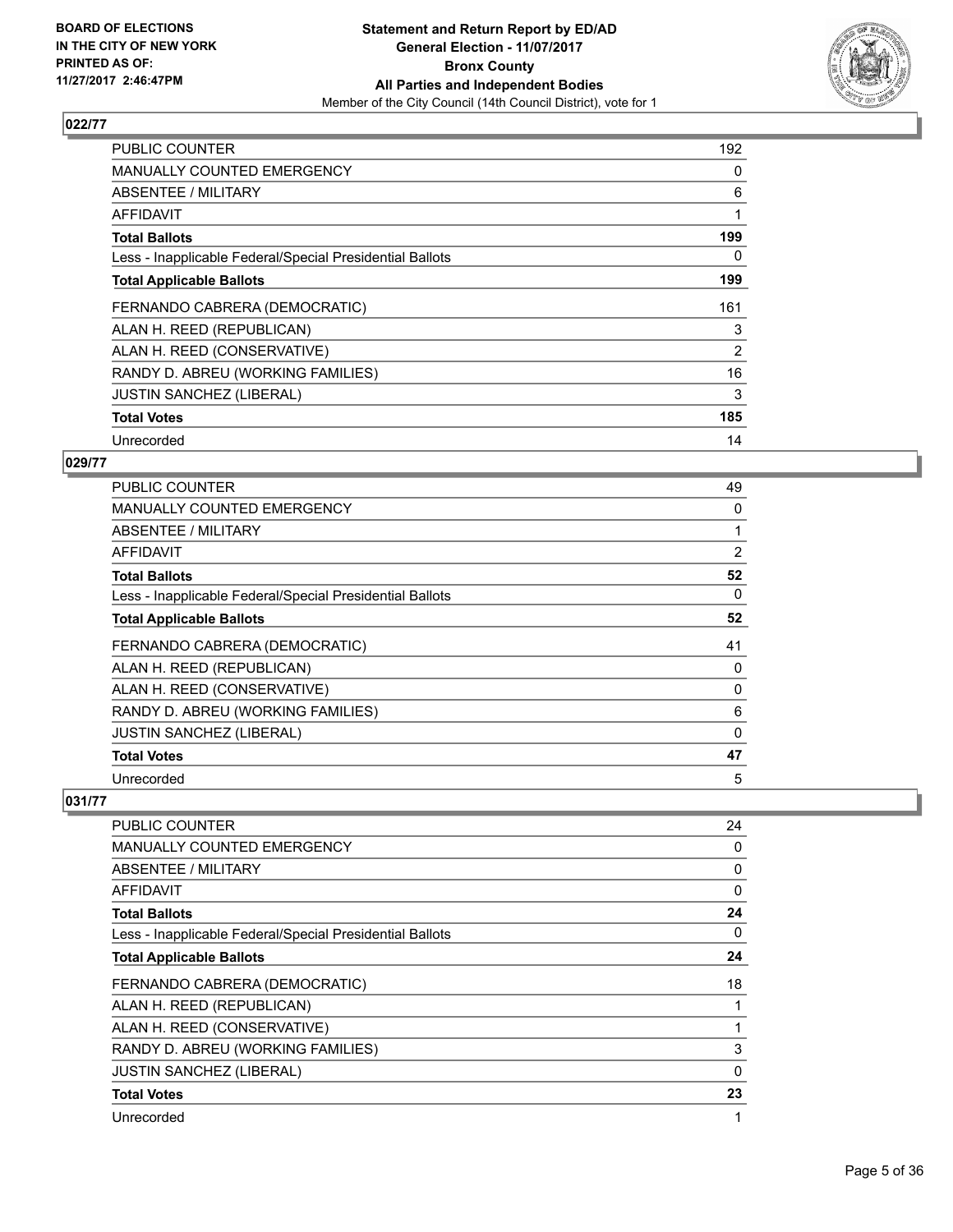

| <b>PUBLIC COUNTER</b>                                    | 192 |
|----------------------------------------------------------|-----|
| <b>MANUALLY COUNTED EMERGENCY</b>                        | 0   |
| <b>ABSENTEE / MILITARY</b>                               | 6   |
| AFFIDAVIT                                                |     |
| <b>Total Ballots</b>                                     | 199 |
| Less - Inapplicable Federal/Special Presidential Ballots | 0   |
| <b>Total Applicable Ballots</b>                          | 199 |
| FERNANDO CABRERA (DEMOCRATIC)                            | 161 |
| ALAN H. REED (REPUBLICAN)                                | 3   |
| ALAN H. REED (CONSERVATIVE)                              | 2   |
| RANDY D. ABREU (WORKING FAMILIES)                        | 16  |
| <b>JUSTIN SANCHEZ (LIBERAL)</b>                          | 3   |
| <b>Total Votes</b>                                       | 185 |
| Unrecorded                                               | 14  |

## **029/77**

| PUBLIC COUNTER                                           | 49       |
|----------------------------------------------------------|----------|
| <b>MANUALLY COUNTED EMERGENCY</b>                        | 0        |
| ABSENTEE / MILITARY                                      |          |
| AFFIDAVIT                                                | 2        |
| <b>Total Ballots</b>                                     | 52       |
| Less - Inapplicable Federal/Special Presidential Ballots | 0        |
| <b>Total Applicable Ballots</b>                          | 52       |
| FERNANDO CABRERA (DEMOCRATIC)                            | 41       |
| ALAN H. REED (REPUBLICAN)                                | 0        |
| ALAN H. REED (CONSERVATIVE)                              | 0        |
| RANDY D. ABREU (WORKING FAMILIES)                        | 6        |
| JUSTIN SANCHEZ (LIBERAL)                                 | $\Omega$ |
| <b>Total Votes</b>                                       | 47       |
| Unrecorded                                               | 5        |

| PUBLIC COUNTER                                           | 24       |
|----------------------------------------------------------|----------|
| <b>MANUALLY COUNTED EMERGENCY</b>                        | 0        |
| ABSENTEE / MILITARY                                      | 0        |
| AFFIDAVIT                                                | 0        |
| <b>Total Ballots</b>                                     | 24       |
| Less - Inapplicable Federal/Special Presidential Ballots | 0        |
| <b>Total Applicable Ballots</b>                          | 24       |
| FERNANDO CABRERA (DEMOCRATIC)                            | 18       |
| ALAN H. REED (REPUBLICAN)                                | 1        |
| ALAN H. REED (CONSERVATIVE)                              | 1        |
| RANDY D. ABREU (WORKING FAMILIES)                        | 3        |
| <b>JUSTIN SANCHEZ (LIBERAL)</b>                          | $\Omega$ |
| <b>Total Votes</b>                                       | 23       |
| Unrecorded                                               | 1        |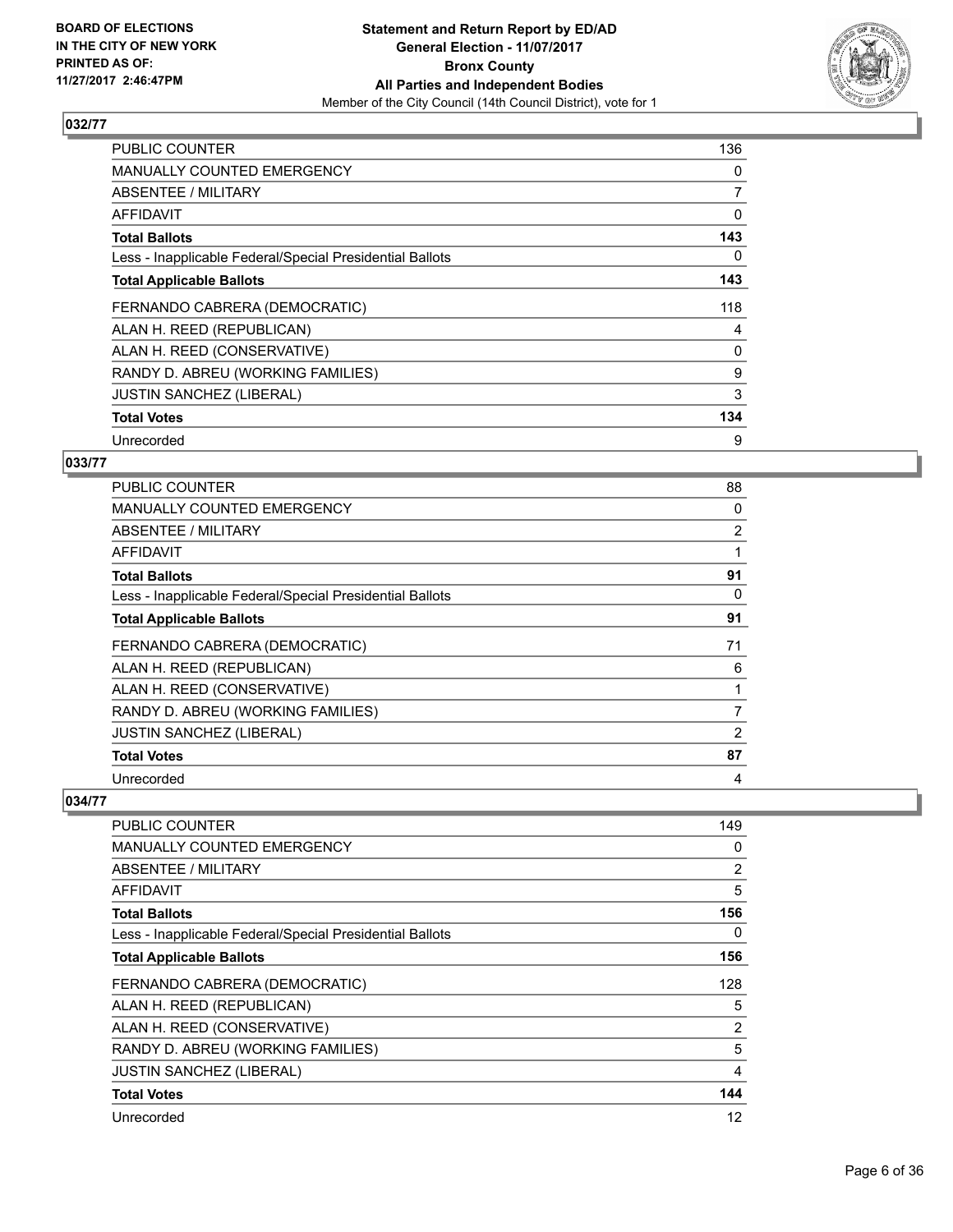

| <b>PUBLIC COUNTER</b>                                    | 136 |
|----------------------------------------------------------|-----|
| <b>MANUALLY COUNTED EMERGENCY</b>                        | 0   |
| ABSENTEE / MILITARY                                      | 7   |
| AFFIDAVIT                                                | 0   |
| <b>Total Ballots</b>                                     | 143 |
| Less - Inapplicable Federal/Special Presidential Ballots | 0   |
| <b>Total Applicable Ballots</b>                          | 143 |
| FERNANDO CABRERA (DEMOCRATIC)                            | 118 |
| ALAN H. REED (REPUBLICAN)                                | 4   |
| ALAN H. REED (CONSERVATIVE)                              | 0   |
| RANDY D. ABREU (WORKING FAMILIES)                        | 9   |
| <b>JUSTIN SANCHEZ (LIBERAL)</b>                          | 3   |
| <b>Total Votes</b>                                       | 134 |
| Unrecorded                                               | 9   |

#### **033/77**

| PUBLIC COUNTER                                           | 88             |
|----------------------------------------------------------|----------------|
| <b>MANUALLY COUNTED EMERGENCY</b>                        | 0              |
| ABSENTEE / MILITARY                                      | $\overline{2}$ |
| AFFIDAVIT                                                |                |
| <b>Total Ballots</b>                                     | 91             |
| Less - Inapplicable Federal/Special Presidential Ballots | 0              |
| <b>Total Applicable Ballots</b>                          | 91             |
| FERNANDO CABRERA (DEMOCRATIC)                            | 71             |
| ALAN H. REED (REPUBLICAN)                                | 6              |
| ALAN H. REED (CONSERVATIVE)                              |                |
| RANDY D. ABREU (WORKING FAMILIES)                        | 7              |
| <b>JUSTIN SANCHEZ (LIBERAL)</b>                          | 2              |
| <b>Total Votes</b>                                       | 87             |
| Unrecorded                                               | 4              |

| <b>PUBLIC COUNTER</b>                                    | 149            |
|----------------------------------------------------------|----------------|
| <b>MANUALLY COUNTED EMERGENCY</b>                        | 0              |
| ABSENTEE / MILITARY                                      | $\overline{2}$ |
| AFFIDAVIT                                                | 5              |
| <b>Total Ballots</b>                                     | 156            |
| Less - Inapplicable Federal/Special Presidential Ballots | 0              |
| <b>Total Applicable Ballots</b>                          | 156            |
| FERNANDO CABRERA (DEMOCRATIC)                            | 128            |
| ALAN H. REED (REPUBLICAN)                                | 5              |
| ALAN H. REED (CONSERVATIVE)                              | 2              |
| RANDY D. ABREU (WORKING FAMILIES)                        | 5              |
| <b>JUSTIN SANCHEZ (LIBERAL)</b>                          | 4              |
| <b>Total Votes</b>                                       | 144            |
| Unrecorded                                               | 12             |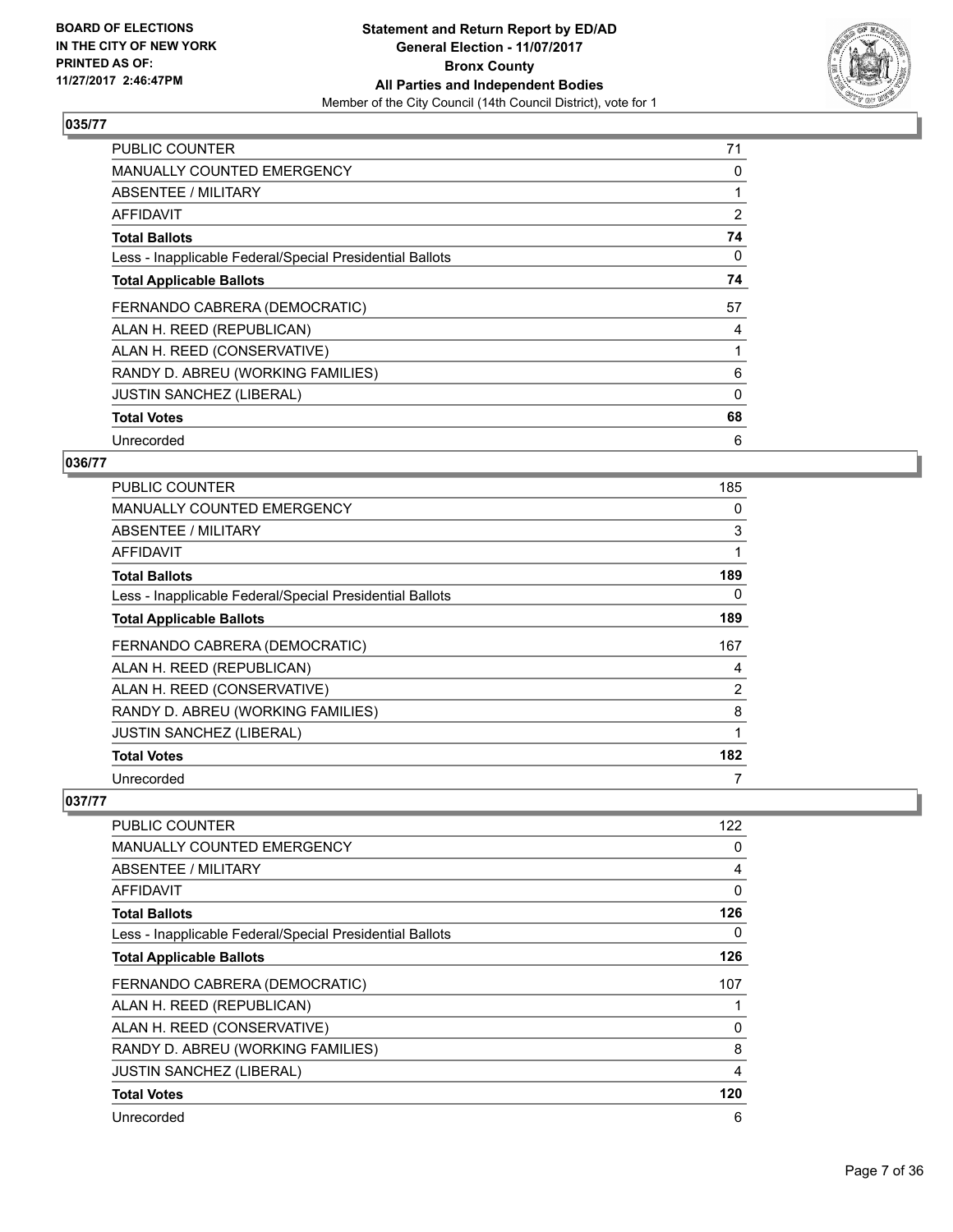

| <b>PUBLIC COUNTER</b>                                    | 71             |
|----------------------------------------------------------|----------------|
| MANUALLY COUNTED EMERGENCY                               | 0              |
| ABSENTEE / MILITARY                                      |                |
| AFFIDAVIT                                                | $\overline{2}$ |
| <b>Total Ballots</b>                                     | 74             |
| Less - Inapplicable Federal/Special Presidential Ballots | 0              |
| <b>Total Applicable Ballots</b>                          | 74             |
| FERNANDO CABRERA (DEMOCRATIC)                            | 57             |
| ALAN H. REED (REPUBLICAN)                                | 4              |
| ALAN H. REED (CONSERVATIVE)                              |                |
| RANDY D. ABREU (WORKING FAMILIES)                        | 6              |
| <b>JUSTIN SANCHEZ (LIBERAL)</b>                          | 0              |
| <b>Total Votes</b>                                       | 68             |
| Unrecorded                                               | 6              |

## **036/77**

| <b>PUBLIC COUNTER</b>                                    | 185            |
|----------------------------------------------------------|----------------|
| <b>MANUALLY COUNTED EMERGENCY</b>                        | 0              |
| ABSENTEE / MILITARY                                      | 3              |
| AFFIDAVIT                                                |                |
| <b>Total Ballots</b>                                     | 189            |
| Less - Inapplicable Federal/Special Presidential Ballots | 0              |
| <b>Total Applicable Ballots</b>                          | 189            |
| FERNANDO CABRERA (DEMOCRATIC)                            | 167            |
| ALAN H. REED (REPUBLICAN)                                | 4              |
| ALAN H. REED (CONSERVATIVE)                              | $\overline{2}$ |
| RANDY D. ABREU (WORKING FAMILIES)                        | 8              |
| JUSTIN SANCHEZ (LIBERAL)                                 | 1              |
| <b>Total Votes</b>                                       | 182            |
| Unrecorded                                               | 7              |

| <b>PUBLIC COUNTER</b>                                    | 122 |
|----------------------------------------------------------|-----|
| <b>MANUALLY COUNTED EMERGENCY</b>                        | 0   |
| ABSENTEE / MILITARY                                      | 4   |
| AFFIDAVIT                                                | 0   |
| <b>Total Ballots</b>                                     | 126 |
| Less - Inapplicable Federal/Special Presidential Ballots | 0   |
| <b>Total Applicable Ballots</b>                          | 126 |
| FERNANDO CABRERA (DEMOCRATIC)                            | 107 |
| ALAN H. REED (REPUBLICAN)                                | 1   |
| ALAN H. REED (CONSERVATIVE)                              | 0   |
| RANDY D. ABREU (WORKING FAMILIES)                        | 8   |
| <b>JUSTIN SANCHEZ (LIBERAL)</b>                          | 4   |
| <b>Total Votes</b>                                       | 120 |
| Unrecorded                                               | 6   |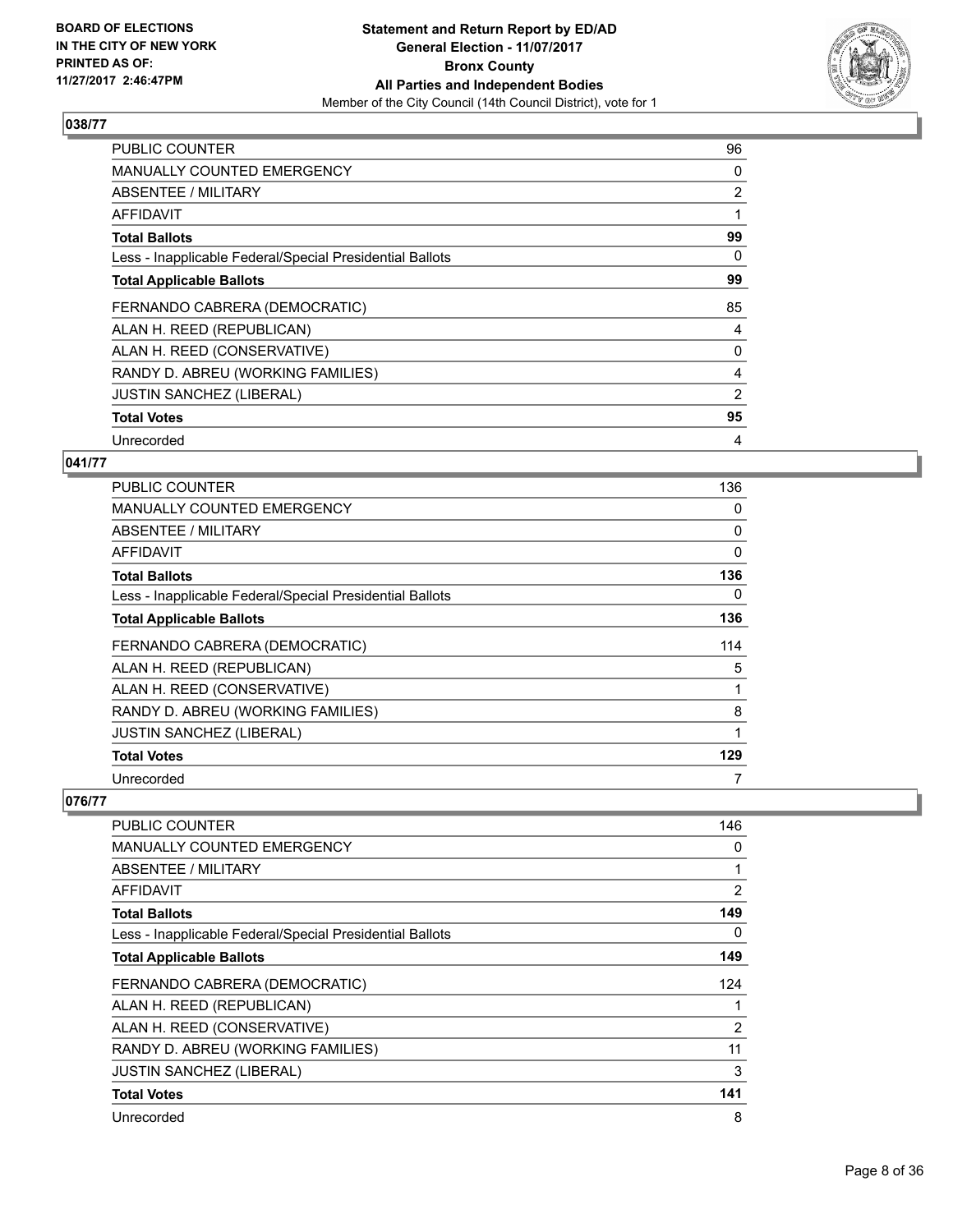

| <b>PUBLIC COUNTER</b>                                    | 96             |
|----------------------------------------------------------|----------------|
| MANUALLY COUNTED EMERGENCY                               | 0              |
| ABSENTEE / MILITARY                                      | $\overline{2}$ |
| AFFIDAVIT                                                |                |
| <b>Total Ballots</b>                                     | 99             |
| Less - Inapplicable Federal/Special Presidential Ballots | 0              |
| <b>Total Applicable Ballots</b>                          | 99             |
| FERNANDO CABRERA (DEMOCRATIC)                            | 85             |
| ALAN H. REED (REPUBLICAN)                                | 4              |
| ALAN H. REED (CONSERVATIVE)                              | 0              |
| RANDY D. ABREU (WORKING FAMILIES)                        | 4              |
| <b>JUSTIN SANCHEZ (LIBERAL)</b>                          | 2              |
| <b>Total Votes</b>                                       | 95             |
| Unrecorded                                               | 4              |

## **041/77**

| PUBLIC COUNTER                                           | 136      |
|----------------------------------------------------------|----------|
| <b>MANUALLY COUNTED EMERGENCY</b>                        | 0        |
| ABSENTEE / MILITARY                                      | 0        |
| AFFIDAVIT                                                | $\Omega$ |
| <b>Total Ballots</b>                                     | 136      |
| Less - Inapplicable Federal/Special Presidential Ballots | 0        |
| <b>Total Applicable Ballots</b>                          | 136      |
| FERNANDO CABRERA (DEMOCRATIC)                            | 114      |
| ALAN H. REED (REPUBLICAN)                                | 5        |
| ALAN H. REED (CONSERVATIVE)                              |          |
| RANDY D. ABREU (WORKING FAMILIES)                        | 8        |
| <b>JUSTIN SANCHEZ (LIBERAL)</b>                          |          |
| <b>Total Votes</b>                                       | 129      |
| Unrecorded                                               | 7        |

| <b>PUBLIC COUNTER</b>                                    | 146 |
|----------------------------------------------------------|-----|
| <b>MANUALLY COUNTED EMERGENCY</b>                        | 0   |
| ABSENTEE / MILITARY                                      | 1   |
| <b>AFFIDAVIT</b>                                         | 2   |
| <b>Total Ballots</b>                                     | 149 |
| Less - Inapplicable Federal/Special Presidential Ballots | 0   |
| <b>Total Applicable Ballots</b>                          | 149 |
| FERNANDO CABRERA (DEMOCRATIC)                            | 124 |
| ALAN H. REED (REPUBLICAN)                                | 1   |
| ALAN H. REED (CONSERVATIVE)                              | 2   |
| RANDY D. ABREU (WORKING FAMILIES)                        | 11  |
| <b>JUSTIN SANCHEZ (LIBERAL)</b>                          | 3   |
| <b>Total Votes</b>                                       | 141 |
| Unrecorded                                               | 8   |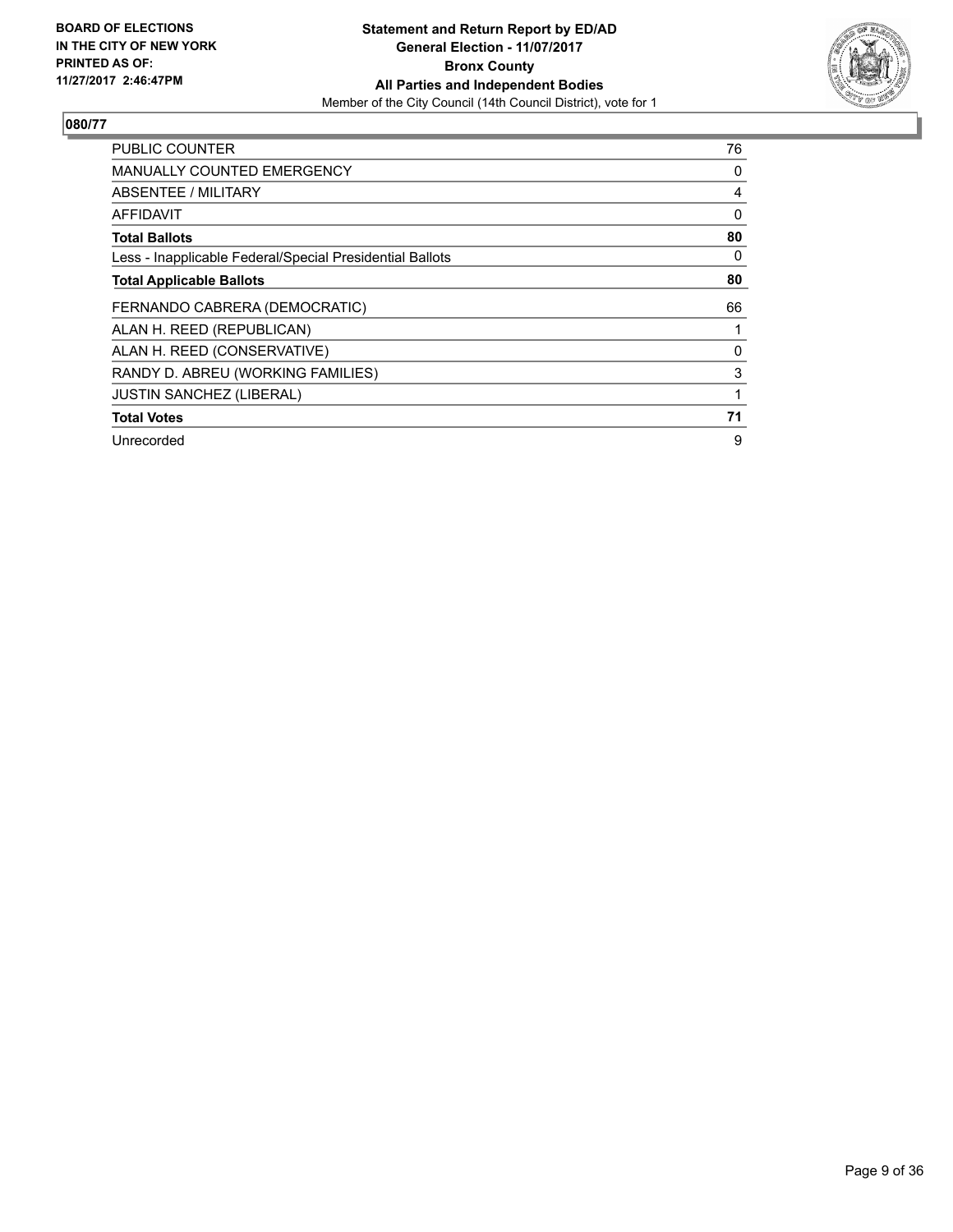

| <b>PUBLIC COUNTER</b>                                    | 76 |
|----------------------------------------------------------|----|
| <b>MANUALLY COUNTED EMERGENCY</b>                        | 0  |
| ABSENTEE / MILITARY                                      | 4  |
| AFFIDAVIT                                                | 0  |
| <b>Total Ballots</b>                                     | 80 |
| Less - Inapplicable Federal/Special Presidential Ballots | 0  |
| <b>Total Applicable Ballots</b>                          | 80 |
| FERNANDO CABRERA (DEMOCRATIC)                            | 66 |
| ALAN H. REED (REPUBLICAN)                                |    |
| ALAN H. REED (CONSERVATIVE)                              | 0  |
| RANDY D. ABREU (WORKING FAMILIES)                        | 3  |
| <b>JUSTIN SANCHEZ (LIBERAL)</b>                          |    |
| <b>Total Votes</b>                                       | 71 |
| Unrecorded                                               | 9  |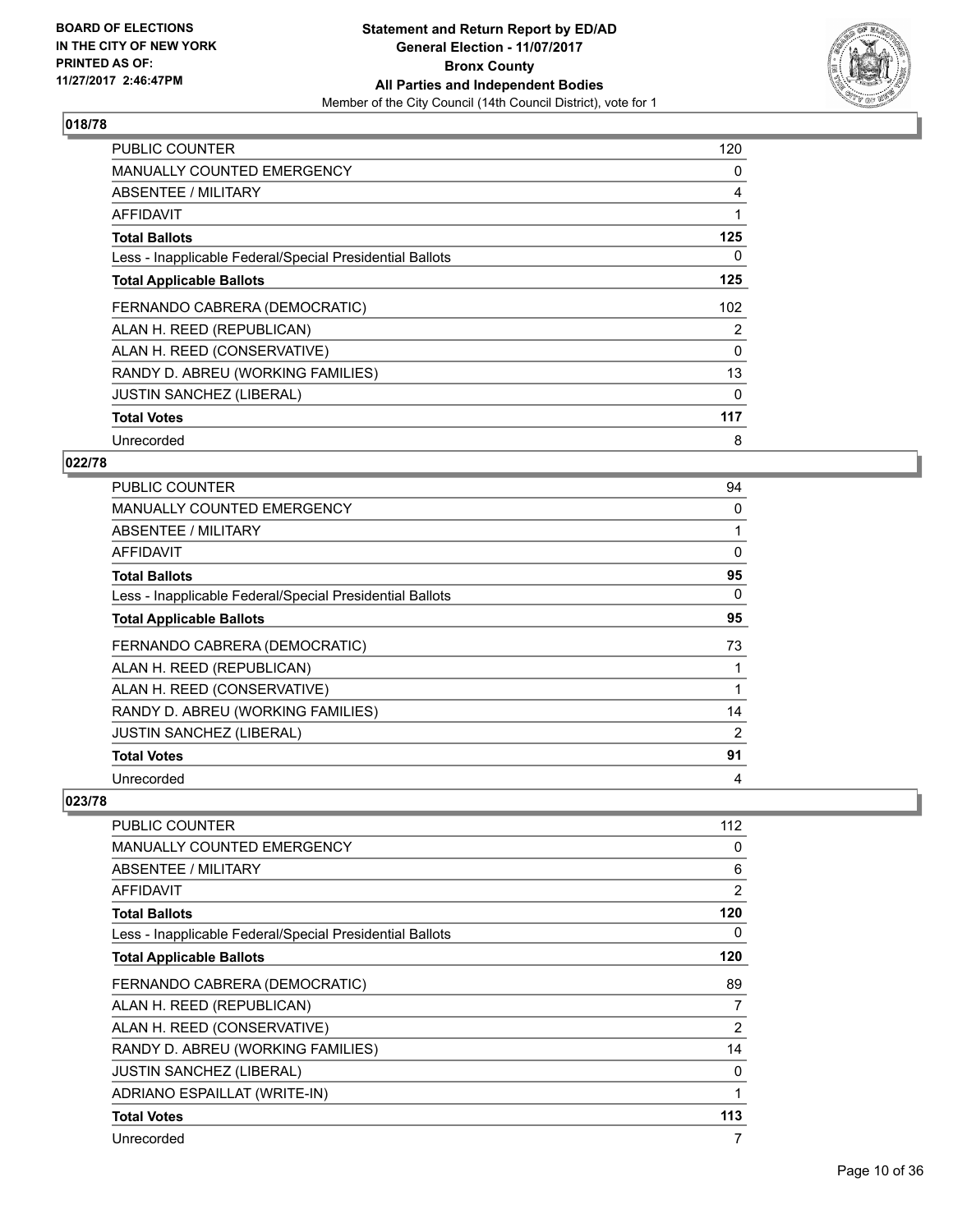

| <b>PUBLIC COUNTER</b>                                    | 120 |
|----------------------------------------------------------|-----|
| <b>MANUALLY COUNTED EMERGENCY</b>                        | 0   |
| ABSENTEE / MILITARY                                      | 4   |
| AFFIDAVIT                                                | 1   |
| <b>Total Ballots</b>                                     | 125 |
| Less - Inapplicable Federal/Special Presidential Ballots | 0   |
| <b>Total Applicable Ballots</b>                          | 125 |
| FERNANDO CABRERA (DEMOCRATIC)                            | 102 |
| ALAN H. REED (REPUBLICAN)                                | 2   |
| ALAN H. REED (CONSERVATIVE)                              | 0   |
| RANDY D. ABREU (WORKING FAMILIES)                        | 13  |
| <b>JUSTIN SANCHEZ (LIBERAL)</b>                          | 0   |
| <b>Total Votes</b>                                       | 117 |
|                                                          |     |

# **022/78**

| <b>PUBLIC COUNTER</b>                                    | 94 |
|----------------------------------------------------------|----|
| <b>MANUALLY COUNTED EMERGENCY</b>                        | 0  |
| ABSENTEE / MILITARY                                      |    |
| AFFIDAVIT                                                | 0  |
| <b>Total Ballots</b>                                     | 95 |
| Less - Inapplicable Federal/Special Presidential Ballots | 0  |
| <b>Total Applicable Ballots</b>                          | 95 |
| FERNANDO CABRERA (DEMOCRATIC)                            | 73 |
| ALAN H. REED (REPUBLICAN)                                |    |
| ALAN H. REED (CONSERVATIVE)                              |    |
| RANDY D. ABREU (WORKING FAMILIES)                        | 14 |
| <b>JUSTIN SANCHEZ (LIBERAL)</b>                          | 2  |
| <b>Total Votes</b>                                       | 91 |
| Unrecorded                                               | 4  |

| PUBLIC COUNTER                                           | 112 |
|----------------------------------------------------------|-----|
| <b>MANUALLY COUNTED EMERGENCY</b>                        | 0   |
| ABSENTEE / MILITARY                                      | 6   |
| AFFIDAVIT                                                | 2   |
| <b>Total Ballots</b>                                     | 120 |
| Less - Inapplicable Federal/Special Presidential Ballots | 0   |
| <b>Total Applicable Ballots</b>                          | 120 |
| FERNANDO CABRERA (DEMOCRATIC)                            | 89  |
| ALAN H. REED (REPUBLICAN)                                | 7   |
| ALAN H. REED (CONSERVATIVE)                              | 2   |
| RANDY D. ABREU (WORKING FAMILIES)                        | 14  |
| <b>JUSTIN SANCHEZ (LIBERAL)</b>                          | 0   |
| ADRIANO ESPAILLAT (WRITE-IN)                             | 1   |
| <b>Total Votes</b>                                       | 113 |
| Unrecorded                                               | 7   |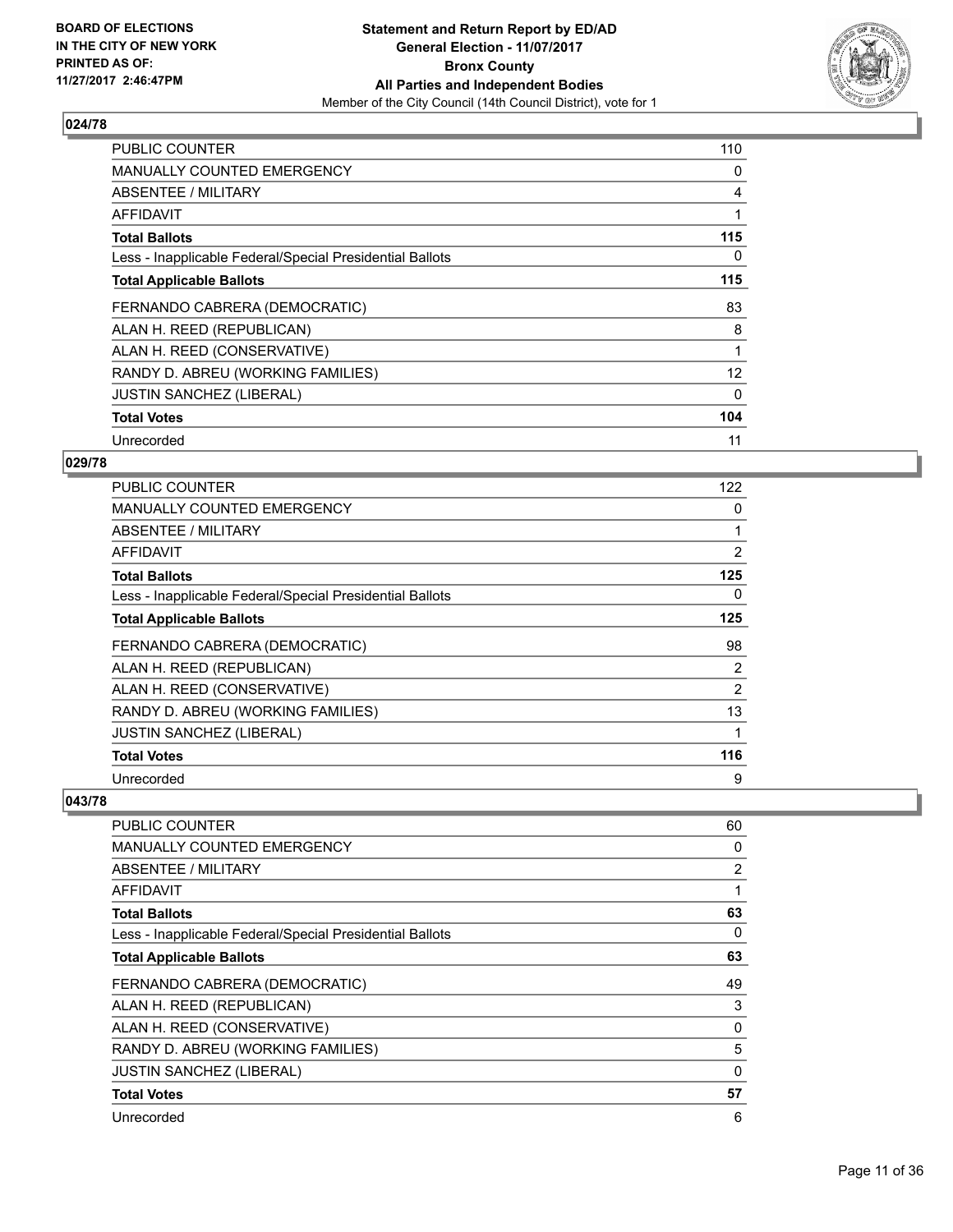

| <b>PUBLIC COUNTER</b>                                    | 110               |
|----------------------------------------------------------|-------------------|
| <b>MANUALLY COUNTED EMERGENCY</b>                        | 0                 |
| <b>ABSENTEE / MILITARY</b>                               | 4                 |
| <b>AFFIDAVIT</b>                                         |                   |
| <b>Total Ballots</b>                                     | 115               |
| Less - Inapplicable Federal/Special Presidential Ballots | 0                 |
| <b>Total Applicable Ballots</b>                          | 115               |
| FERNANDO CABRERA (DEMOCRATIC)                            | 83                |
| ALAN H. REED (REPUBLICAN)                                | 8                 |
| ALAN H. REED (CONSERVATIVE)                              |                   |
| RANDY D. ABREU (WORKING FAMILIES)                        | $12 \overline{ }$ |
| <b>JUSTIN SANCHEZ (LIBERAL)</b>                          | 0                 |
| <b>Total Votes</b>                                       | 104               |
| Unrecorded                                               | 11                |

## **029/78**

| PUBLIC COUNTER                                           | 122 |
|----------------------------------------------------------|-----|
| <b>MANUALLY COUNTED EMERGENCY</b>                        | 0   |
| ABSENTEE / MILITARY                                      |     |
| AFFIDAVIT                                                | 2   |
| <b>Total Ballots</b>                                     | 125 |
| Less - Inapplicable Federal/Special Presidential Ballots | 0   |
| <b>Total Applicable Ballots</b>                          | 125 |
| FERNANDO CABRERA (DEMOCRATIC)                            | 98  |
| ALAN H. REED (REPUBLICAN)                                | 2   |
| ALAN H. REED (CONSERVATIVE)                              | 2   |
| RANDY D. ABREU (WORKING FAMILIES)                        | 13  |
| <b>JUSTIN SANCHEZ (LIBERAL)</b>                          |     |
| <b>Total Votes</b>                                       | 116 |
| Unrecorded                                               | 9   |

| <b>PUBLIC COUNTER</b>                                    | 60          |
|----------------------------------------------------------|-------------|
| <b>MANUALLY COUNTED EMERGENCY</b>                        | 0           |
| ABSENTEE / MILITARY                                      | 2           |
| <b>AFFIDAVIT</b>                                         |             |
| <b>Total Ballots</b>                                     | 63          |
| Less - Inapplicable Federal/Special Presidential Ballots | 0           |
| <b>Total Applicable Ballots</b>                          | 63          |
| FERNANDO CABRERA (DEMOCRATIC)                            | 49          |
| ALAN H. REED (REPUBLICAN)                                | 3           |
| ALAN H. REED (CONSERVATIVE)                              | 0           |
| RANDY D. ABREU (WORKING FAMILIES)                        | 5           |
| <b>JUSTIN SANCHEZ (LIBERAL)</b>                          | $\mathbf 0$ |
| <b>Total Votes</b>                                       | 57          |
| Unrecorded                                               | 6           |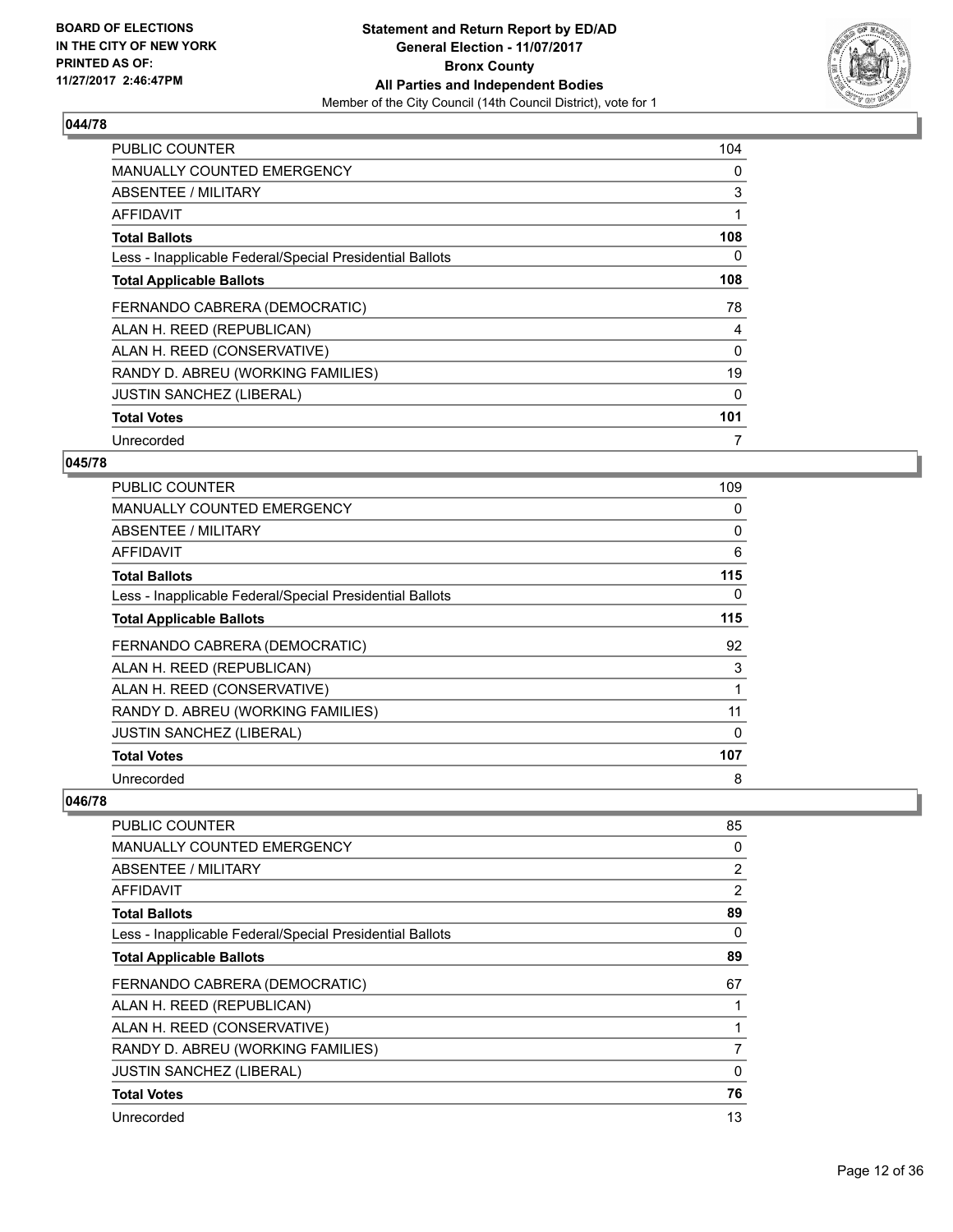

| <b>PUBLIC COUNTER</b>                                    | 104 |
|----------------------------------------------------------|-----|
| <b>MANUALLY COUNTED EMERGENCY</b>                        | 0   |
| <b>ABSENTEE / MILITARY</b>                               | 3   |
| AFFIDAVIT                                                |     |
| <b>Total Ballots</b>                                     | 108 |
| Less - Inapplicable Federal/Special Presidential Ballots | 0   |
| <b>Total Applicable Ballots</b>                          | 108 |
| FERNANDO CABRERA (DEMOCRATIC)                            | 78  |
| ALAN H. REED (REPUBLICAN)                                | 4   |
| ALAN H. REED (CONSERVATIVE)                              | 0   |
| RANDY D. ABREU (WORKING FAMILIES)                        | 19  |
| <b>JUSTIN SANCHEZ (LIBERAL)</b>                          | 0   |
| <b>Total Votes</b>                                       | 101 |
| Unrecorded                                               | 7   |

#### **045/78**

| PUBLIC COUNTER                                           | 109      |
|----------------------------------------------------------|----------|
| <b>MANUALLY COUNTED EMERGENCY</b>                        | 0        |
| ABSENTEE / MILITARY                                      | 0        |
| AFFIDAVIT                                                | 6        |
| <b>Total Ballots</b>                                     | 115      |
| Less - Inapplicable Federal/Special Presidential Ballots | 0        |
| <b>Total Applicable Ballots</b>                          | 115      |
| FERNANDO CABRERA (DEMOCRATIC)                            | 92       |
| ALAN H. REED (REPUBLICAN)                                | 3        |
| ALAN H. REED (CONSERVATIVE)                              |          |
| RANDY D. ABREU (WORKING FAMILIES)                        | 11       |
| <b>JUSTIN SANCHEZ (LIBERAL)</b>                          | $\Omega$ |
| <b>Total Votes</b>                                       | 107      |
| Unrecorded                                               | 8        |

| <b>PUBLIC COUNTER</b>                                    | 85 |
|----------------------------------------------------------|----|
| <b>MANUALLY COUNTED EMERGENCY</b>                        | 0  |
| ABSENTEE / MILITARY                                      | 2  |
| AFFIDAVIT                                                | 2  |
| <b>Total Ballots</b>                                     | 89 |
| Less - Inapplicable Federal/Special Presidential Ballots | 0  |
| <b>Total Applicable Ballots</b>                          | 89 |
| FERNANDO CABRERA (DEMOCRATIC)                            | 67 |
| ALAN H. REED (REPUBLICAN)                                |    |
| ALAN H. REED (CONSERVATIVE)                              |    |
| RANDY D. ABREU (WORKING FAMILIES)                        | 7  |
| <b>JUSTIN SANCHEZ (LIBERAL)</b>                          | 0  |
| <b>Total Votes</b>                                       | 76 |
| Unrecorded                                               | 13 |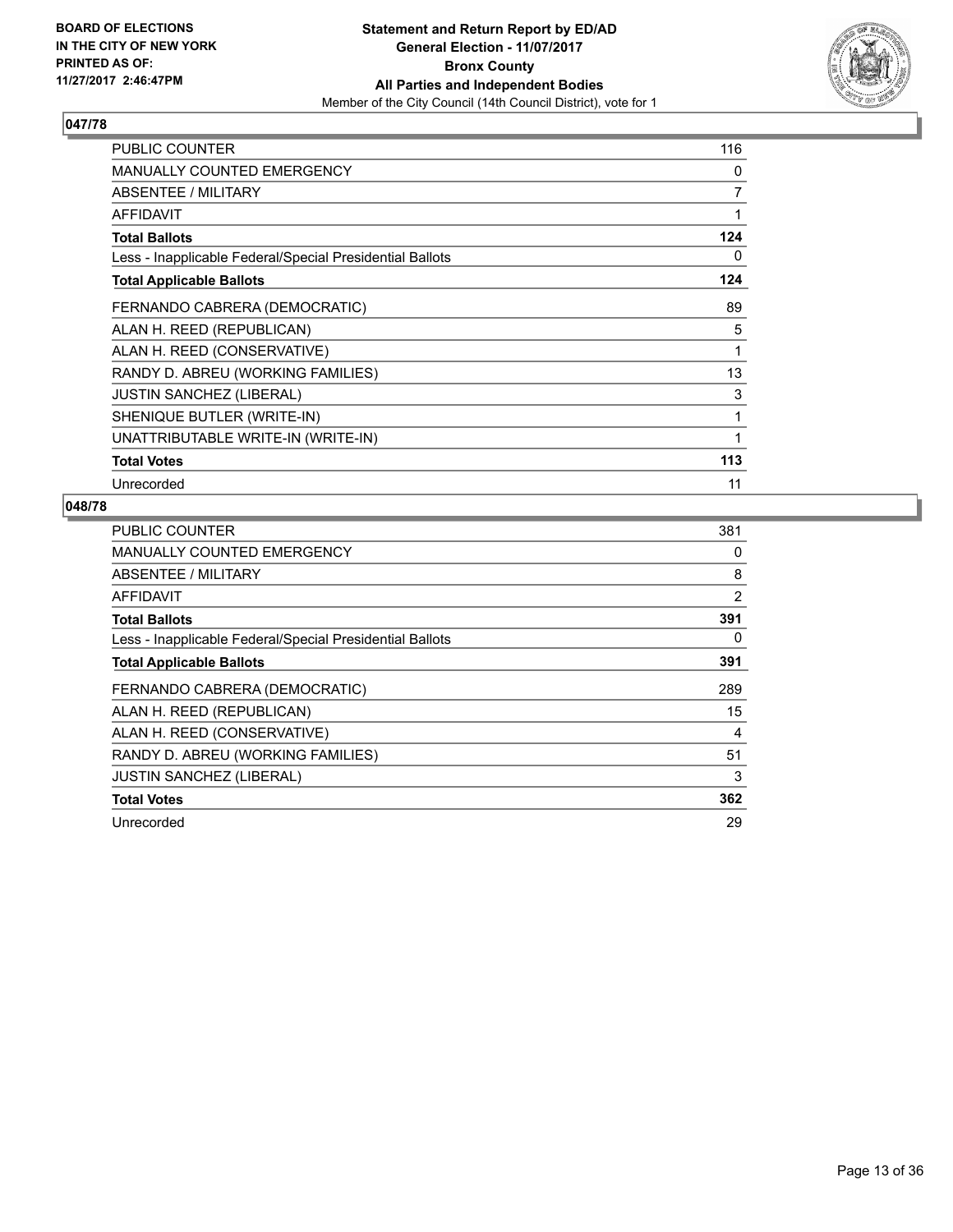

| <b>PUBLIC COUNTER</b>                                    | 116          |
|----------------------------------------------------------|--------------|
| <b>MANUALLY COUNTED EMERGENCY</b>                        | 0            |
| ABSENTEE / MILITARY                                      | 7            |
| <b>AFFIDAVIT</b>                                         | 1            |
| <b>Total Ballots</b>                                     | 124          |
| Less - Inapplicable Federal/Special Presidential Ballots | 0            |
| <b>Total Applicable Ballots</b>                          | 124          |
| FERNANDO CABRERA (DEMOCRATIC)                            | 89           |
| ALAN H. REED (REPUBLICAN)                                | 5            |
| ALAN H. REED (CONSERVATIVE)                              | 1            |
| RANDY D. ABREU (WORKING FAMILIES)                        | 13           |
| <b>JUSTIN SANCHEZ (LIBERAL)</b>                          | 3            |
| SHENIQUE BUTLER (WRITE-IN)                               | 1            |
| UNATTRIBUTABLE WRITE-IN (WRITE-IN)                       | $\mathbf{1}$ |
| <b>Total Votes</b>                                       | 113          |
| Unrecorded                                               | 11           |

| <b>PUBLIC COUNTER</b>                                    | 381 |
|----------------------------------------------------------|-----|
| <b>MANUALLY COUNTED EMERGENCY</b>                        | 0   |
| <b>ABSENTEE / MILITARY</b>                               | 8   |
| AFFIDAVIT                                                | 2   |
| <b>Total Ballots</b>                                     | 391 |
| Less - Inapplicable Federal/Special Presidential Ballots | 0   |
| <b>Total Applicable Ballots</b>                          | 391 |
| FERNANDO CABRERA (DEMOCRATIC)                            | 289 |
| ALAN H. REED (REPUBLICAN)                                | 15  |
| ALAN H. REED (CONSERVATIVE)                              | 4   |
| RANDY D. ABREU (WORKING FAMILIES)                        | 51  |
| <b>JUSTIN SANCHEZ (LIBERAL)</b>                          | 3   |
| <b>Total Votes</b>                                       | 362 |
| Unrecorded                                               | 29  |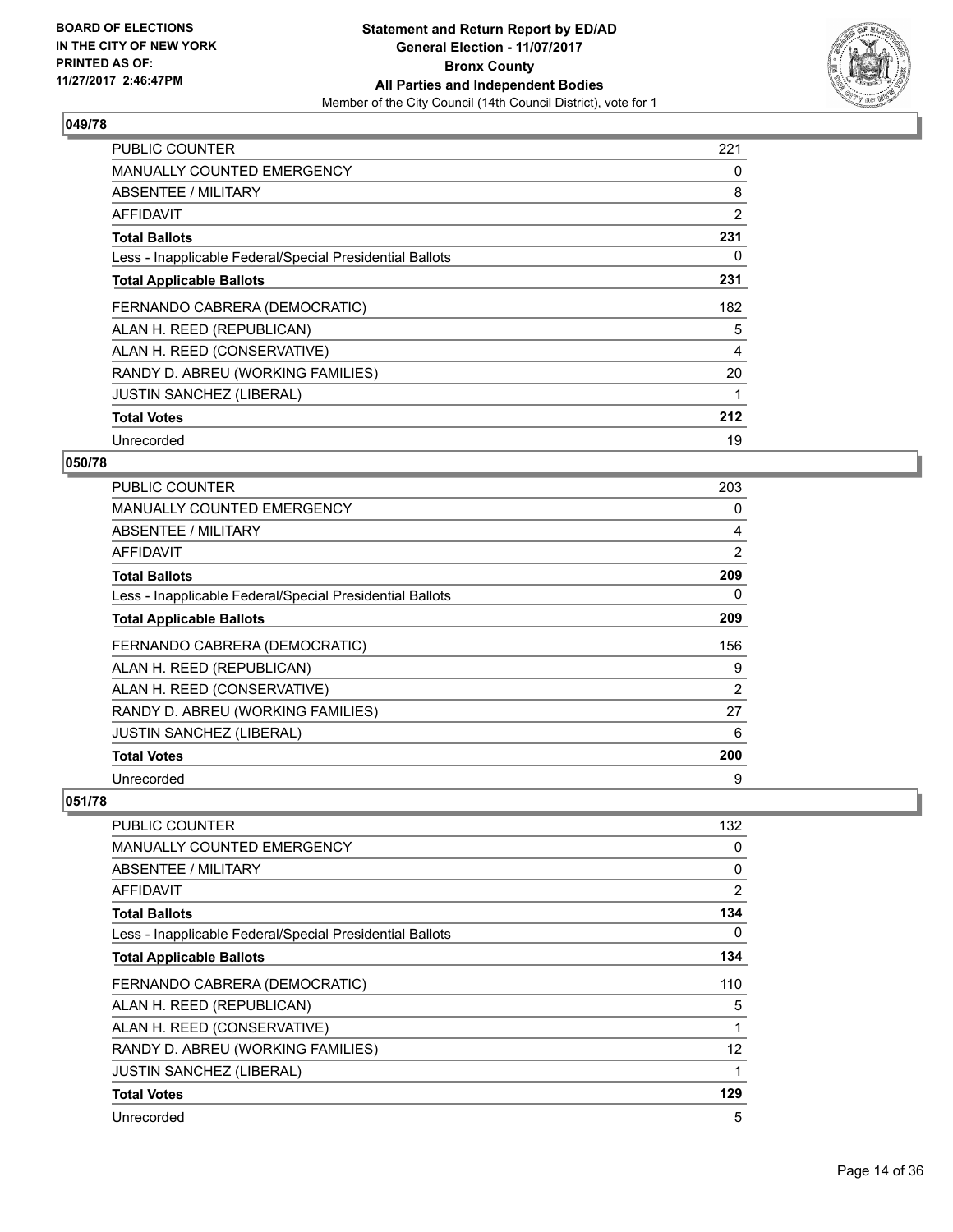

| <b>PUBLIC COUNTER</b>                                    | 221 |
|----------------------------------------------------------|-----|
| <b>MANUALLY COUNTED EMERGENCY</b>                        | 0   |
| <b>ABSENTEE / MILITARY</b>                               | 8   |
| <b>AFFIDAVIT</b>                                         | 2   |
| <b>Total Ballots</b>                                     | 231 |
| Less - Inapplicable Federal/Special Presidential Ballots | 0   |
| <b>Total Applicable Ballots</b>                          | 231 |
| FERNANDO CABRERA (DEMOCRATIC)                            | 182 |
| ALAN H. REED (REPUBLICAN)                                | 5   |
| ALAN H. REED (CONSERVATIVE)                              | 4   |
| RANDY D. ABREU (WORKING FAMILIES)                        | 20  |
| <b>JUSTIN SANCHEZ (LIBERAL)</b>                          |     |
| <b>Total Votes</b>                                       | 212 |
| Unrecorded                                               | 19  |

## **050/78**

| <b>PUBLIC COUNTER</b>                                    | 203 |
|----------------------------------------------------------|-----|
| MANUALLY COUNTED EMERGENCY                               | 0   |
| ABSENTEE / MILITARY                                      | 4   |
| AFFIDAVIT                                                | 2   |
| <b>Total Ballots</b>                                     | 209 |
| Less - Inapplicable Federal/Special Presidential Ballots | 0   |
| <b>Total Applicable Ballots</b>                          | 209 |
| FERNANDO CABRERA (DEMOCRATIC)                            | 156 |
| ALAN H. REED (REPUBLICAN)                                | 9   |
| ALAN H. REED (CONSERVATIVE)                              | 2   |
| RANDY D. ABREU (WORKING FAMILIES)                        | 27  |
| <b>JUSTIN SANCHEZ (LIBERAL)</b>                          | 6   |
| <b>Total Votes</b>                                       | 200 |
| Unrecorded                                               | 9   |

| <b>PUBLIC COUNTER</b>                                    | 132 |
|----------------------------------------------------------|-----|
| <b>MANUALLY COUNTED EMERGENCY</b>                        | 0   |
| <b>ABSENTEE / MILITARY</b>                               | 0   |
| AFFIDAVIT                                                | 2   |
| <b>Total Ballots</b>                                     | 134 |
| Less - Inapplicable Federal/Special Presidential Ballots | 0   |
| <b>Total Applicable Ballots</b>                          | 134 |
| FERNANDO CABRERA (DEMOCRATIC)                            | 110 |
| ALAN H. REED (REPUBLICAN)                                | 5   |
| ALAN H. REED (CONSERVATIVE)                              | 1   |
| RANDY D. ABREU (WORKING FAMILIES)                        | 12  |
| <b>JUSTIN SANCHEZ (LIBERAL)</b>                          |     |
| <b>Total Votes</b>                                       | 129 |
| Unrecorded                                               | 5   |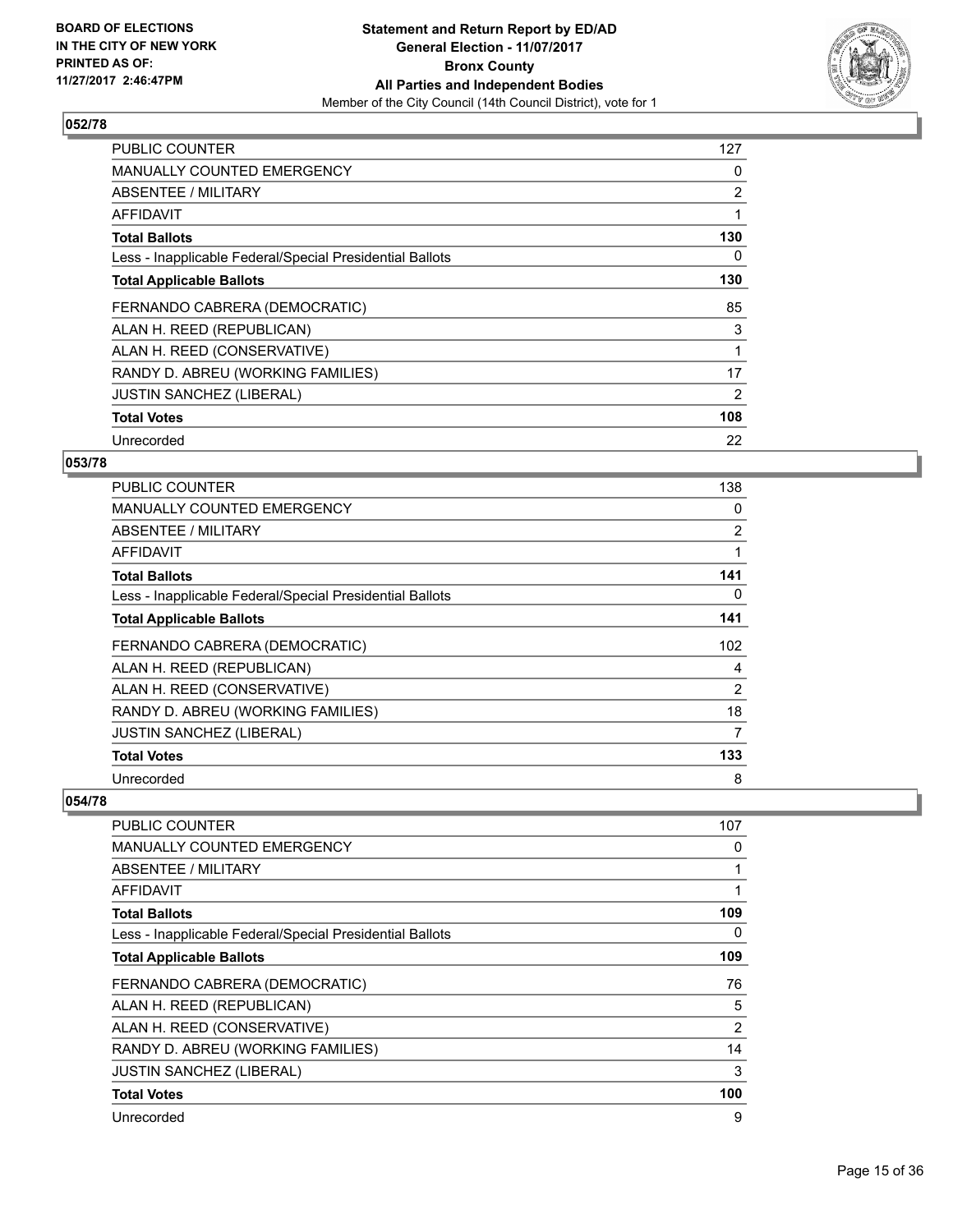

| <b>PUBLIC COUNTER</b>                                    | 127 |
|----------------------------------------------------------|-----|
| <b>MANUALLY COUNTED EMERGENCY</b>                        | 0   |
| <b>ABSENTEE / MILITARY</b>                               | 2   |
| <b>AFFIDAVIT</b>                                         |     |
| <b>Total Ballots</b>                                     | 130 |
| Less - Inapplicable Federal/Special Presidential Ballots | 0   |
| <b>Total Applicable Ballots</b>                          | 130 |
| FERNANDO CABRERA (DEMOCRATIC)                            | 85  |
| ALAN H. REED (REPUBLICAN)                                | 3   |
| ALAN H. REED (CONSERVATIVE)                              | 1   |
| RANDY D. ABREU (WORKING FAMILIES)                        | 17  |
| <b>JUSTIN SANCHEZ (LIBERAL)</b>                          | 2   |
| <b>Total Votes</b>                                       | 108 |
| Unrecorded                                               | 22  |

## **053/78**

| PUBLIC COUNTER                                           | 138            |
|----------------------------------------------------------|----------------|
| <b>MANUALLY COUNTED EMERGENCY</b>                        | 0              |
| ABSENTEE / MILITARY                                      | $\overline{2}$ |
| AFFIDAVIT                                                |                |
| <b>Total Ballots</b>                                     | 141            |
| Less - Inapplicable Federal/Special Presidential Ballots | 0              |
| <b>Total Applicable Ballots</b>                          | 141            |
| FERNANDO CABRERA (DEMOCRATIC)                            | 102            |
| ALAN H. REED (REPUBLICAN)                                | 4              |
| ALAN H. REED (CONSERVATIVE)                              | 2              |
| RANDY D. ABREU (WORKING FAMILIES)                        | 18             |
| <b>JUSTIN SANCHEZ (LIBERAL)</b>                          | 7              |
| <b>Total Votes</b>                                       | 133            |
| Unrecorded                                               | 8              |

| <b>PUBLIC COUNTER</b>                                    | 107 |
|----------------------------------------------------------|-----|
| <b>MANUALLY COUNTED EMERGENCY</b>                        | 0   |
| ABSENTEE / MILITARY                                      |     |
| <b>AFFIDAVIT</b>                                         |     |
| <b>Total Ballots</b>                                     | 109 |
| Less - Inapplicable Federal/Special Presidential Ballots | 0   |
| <b>Total Applicable Ballots</b>                          | 109 |
| FERNANDO CABRERA (DEMOCRATIC)                            | 76  |
| ALAN H. REED (REPUBLICAN)                                | 5   |
| ALAN H. REED (CONSERVATIVE)                              | 2   |
| RANDY D. ABREU (WORKING FAMILIES)                        | 14  |
| <b>JUSTIN SANCHEZ (LIBERAL)</b>                          | 3   |
| <b>Total Votes</b>                                       | 100 |
| Unrecorded                                               | 9   |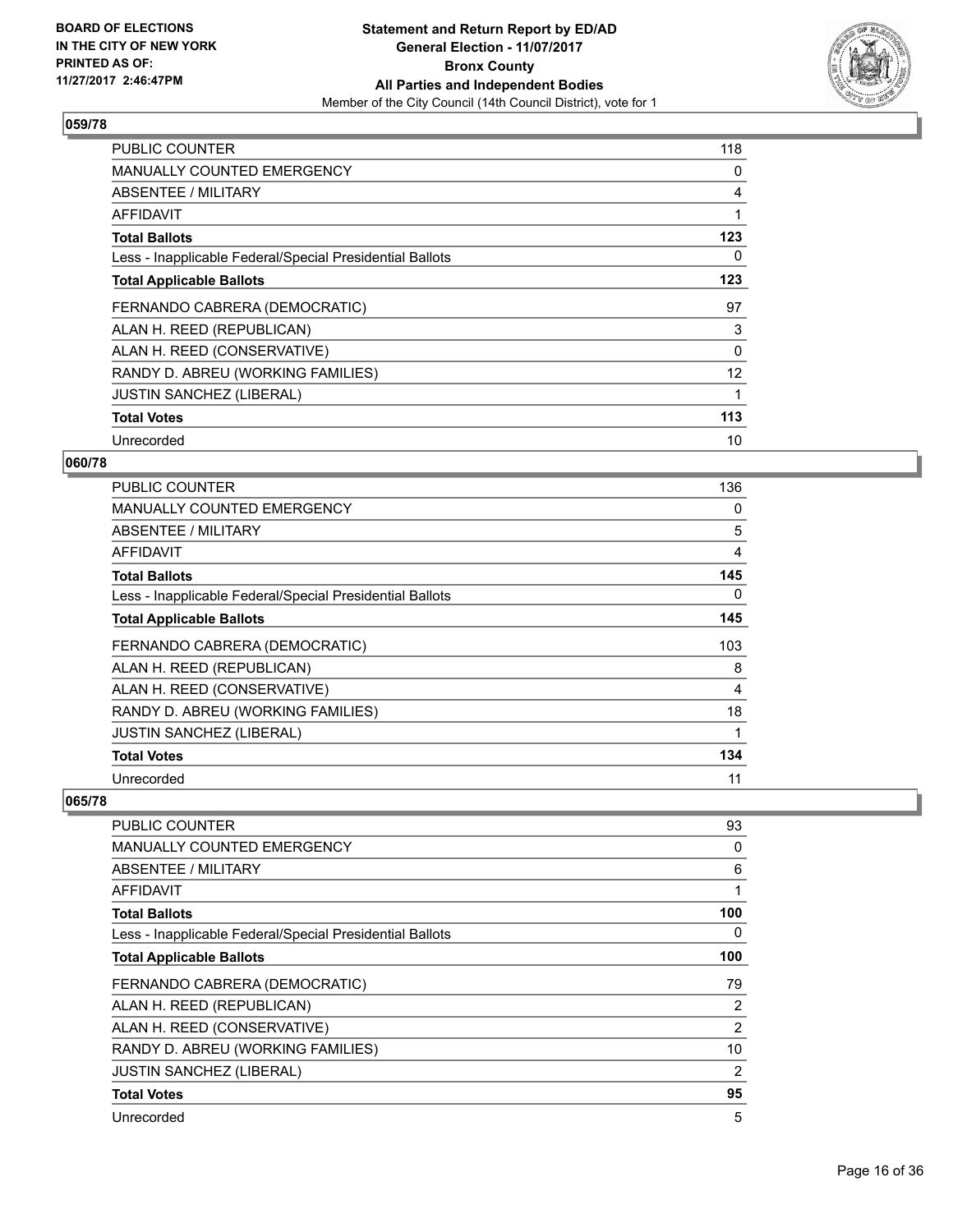

| <b>PUBLIC COUNTER</b>                                    | 118 |
|----------------------------------------------------------|-----|
| MANUALLY COUNTED EMERGENCY                               | 0   |
| <b>ABSENTEE / MILITARY</b>                               | 4   |
| AFFIDAVIT                                                |     |
| <b>Total Ballots</b>                                     | 123 |
| Less - Inapplicable Federal/Special Presidential Ballots | 0   |
| <b>Total Applicable Ballots</b>                          | 123 |
| FERNANDO CABRERA (DEMOCRATIC)                            | 97  |
| ALAN H. REED (REPUBLICAN)                                | 3   |
| ALAN H. REED (CONSERVATIVE)                              | 0   |
| RANDY D. ABREU (WORKING FAMILIES)                        | 12  |
| <b>JUSTIN SANCHEZ (LIBERAL)</b>                          |     |
| <b>Total Votes</b>                                       | 113 |
| Unrecorded                                               | 10  |

## **060/78**

| <b>PUBLIC COUNTER</b>                                    | 136 |
|----------------------------------------------------------|-----|
| <b>MANUALLY COUNTED EMERGENCY</b>                        | 0   |
| ABSENTEE / MILITARY                                      | 5   |
| AFFIDAVIT                                                | 4   |
| <b>Total Ballots</b>                                     | 145 |
| Less - Inapplicable Federal/Special Presidential Ballots | 0   |
| <b>Total Applicable Ballots</b>                          | 145 |
| FERNANDO CABRERA (DEMOCRATIC)                            | 103 |
| ALAN H. REED (REPUBLICAN)                                | 8   |
| ALAN H. REED (CONSERVATIVE)                              | 4   |
| RANDY D. ABREU (WORKING FAMILIES)                        | 18  |
| <b>JUSTIN SANCHEZ (LIBERAL)</b>                          |     |
| <b>Total Votes</b>                                       | 134 |
| Unrecorded                                               | 11  |

| PUBLIC COUNTER                                           | 93  |
|----------------------------------------------------------|-----|
| <b>MANUALLY COUNTED EMERGENCY</b>                        | 0   |
| <b>ABSENTEE / MILITARY</b>                               | 6   |
| AFFIDAVIT                                                |     |
| <b>Total Ballots</b>                                     | 100 |
| Less - Inapplicable Federal/Special Presidential Ballots | 0   |
| <b>Total Applicable Ballots</b>                          | 100 |
| FERNANDO CABRERA (DEMOCRATIC)                            | 79  |
| ALAN H. REED (REPUBLICAN)                                | 2   |
| ALAN H. REED (CONSERVATIVE)                              | 2   |
| RANDY D. ABREU (WORKING FAMILIES)                        | 10  |
| <b>JUSTIN SANCHEZ (LIBERAL)</b>                          | 2   |
| <b>Total Votes</b>                                       | 95  |
| Unrecorded                                               | 5   |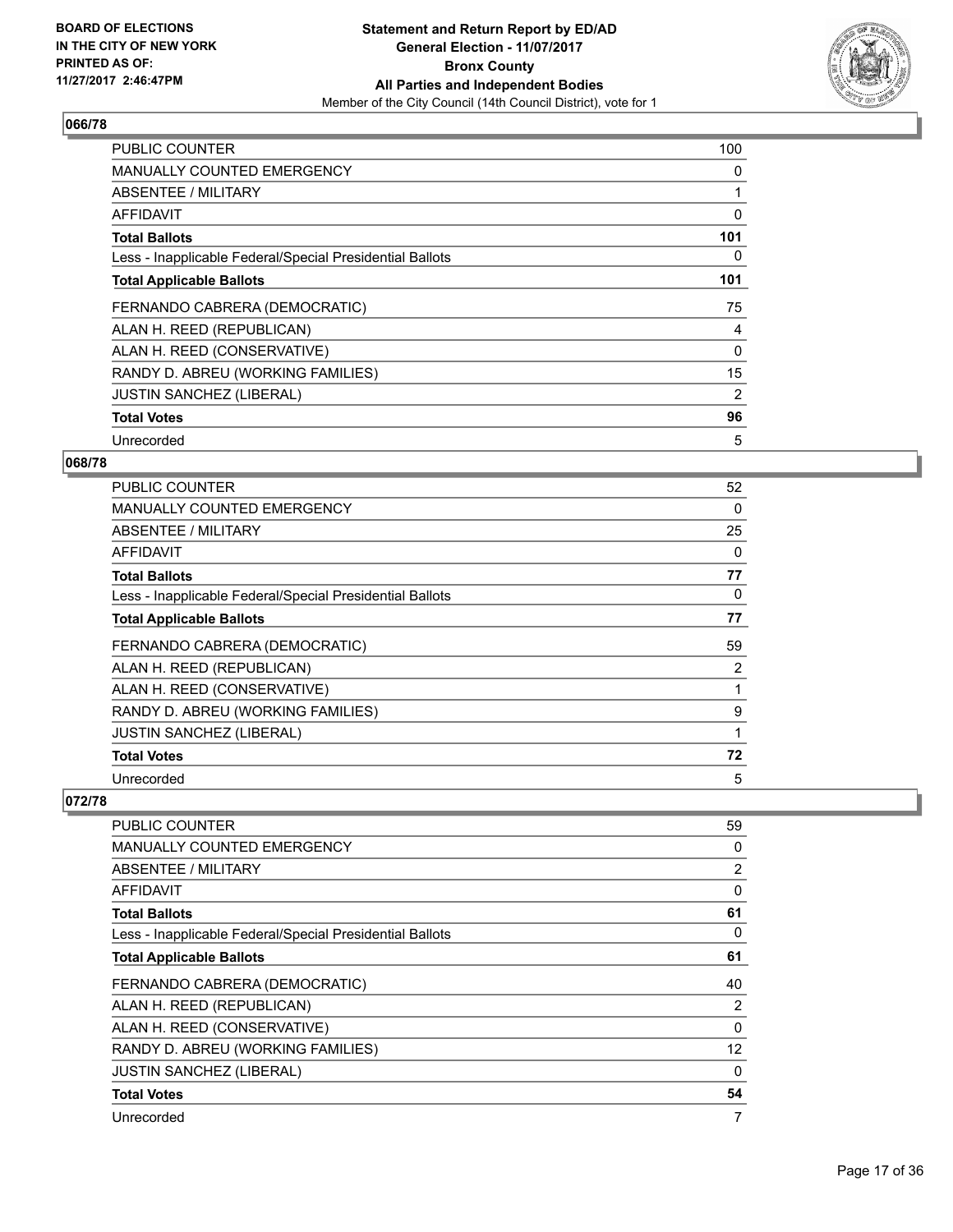

| <b>PUBLIC COUNTER</b>                                    | 100 |
|----------------------------------------------------------|-----|
| <b>MANUALLY COUNTED EMERGENCY</b>                        | 0   |
| <b>ABSENTEE / MILITARY</b>                               |     |
| AFFIDAVIT                                                | 0   |
| <b>Total Ballots</b>                                     | 101 |
| Less - Inapplicable Federal/Special Presidential Ballots | 0   |
| <b>Total Applicable Ballots</b>                          | 101 |
| FERNANDO CABRERA (DEMOCRATIC)                            | 75  |
| ALAN H. REED (REPUBLICAN)                                | 4   |
| ALAN H. REED (CONSERVATIVE)                              | 0   |
| RANDY D. ABREU (WORKING FAMILIES)                        | 15  |
| <b>JUSTIN SANCHEZ (LIBERAL)</b>                          | 2   |
| <b>Total Votes</b>                                       | 96  |
| Unrecorded                                               | 5   |

## **068/78**

| <b>PUBLIC COUNTER</b>                                    | 52 |
|----------------------------------------------------------|----|
| <b>MANUALLY COUNTED EMERGENCY</b>                        | 0  |
| ABSENTEE / MILITARY                                      | 25 |
| AFFIDAVIT                                                | 0  |
| <b>Total Ballots</b>                                     | 77 |
| Less - Inapplicable Federal/Special Presidential Ballots | 0  |
| <b>Total Applicable Ballots</b>                          | 77 |
| FERNANDO CABRERA (DEMOCRATIC)                            | 59 |
| ALAN H. REED (REPUBLICAN)                                | 2  |
| ALAN H. REED (CONSERVATIVE)                              |    |
| RANDY D. ABREU (WORKING FAMILIES)                        | 9  |
| JUSTIN SANCHEZ (LIBERAL)                                 |    |
| <b>Total Votes</b>                                       | 72 |
| Unrecorded                                               | 5  |

| <b>PUBLIC COUNTER</b>                                    | 59       |
|----------------------------------------------------------|----------|
| <b>MANUALLY COUNTED EMERGENCY</b>                        | 0        |
| ABSENTEE / MILITARY                                      | 2        |
| AFFIDAVIT                                                | 0        |
| <b>Total Ballots</b>                                     | 61       |
| Less - Inapplicable Federal/Special Presidential Ballots | 0        |
| <b>Total Applicable Ballots</b>                          | 61       |
| FERNANDO CABRERA (DEMOCRATIC)                            | 40       |
| ALAN H. REED (REPUBLICAN)                                | 2        |
| ALAN H. REED (CONSERVATIVE)                              | $\Omega$ |
| RANDY D. ABREU (WORKING FAMILIES)                        | 12       |
| <b>JUSTIN SANCHEZ (LIBERAL)</b>                          | $\Omega$ |
| <b>Total Votes</b>                                       | 54       |
| Unrecorded                                               | 7        |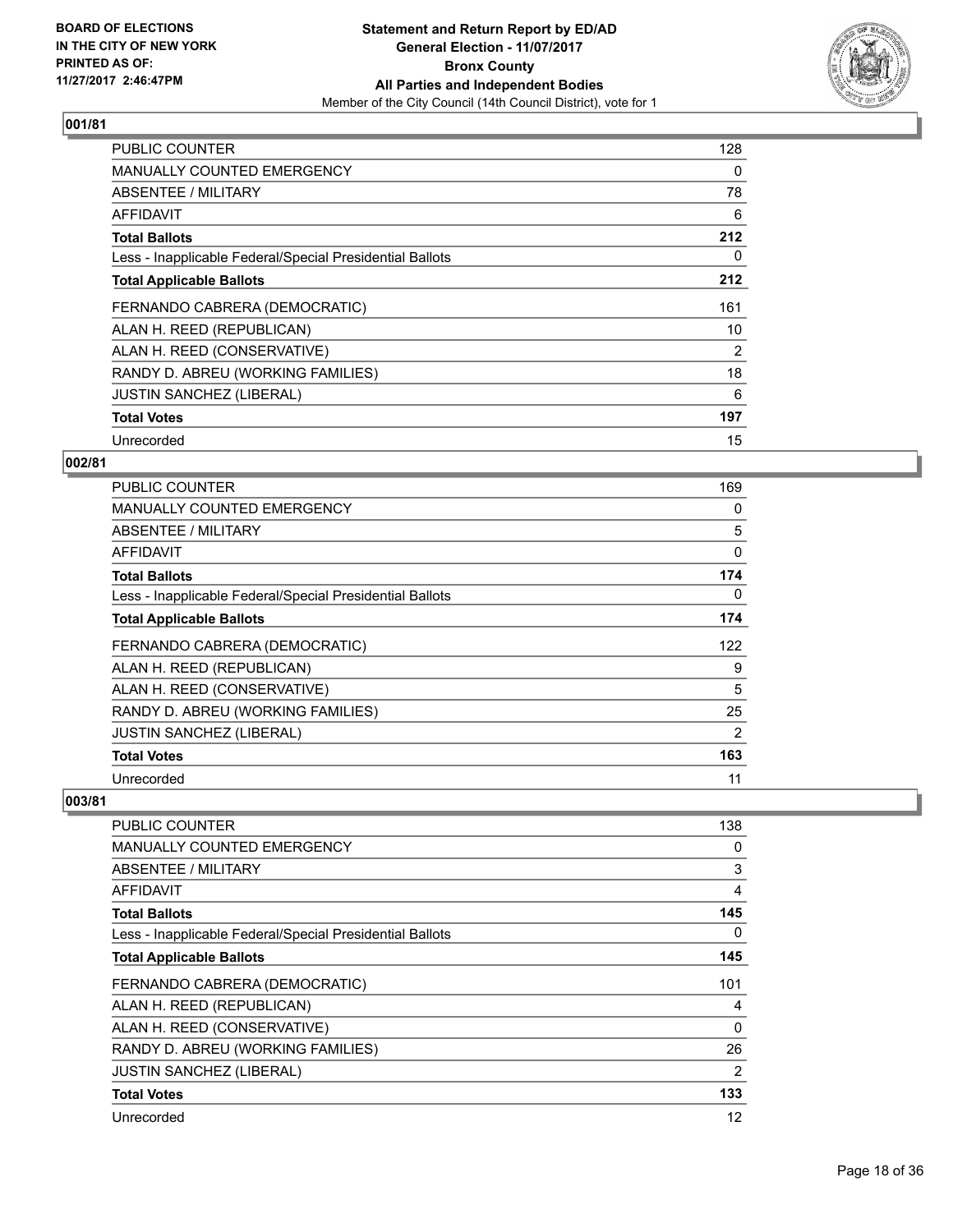

| <b>PUBLIC COUNTER</b>                                    | 128 |
|----------------------------------------------------------|-----|
| <b>MANUALLY COUNTED EMERGENCY</b>                        | 0   |
| <b>ABSENTEE / MILITARY</b>                               | 78  |
| AFFIDAVIT                                                | 6   |
| <b>Total Ballots</b>                                     | 212 |
| Less - Inapplicable Federal/Special Presidential Ballots | 0   |
| <b>Total Applicable Ballots</b>                          | 212 |
| FERNANDO CABRERA (DEMOCRATIC)                            | 161 |
| ALAN H. REED (REPUBLICAN)                                | 10  |
| ALAN H. REED (CONSERVATIVE)                              | 2   |
| RANDY D. ABREU (WORKING FAMILIES)                        | 18  |
| <b>JUSTIN SANCHEZ (LIBERAL)</b>                          | 6   |
| <b>Total Votes</b>                                       | 197 |
|                                                          |     |

## **002/81**

| <b>PUBLIC COUNTER</b>                                    | 169 |
|----------------------------------------------------------|-----|
| <b>MANUALLY COUNTED EMERGENCY</b>                        | 0   |
| ABSENTEE / MILITARY                                      | 5   |
| AFFIDAVIT                                                | 0   |
| <b>Total Ballots</b>                                     | 174 |
| Less - Inapplicable Federal/Special Presidential Ballots | 0   |
| <b>Total Applicable Ballots</b>                          | 174 |
| FERNANDO CABRERA (DEMOCRATIC)                            | 122 |
| ALAN H. REED (REPUBLICAN)                                | 9   |
| ALAN H. REED (CONSERVATIVE)                              | 5   |
| RANDY D. ABREU (WORKING FAMILIES)                        | 25  |
| <b>JUSTIN SANCHEZ (LIBERAL)</b>                          | 2   |
| <b>Total Votes</b>                                       | 163 |
| Unrecorded                                               | 11  |

| <b>PUBLIC COUNTER</b>                                    | 138            |
|----------------------------------------------------------|----------------|
| <b>MANUALLY COUNTED EMERGENCY</b>                        | 0              |
| <b>ABSENTEE / MILITARY</b>                               | 3              |
| <b>AFFIDAVIT</b>                                         | 4              |
| <b>Total Ballots</b>                                     | 145            |
| Less - Inapplicable Federal/Special Presidential Ballots | 0              |
| <b>Total Applicable Ballots</b>                          | 145            |
| FERNANDO CABRERA (DEMOCRATIC)                            | 101            |
| ALAN H. REED (REPUBLICAN)                                | 4              |
| ALAN H. REED (CONSERVATIVE)                              | 0              |
| RANDY D. ABREU (WORKING FAMILIES)                        | 26             |
| <b>JUSTIN SANCHEZ (LIBERAL)</b>                          | $\overline{2}$ |
| <b>Total Votes</b>                                       | 133            |
| Unrecorded                                               | 12             |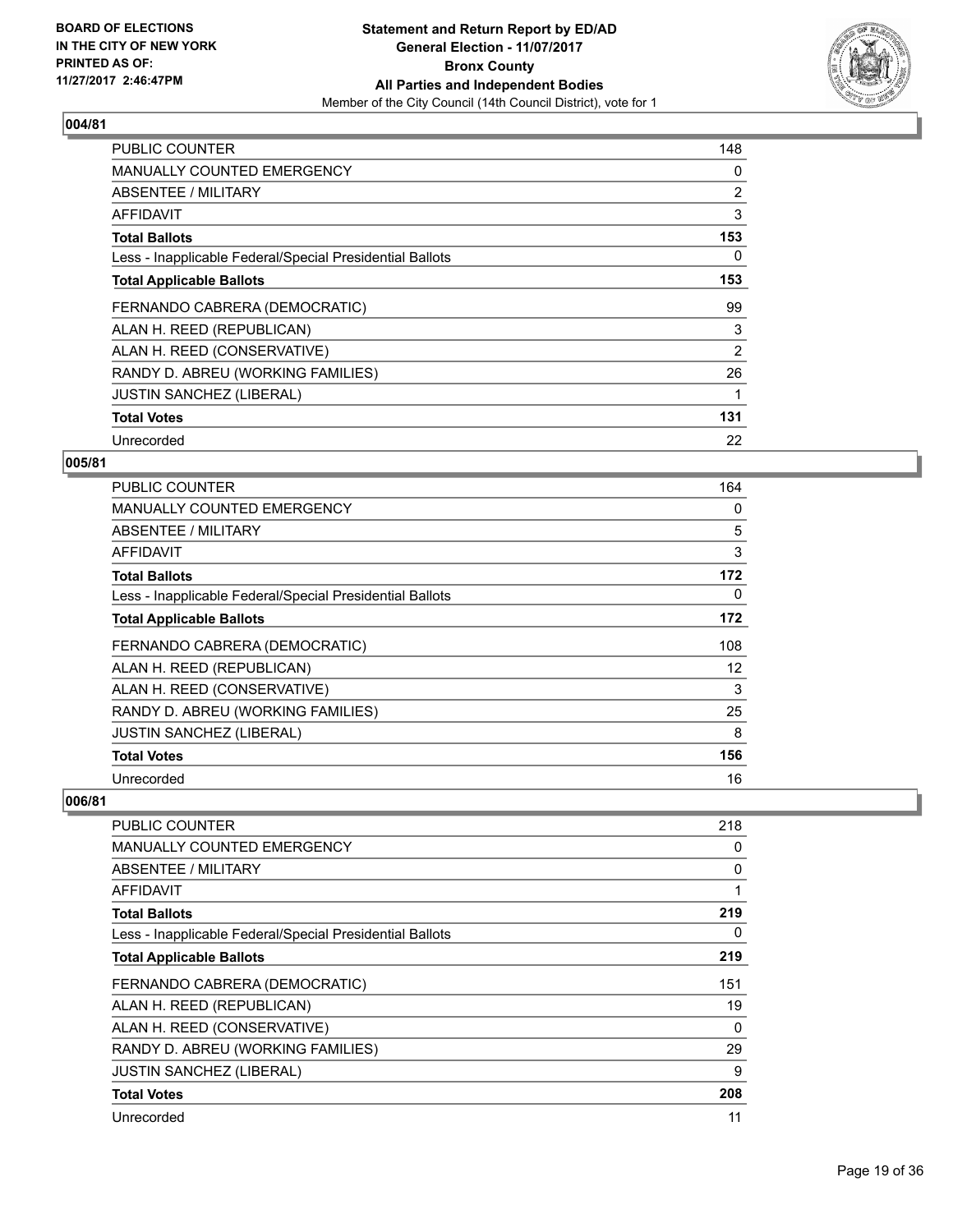

| <b>PUBLIC COUNTER</b>                                    | 148 |
|----------------------------------------------------------|-----|
| <b>MANUALLY COUNTED EMERGENCY</b>                        | 0   |
| <b>ABSENTEE / MILITARY</b>                               | 2   |
| AFFIDAVIT                                                | 3   |
| <b>Total Ballots</b>                                     | 153 |
| Less - Inapplicable Federal/Special Presidential Ballots | 0   |
| <b>Total Applicable Ballots</b>                          | 153 |
| FERNANDO CABRERA (DEMOCRATIC)                            | 99  |
| ALAN H. REED (REPUBLICAN)                                | 3   |
| ALAN H. REED (CONSERVATIVE)                              | 2   |
| RANDY D. ABREU (WORKING FAMILIES)                        | 26  |
| <b>JUSTIN SANCHEZ (LIBERAL)</b>                          |     |
| <b>Total Votes</b>                                       | 131 |
| Unrecorded                                               | 22  |

## **005/81**

| <b>PUBLIC COUNTER</b>                                    | 164 |
|----------------------------------------------------------|-----|
| <b>MANUALLY COUNTED EMERGENCY</b>                        | 0   |
| ABSENTEE / MILITARY                                      | 5   |
| AFFIDAVIT                                                | 3   |
| <b>Total Ballots</b>                                     | 172 |
| Less - Inapplicable Federal/Special Presidential Ballots | 0   |
| <b>Total Applicable Ballots</b>                          | 172 |
| FERNANDO CABRERA (DEMOCRATIC)                            | 108 |
| ALAN H. REED (REPUBLICAN)                                | 12  |
| ALAN H. REED (CONSERVATIVE)                              | 3   |
| RANDY D. ABREU (WORKING FAMILIES)                        | 25  |
| <b>JUSTIN SANCHEZ (LIBERAL)</b>                          | 8   |
| <b>Total Votes</b>                                       | 156 |
| Unrecorded                                               | 16  |

| PUBLIC COUNTER                                           | 218 |
|----------------------------------------------------------|-----|
| MANUALLY COUNTED EMERGENCY                               | 0   |
| ABSENTEE / MILITARY                                      | 0   |
| AFFIDAVIT                                                |     |
| <b>Total Ballots</b>                                     | 219 |
| Less - Inapplicable Federal/Special Presidential Ballots | 0   |
| <b>Total Applicable Ballots</b>                          | 219 |
| FERNANDO CABRERA (DEMOCRATIC)                            | 151 |
| ALAN H. REED (REPUBLICAN)                                | 19  |
| ALAN H. REED (CONSERVATIVE)                              | 0   |
| RANDY D. ABREU (WORKING FAMILIES)                        | 29  |
| <b>JUSTIN SANCHEZ (LIBERAL)</b>                          | 9   |
| <b>Total Votes</b>                                       | 208 |
| Unrecorded                                               | 11  |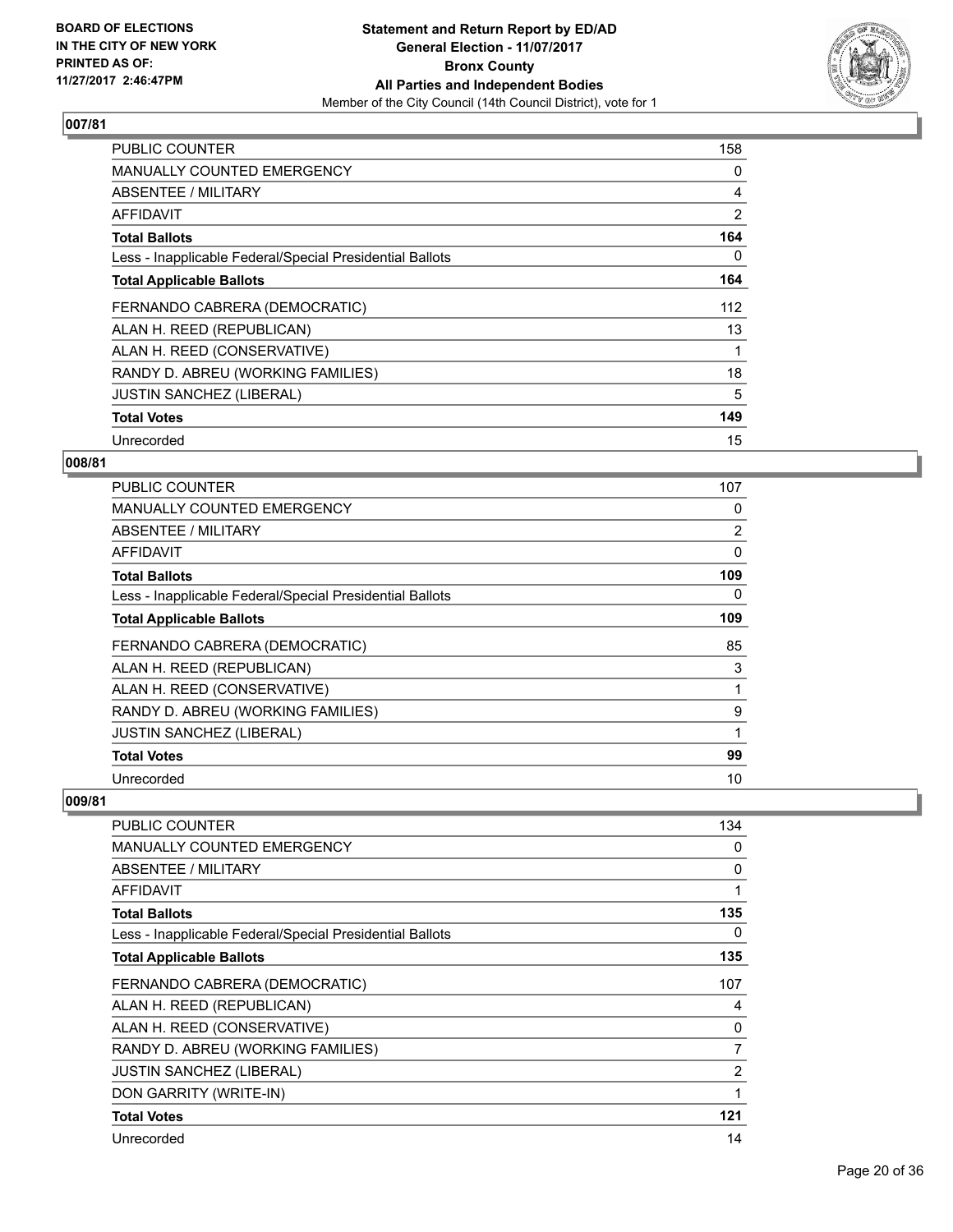

| <b>PUBLIC COUNTER</b>                                    | 158            |
|----------------------------------------------------------|----------------|
| <b>MANUALLY COUNTED EMERGENCY</b>                        | 0              |
| <b>ABSENTEE / MILITARY</b>                               | 4              |
| AFFIDAVIT                                                | $\overline{2}$ |
| <b>Total Ballots</b>                                     | 164            |
| Less - Inapplicable Federal/Special Presidential Ballots | 0              |
| <b>Total Applicable Ballots</b>                          | 164            |
| FERNANDO CABRERA (DEMOCRATIC)                            | 112            |
| ALAN H. REED (REPUBLICAN)                                | 13             |
| ALAN H. REED (CONSERVATIVE)                              |                |
| RANDY D. ABREU (WORKING FAMILIES)                        | 18             |
| <b>JUSTIN SANCHEZ (LIBERAL)</b>                          | 5              |
| <b>Total Votes</b>                                       | 149            |
| Unrecorded                                               | 15             |

## **008/81**

| <b>PUBLIC COUNTER</b>                                    | 107            |
|----------------------------------------------------------|----------------|
| <b>MANUALLY COUNTED EMERGENCY</b>                        | 0              |
| ABSENTEE / MILITARY                                      | $\overline{2}$ |
| AFFIDAVIT                                                | $\Omega$       |
| <b>Total Ballots</b>                                     | 109            |
| Less - Inapplicable Federal/Special Presidential Ballots | 0              |
| <b>Total Applicable Ballots</b>                          | 109            |
| FERNANDO CABRERA (DEMOCRATIC)                            | 85             |
| ALAN H. REED (REPUBLICAN)                                | 3              |
| ALAN H. REED (CONSERVATIVE)                              |                |
| RANDY D. ABREU (WORKING FAMILIES)                        | 9              |
| <b>JUSTIN SANCHEZ (LIBERAL)</b>                          | 1              |
| <b>Total Votes</b>                                       | 99             |
| Unrecorded                                               | 10             |

| <b>PUBLIC COUNTER</b>                                    | 134         |
|----------------------------------------------------------|-------------|
| <b>MANUALLY COUNTED EMERGENCY</b>                        | 0           |
| ABSENTEE / MILITARY                                      | 0           |
| <b>AFFIDAVIT</b>                                         | 1           |
| <b>Total Ballots</b>                                     | 135         |
| Less - Inapplicable Federal/Special Presidential Ballots | 0           |
| <b>Total Applicable Ballots</b>                          | 135         |
| FERNANDO CABRERA (DEMOCRATIC)                            | 107         |
| ALAN H. REED (REPUBLICAN)                                | 4           |
| ALAN H. REED (CONSERVATIVE)                              | 0           |
| RANDY D. ABREU (WORKING FAMILIES)                        | 7           |
| <b>JUSTIN SANCHEZ (LIBERAL)</b>                          | 2           |
| DON GARRITY (WRITE-IN)                                   | $\mathbf 1$ |
| <b>Total Votes</b>                                       | 121         |
| Unrecorded                                               | 14          |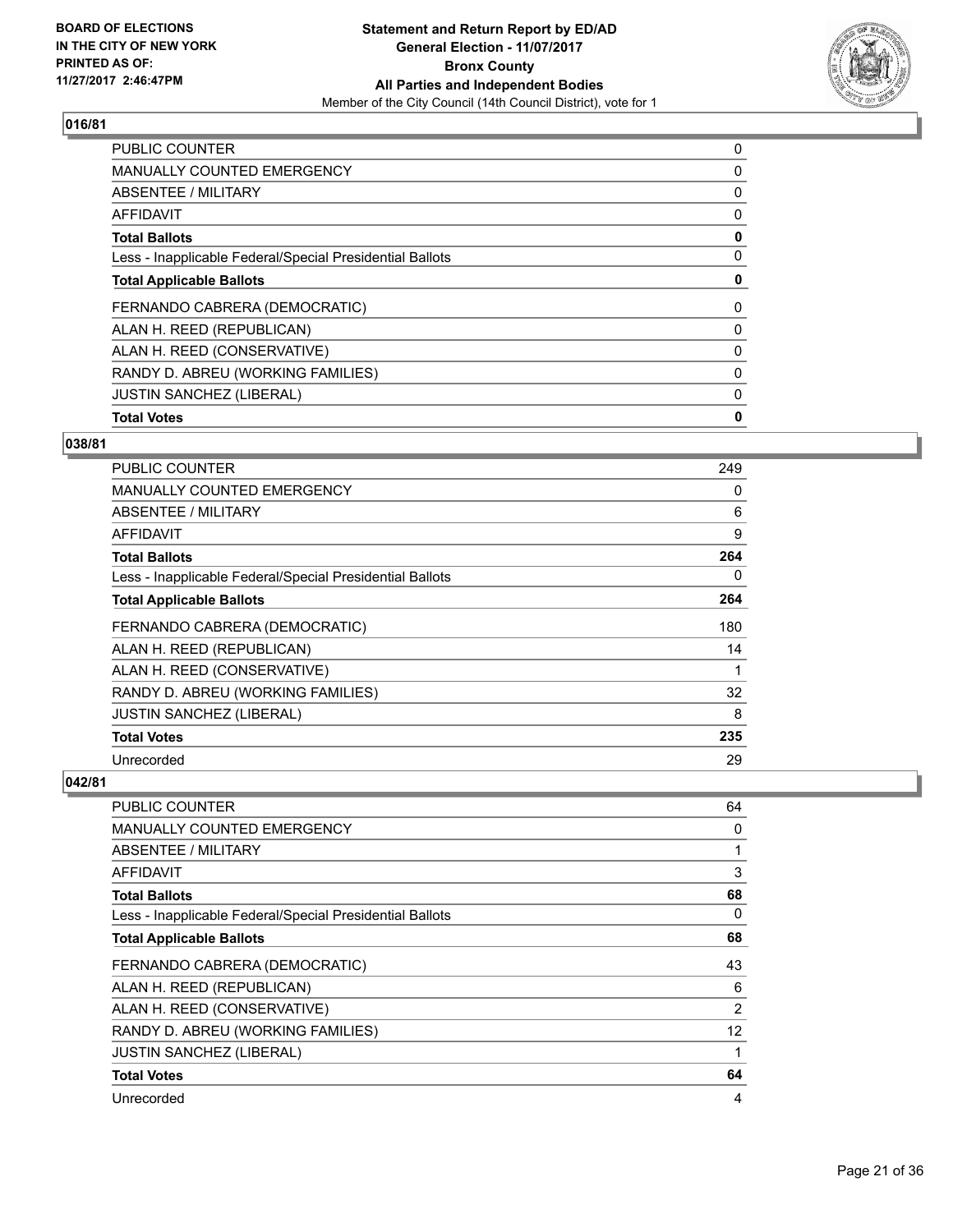

| <b>Total Votes</b>                                       | 0 |
|----------------------------------------------------------|---|
| <b>JUSTIN SANCHEZ (LIBERAL)</b>                          | 0 |
| RANDY D. ABREU (WORKING FAMILIES)                        | 0 |
| ALAN H. REED (CONSERVATIVE)                              | 0 |
| ALAN H. REED (REPUBLICAN)                                | 0 |
| FERNANDO CABRERA (DEMOCRATIC)                            | 0 |
| <b>Total Applicable Ballots</b>                          | 0 |
| Less - Inapplicable Federal/Special Presidential Ballots | 0 |
| <b>Total Ballots</b>                                     | 0 |
| <b>AFFIDAVIT</b>                                         | 0 |
| ABSENTEE / MILITARY                                      | 0 |
| MANUALLY COUNTED EMERGENCY                               | 0 |
| <b>PUBLIC COUNTER</b>                                    | 0 |

#### **038/81**

| <b>PUBLIC COUNTER</b>                                    | 249 |
|----------------------------------------------------------|-----|
| <b>MANUALLY COUNTED EMERGENCY</b>                        | 0   |
| ABSENTEE / MILITARY                                      | 6   |
| AFFIDAVIT                                                | 9   |
| <b>Total Ballots</b>                                     | 264 |
| Less - Inapplicable Federal/Special Presidential Ballots | 0   |
| <b>Total Applicable Ballots</b>                          | 264 |
| FERNANDO CABRERA (DEMOCRATIC)                            | 180 |
| ALAN H. REED (REPUBLICAN)                                | 14  |
| ALAN H. REED (CONSERVATIVE)                              | 1   |
| RANDY D. ABREU (WORKING FAMILIES)                        | 32  |
| <b>JUSTIN SANCHEZ (LIBERAL)</b>                          | 8   |
| <b>Total Votes</b>                                       | 235 |
| Unrecorded                                               | 29  |

| PUBLIC COUNTER                                           | 64 |
|----------------------------------------------------------|----|
| <b>MANUALLY COUNTED EMERGENCY</b>                        | 0  |
| ABSENTEE / MILITARY                                      | 1  |
| AFFIDAVIT                                                | 3  |
| <b>Total Ballots</b>                                     | 68 |
| Less - Inapplicable Federal/Special Presidential Ballots | 0  |
| <b>Total Applicable Ballots</b>                          | 68 |
| FERNANDO CABRERA (DEMOCRATIC)                            | 43 |
| ALAN H. REED (REPUBLICAN)                                | 6  |
| ALAN H. REED (CONSERVATIVE)                              | 2  |
| RANDY D. ABREU (WORKING FAMILIES)                        | 12 |
| <b>JUSTIN SANCHEZ (LIBERAL)</b>                          |    |
| <b>Total Votes</b>                                       | 64 |
| Unrecorded                                               | 4  |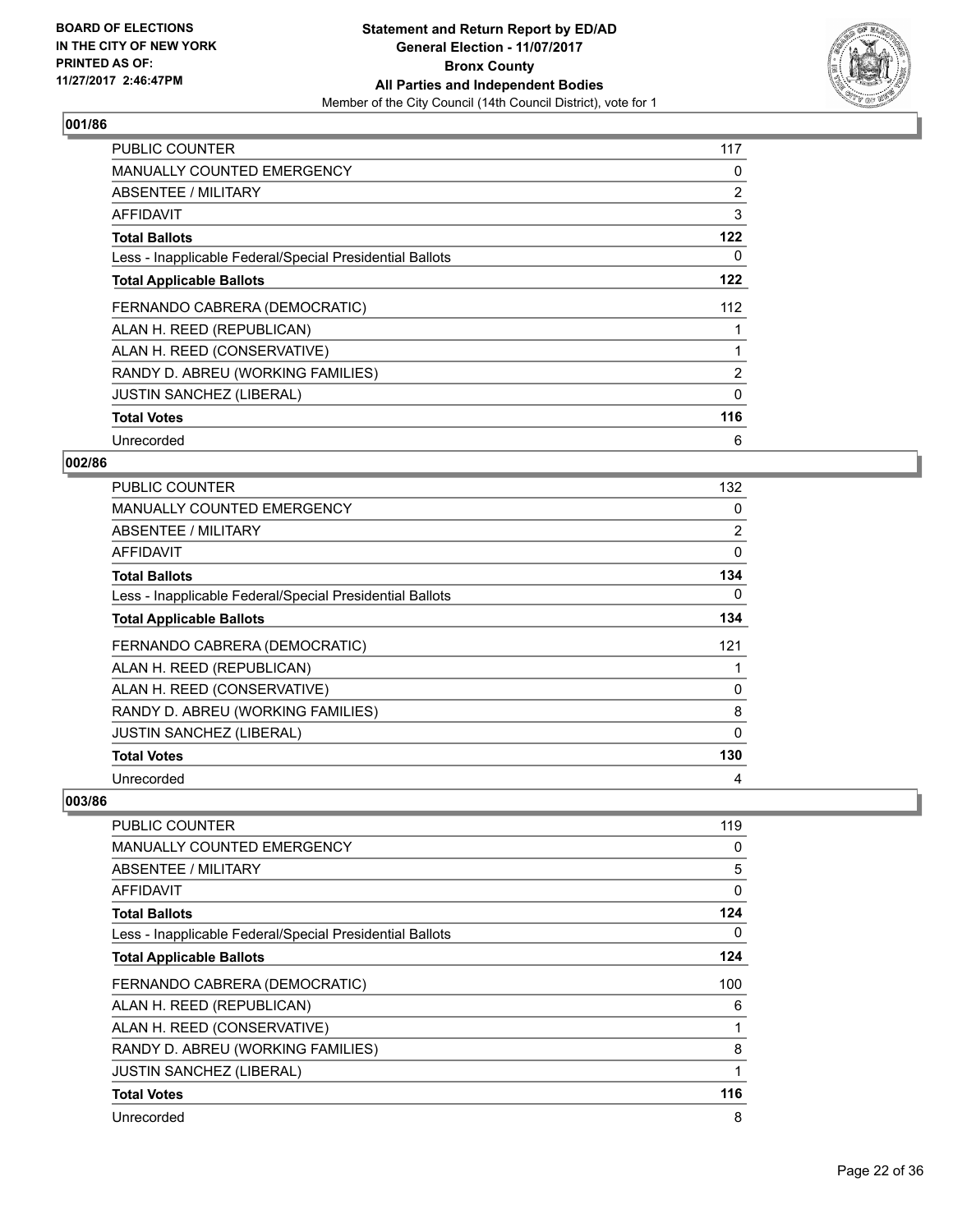

| <b>PUBLIC COUNTER</b>                                    | 117            |
|----------------------------------------------------------|----------------|
| <b>MANUALLY COUNTED EMERGENCY</b>                        | 0              |
| <b>ABSENTEE / MILITARY</b>                               | 2              |
| <b>AFFIDAVIT</b>                                         | 3              |
| <b>Total Ballots</b>                                     | 122            |
| Less - Inapplicable Federal/Special Presidential Ballots | 0              |
| <b>Total Applicable Ballots</b>                          | 122            |
| FERNANDO CABRERA (DEMOCRATIC)                            | 112            |
| ALAN H. REED (REPUBLICAN)                                |                |
| ALAN H. REED (CONSERVATIVE)                              |                |
| RANDY D. ABREU (WORKING FAMILIES)                        | $\overline{2}$ |
| <b>JUSTIN SANCHEZ (LIBERAL)</b>                          | 0              |
| <b>Total Votes</b>                                       | 116            |
| Unrecorded                                               | 6              |

## **002/86**

| <b>PUBLIC COUNTER</b>                                    | 132            |
|----------------------------------------------------------|----------------|
| MANUALLY COUNTED EMERGENCY                               | 0              |
| ABSENTEE / MILITARY                                      | $\overline{2}$ |
| AFFIDAVIT                                                | 0              |
| <b>Total Ballots</b>                                     | 134            |
| Less - Inapplicable Federal/Special Presidential Ballots | 0              |
| <b>Total Applicable Ballots</b>                          | 134            |
| FERNANDO CABRERA (DEMOCRATIC)                            | 121            |
| ALAN H. REED (REPUBLICAN)                                |                |
| ALAN H. REED (CONSERVATIVE)                              | 0              |
| RANDY D. ABREU (WORKING FAMILIES)                        | 8              |
| JUSTIN SANCHEZ (LIBERAL)                                 | 0              |
| <b>Total Votes</b>                                       | 130            |
| Unrecorded                                               | 4              |

| <b>PUBLIC COUNTER</b>                                    | 119          |
|----------------------------------------------------------|--------------|
| <b>MANUALLY COUNTED EMERGENCY</b>                        | 0            |
| <b>ABSENTEE / MILITARY</b>                               | 5            |
| AFFIDAVIT                                                | 0            |
| <b>Total Ballots</b>                                     | 124          |
| Less - Inapplicable Federal/Special Presidential Ballots | 0            |
| <b>Total Applicable Ballots</b>                          | 124          |
| FERNANDO CABRERA (DEMOCRATIC)                            | 100          |
| ALAN H. REED (REPUBLICAN)                                | 6            |
| ALAN H. REED (CONSERVATIVE)                              | $\mathbf{1}$ |
| RANDY D. ABREU (WORKING FAMILIES)                        | 8            |
| <b>JUSTIN SANCHEZ (LIBERAL)</b>                          | 1            |
| <b>Total Votes</b>                                       | 116          |
| Unrecorded                                               | 8            |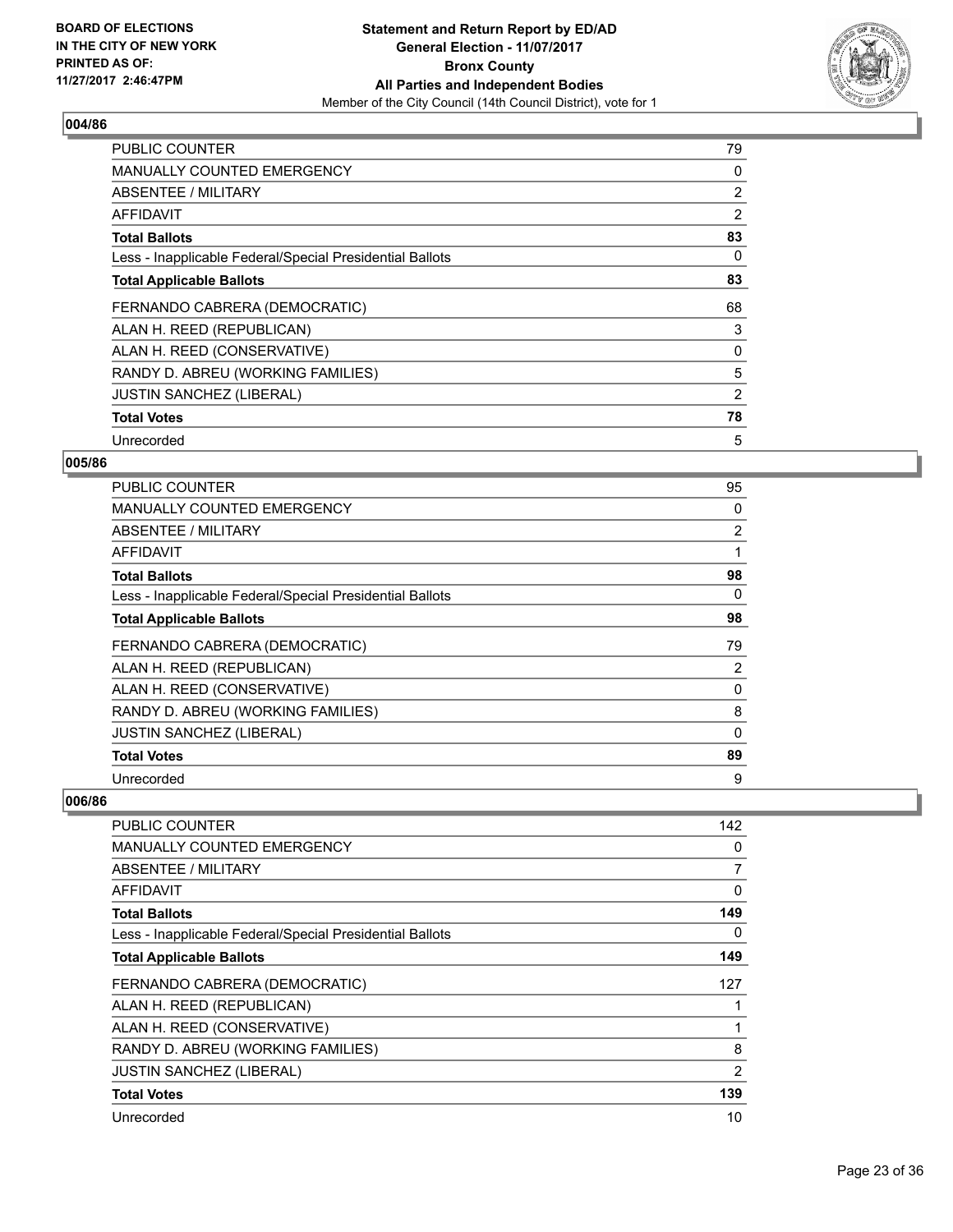

| <b>PUBLIC COUNTER</b>                                    | 79             |
|----------------------------------------------------------|----------------|
| <b>MANUALLY COUNTED EMERGENCY</b>                        | 0              |
| <b>ABSENTEE / MILITARY</b>                               | 2              |
| AFFIDAVIT                                                | $\overline{2}$ |
| <b>Total Ballots</b>                                     | 83             |
| Less - Inapplicable Federal/Special Presidential Ballots | 0              |
| <b>Total Applicable Ballots</b>                          | 83             |
| FERNANDO CABRERA (DEMOCRATIC)                            | 68             |
| ALAN H. REED (REPUBLICAN)                                | 3              |
| ALAN H. REED (CONSERVATIVE)                              | 0              |
| RANDY D. ABREU (WORKING FAMILIES)                        | 5              |
| <b>JUSTIN SANCHEZ (LIBERAL)</b>                          | 2              |
| <b>Total Votes</b>                                       | 78             |
| Unrecorded                                               | 5              |

## **005/86**

| <b>PUBLIC COUNTER</b>                                    | 95             |
|----------------------------------------------------------|----------------|
| <b>MANUALLY COUNTED EMERGENCY</b>                        | 0              |
| ABSENTEE / MILITARY                                      | $\overline{2}$ |
| AFFIDAVIT                                                |                |
| <b>Total Ballots</b>                                     | 98             |
| Less - Inapplicable Federal/Special Presidential Ballots | 0              |
| <b>Total Applicable Ballots</b>                          | 98             |
| FERNANDO CABRERA (DEMOCRATIC)                            | 79             |
| ALAN H. REED (REPUBLICAN)                                | 2              |
| ALAN H. REED (CONSERVATIVE)                              | 0              |
| RANDY D. ABREU (WORKING FAMILIES)                        | 8              |
| <b>JUSTIN SANCHEZ (LIBERAL)</b>                          | $\Omega$       |
| <b>Total Votes</b>                                       | 89             |
| Unrecorded                                               | 9              |

| <b>PUBLIC COUNTER</b>                                    | 142            |
|----------------------------------------------------------|----------------|
| <b>MANUALLY COUNTED EMERGENCY</b>                        | 0              |
| <b>ABSENTEE / MILITARY</b>                               | 7              |
| <b>AFFIDAVIT</b>                                         | 0              |
| <b>Total Ballots</b>                                     | 149            |
| Less - Inapplicable Federal/Special Presidential Ballots | 0              |
| <b>Total Applicable Ballots</b>                          | 149            |
| FERNANDO CABRERA (DEMOCRATIC)                            | 127            |
| ALAN H. REED (REPUBLICAN)                                | 1              |
| ALAN H. REED (CONSERVATIVE)                              | $\mathbf{1}$   |
| RANDY D. ABREU (WORKING FAMILIES)                        | 8              |
| <b>JUSTIN SANCHEZ (LIBERAL)</b>                          | $\overline{2}$ |
| <b>Total Votes</b>                                       | 139            |
| Unrecorded                                               | 10             |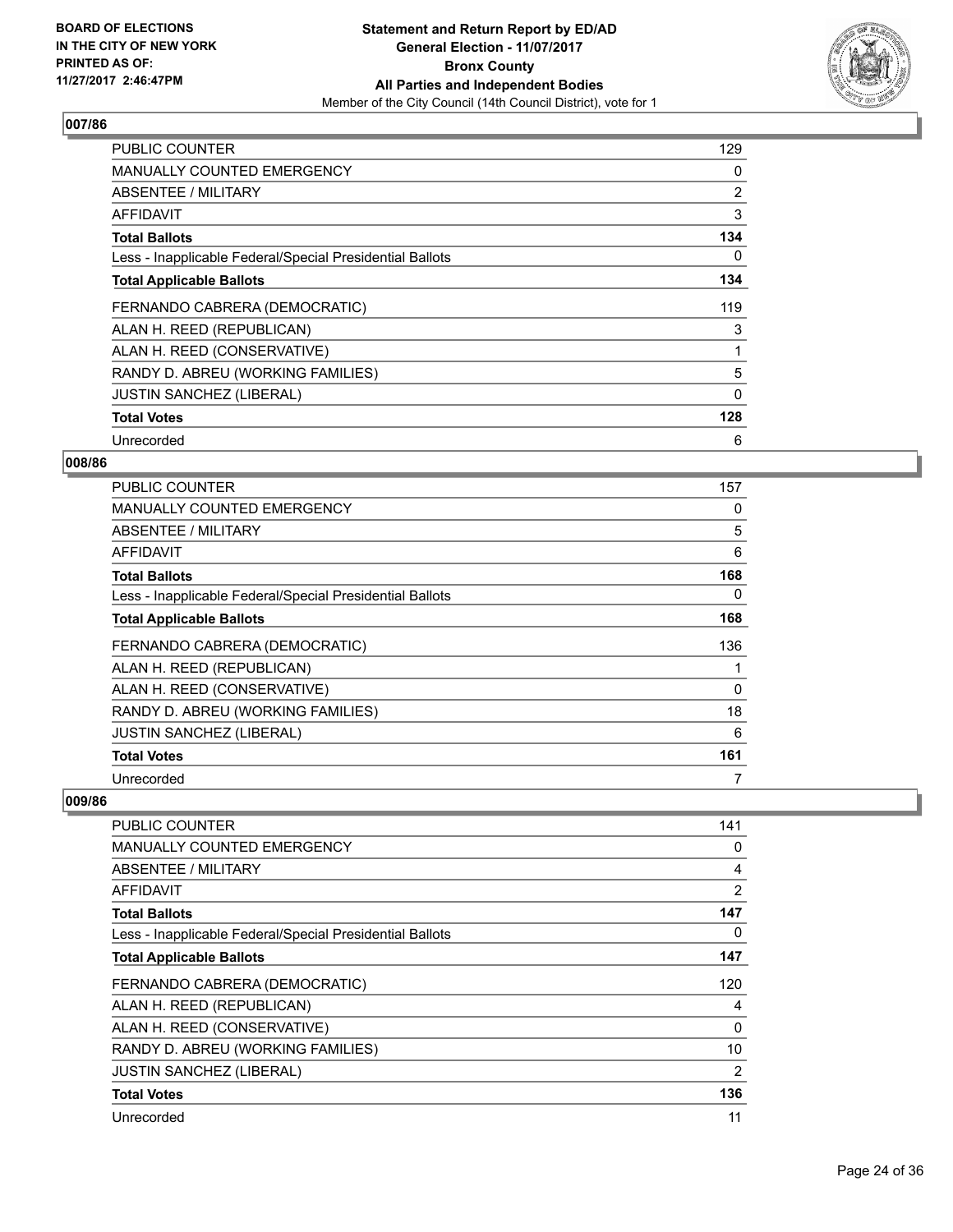

| <b>PUBLIC COUNTER</b>                                    | 129      |
|----------------------------------------------------------|----------|
| <b>MANUALLY COUNTED EMERGENCY</b>                        | 0        |
| <b>ABSENTEE / MILITARY</b>                               | 2        |
| AFFIDAVIT                                                | 3        |
| <b>Total Ballots</b>                                     | 134      |
| Less - Inapplicable Federal/Special Presidential Ballots | 0        |
| <b>Total Applicable Ballots</b>                          | 134      |
| FERNANDO CABRERA (DEMOCRATIC)                            | 119      |
| ALAN H. REED (REPUBLICAN)                                | 3        |
| ALAN H. REED (CONSERVATIVE)                              |          |
| RANDY D. ABREU (WORKING FAMILIES)                        | 5        |
| <b>JUSTIN SANCHEZ (LIBERAL)</b>                          | $\Omega$ |
| <b>Total Votes</b>                                       | 128      |
| Unrecorded                                               | 6        |

## **008/86**

| <b>PUBLIC COUNTER</b>                                    | 157 |
|----------------------------------------------------------|-----|
| <b>MANUALLY COUNTED EMERGENCY</b>                        | 0   |
| ABSENTEE / MILITARY                                      | 5   |
| AFFIDAVIT                                                | 6   |
| <b>Total Ballots</b>                                     | 168 |
| Less - Inapplicable Federal/Special Presidential Ballots | 0   |
| <b>Total Applicable Ballots</b>                          | 168 |
| FERNANDO CABRERA (DEMOCRATIC)                            | 136 |
| ALAN H. REED (REPUBLICAN)                                |     |
| ALAN H. REED (CONSERVATIVE)                              | 0   |
| RANDY D. ABREU (WORKING FAMILIES)                        | 18  |
| <b>JUSTIN SANCHEZ (LIBERAL)</b>                          | 6   |
| <b>Total Votes</b>                                       | 161 |
| Unrecorded                                               |     |

| <b>PUBLIC COUNTER</b>                                    | 141            |
|----------------------------------------------------------|----------------|
| <b>MANUALLY COUNTED EMERGENCY</b>                        | 0              |
| <b>ABSENTEE / MILITARY</b>                               | 4              |
| AFFIDAVIT                                                | $\overline{2}$ |
| <b>Total Ballots</b>                                     | 147            |
| Less - Inapplicable Federal/Special Presidential Ballots | 0              |
| <b>Total Applicable Ballots</b>                          | 147            |
| FERNANDO CABRERA (DEMOCRATIC)                            | 120            |
| ALAN H. REED (REPUBLICAN)                                | 4              |
| ALAN H. REED (CONSERVATIVE)                              | 0              |
| RANDY D. ABREU (WORKING FAMILIES)                        | 10             |
| <b>JUSTIN SANCHEZ (LIBERAL)</b>                          | $\overline{2}$ |
| <b>Total Votes</b>                                       | 136            |
| Unrecorded                                               | 11             |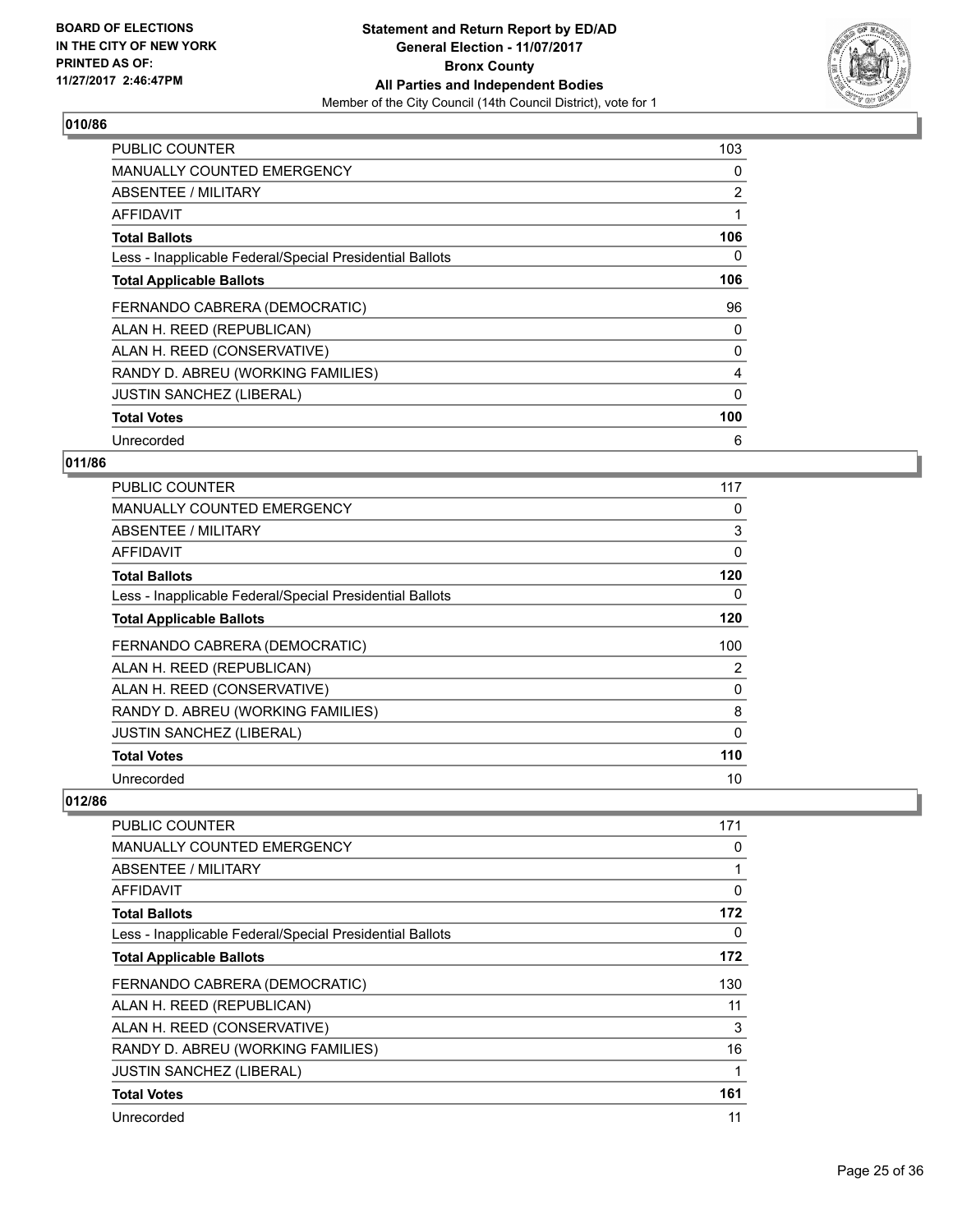

| <b>PUBLIC COUNTER</b>                                    | 103      |
|----------------------------------------------------------|----------|
| <b>MANUALLY COUNTED EMERGENCY</b>                        | 0        |
| <b>ABSENTEE / MILITARY</b>                               | 2        |
| <b>AFFIDAVIT</b>                                         |          |
| <b>Total Ballots</b>                                     | 106      |
| Less - Inapplicable Federal/Special Presidential Ballots | 0        |
| <b>Total Applicable Ballots</b>                          | 106      |
| FERNANDO CABRERA (DEMOCRATIC)                            | 96       |
| ALAN H. REED (REPUBLICAN)                                | 0        |
| ALAN H. REED (CONSERVATIVE)                              | 0        |
| RANDY D. ABREU (WORKING FAMILIES)                        | 4        |
| <b>JUSTIN SANCHEZ (LIBERAL)</b>                          | $\Omega$ |
| <b>Total Votes</b>                                       | 100      |
| Unrecorded                                               | 6        |

## **011/86**

| <b>PUBLIC COUNTER</b>                                    | 117 |
|----------------------------------------------------------|-----|
| <b>MANUALLY COUNTED EMERGENCY</b>                        | 0   |
| ABSENTEE / MILITARY                                      | 3   |
| AFFIDAVIT                                                | 0   |
| <b>Total Ballots</b>                                     | 120 |
| Less - Inapplicable Federal/Special Presidential Ballots | 0   |
| <b>Total Applicable Ballots</b>                          | 120 |
| FERNANDO CABRERA (DEMOCRATIC)                            | 100 |
| ALAN H. REED (REPUBLICAN)                                | 2   |
| ALAN H. REED (CONSERVATIVE)                              | 0   |
| RANDY D. ABREU (WORKING FAMILIES)                        | 8   |
| <b>JUSTIN SANCHEZ (LIBERAL)</b>                          | 0   |
| <b>Total Votes</b>                                       | 110 |
| Unrecorded                                               | 10  |

| <b>PUBLIC COUNTER</b>                                    | 171 |
|----------------------------------------------------------|-----|
| <b>MANUALLY COUNTED EMERGENCY</b>                        | 0   |
| <b>ABSENTEE / MILITARY</b>                               |     |
| AFFIDAVIT                                                | 0   |
| <b>Total Ballots</b>                                     | 172 |
| Less - Inapplicable Federal/Special Presidential Ballots | 0   |
| <b>Total Applicable Ballots</b>                          | 172 |
| FERNANDO CABRERA (DEMOCRATIC)                            | 130 |
| ALAN H. REED (REPUBLICAN)                                | 11  |
| ALAN H. REED (CONSERVATIVE)                              | 3   |
| RANDY D. ABREU (WORKING FAMILIES)                        | 16  |
| <b>JUSTIN SANCHEZ (LIBERAL)</b>                          |     |
| <b>Total Votes</b>                                       | 161 |
| Unrecorded                                               | 11  |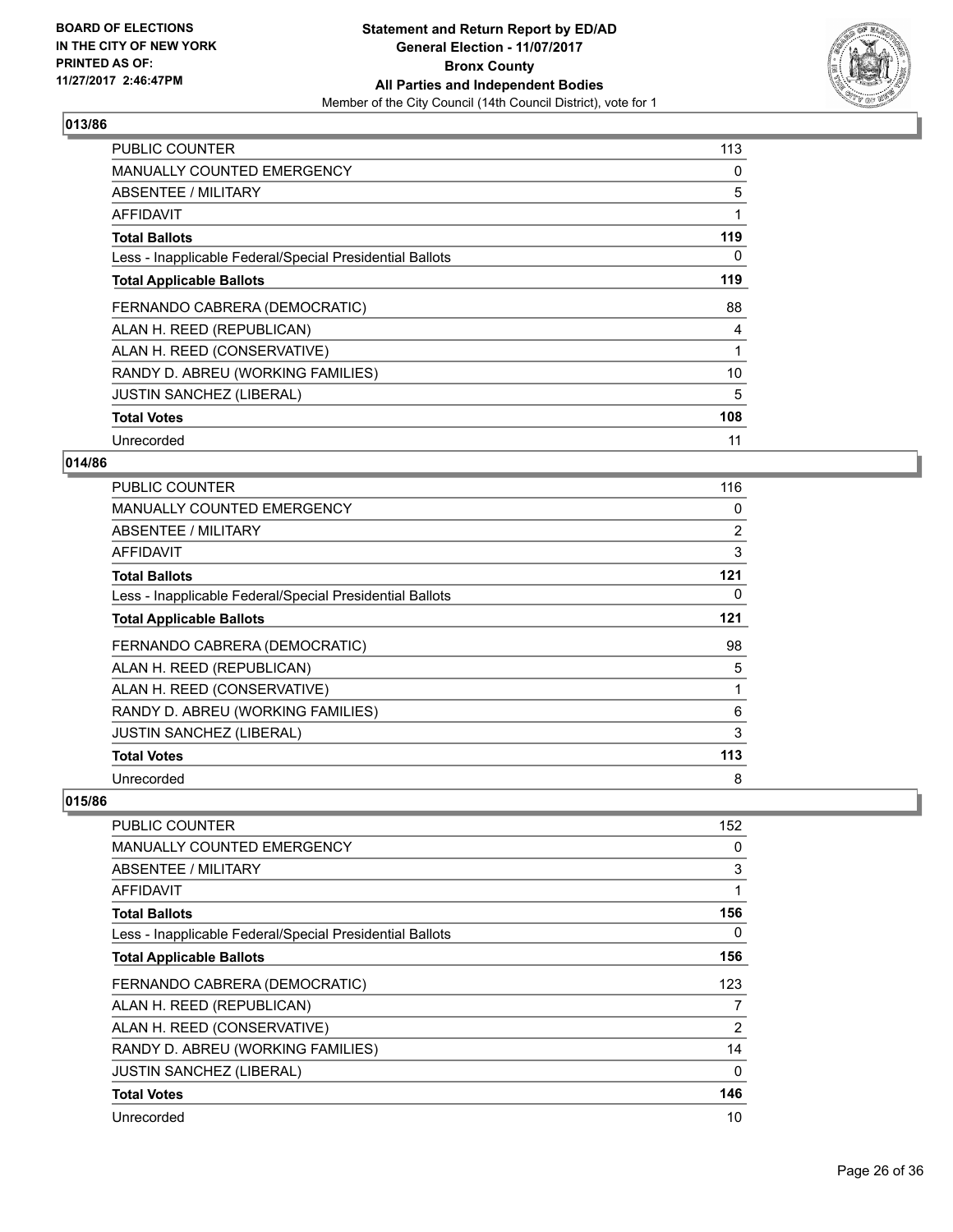

| <b>PUBLIC COUNTER</b>                                    | 113 |
|----------------------------------------------------------|-----|
| <b>MANUALLY COUNTED EMERGENCY</b>                        | 0   |
| <b>ABSENTEE / MILITARY</b>                               | 5   |
| AFFIDAVIT                                                |     |
| <b>Total Ballots</b>                                     | 119 |
| Less - Inapplicable Federal/Special Presidential Ballots | 0   |
| <b>Total Applicable Ballots</b>                          | 119 |
| FERNANDO CABRERA (DEMOCRATIC)                            | 88  |
| ALAN H. REED (REPUBLICAN)                                | 4   |
| ALAN H. REED (CONSERVATIVE)                              |     |
| RANDY D. ABREU (WORKING FAMILIES)                        | 10  |
| <b>JUSTIN SANCHEZ (LIBERAL)</b>                          | 5   |
| <b>Total Votes</b>                                       | 108 |
| Unrecorded                                               | 11  |

## **014/86**

| <b>PUBLIC COUNTER</b>                                    | 116            |
|----------------------------------------------------------|----------------|
| MANUALLY COUNTED EMERGENCY                               | 0              |
| ABSENTEE / MILITARY                                      | $\overline{2}$ |
| AFFIDAVIT                                                | 3              |
| <b>Total Ballots</b>                                     | 121            |
| Less - Inapplicable Federal/Special Presidential Ballots | 0              |
| <b>Total Applicable Ballots</b>                          | 121            |
| FERNANDO CABRERA (DEMOCRATIC)                            | 98             |
| ALAN H. REED (REPUBLICAN)                                | 5              |
| ALAN H. REED (CONSERVATIVE)                              |                |
| RANDY D. ABREU (WORKING FAMILIES)                        | 6              |
| <b>JUSTIN SANCHEZ (LIBERAL)</b>                          | 3              |
| <b>Total Votes</b>                                       | 113            |
| Unrecorded                                               | 8              |

| <b>PUBLIC COUNTER</b>                                    | 152 |
|----------------------------------------------------------|-----|
| <b>MANUALLY COUNTED EMERGENCY</b>                        | 0   |
| <b>ABSENTEE / MILITARY</b>                               | 3   |
| AFFIDAVIT                                                | 1   |
| <b>Total Ballots</b>                                     | 156 |
| Less - Inapplicable Federal/Special Presidential Ballots | 0   |
| <b>Total Applicable Ballots</b>                          | 156 |
| FERNANDO CABRERA (DEMOCRATIC)                            | 123 |
| ALAN H. REED (REPUBLICAN)                                | 7   |
| ALAN H. REED (CONSERVATIVE)                              | 2   |
| RANDY D. ABREU (WORKING FAMILIES)                        | 14  |
| <b>JUSTIN SANCHEZ (LIBERAL)</b>                          | 0   |
| <b>Total Votes</b>                                       | 146 |
| Unrecorded                                               | 10  |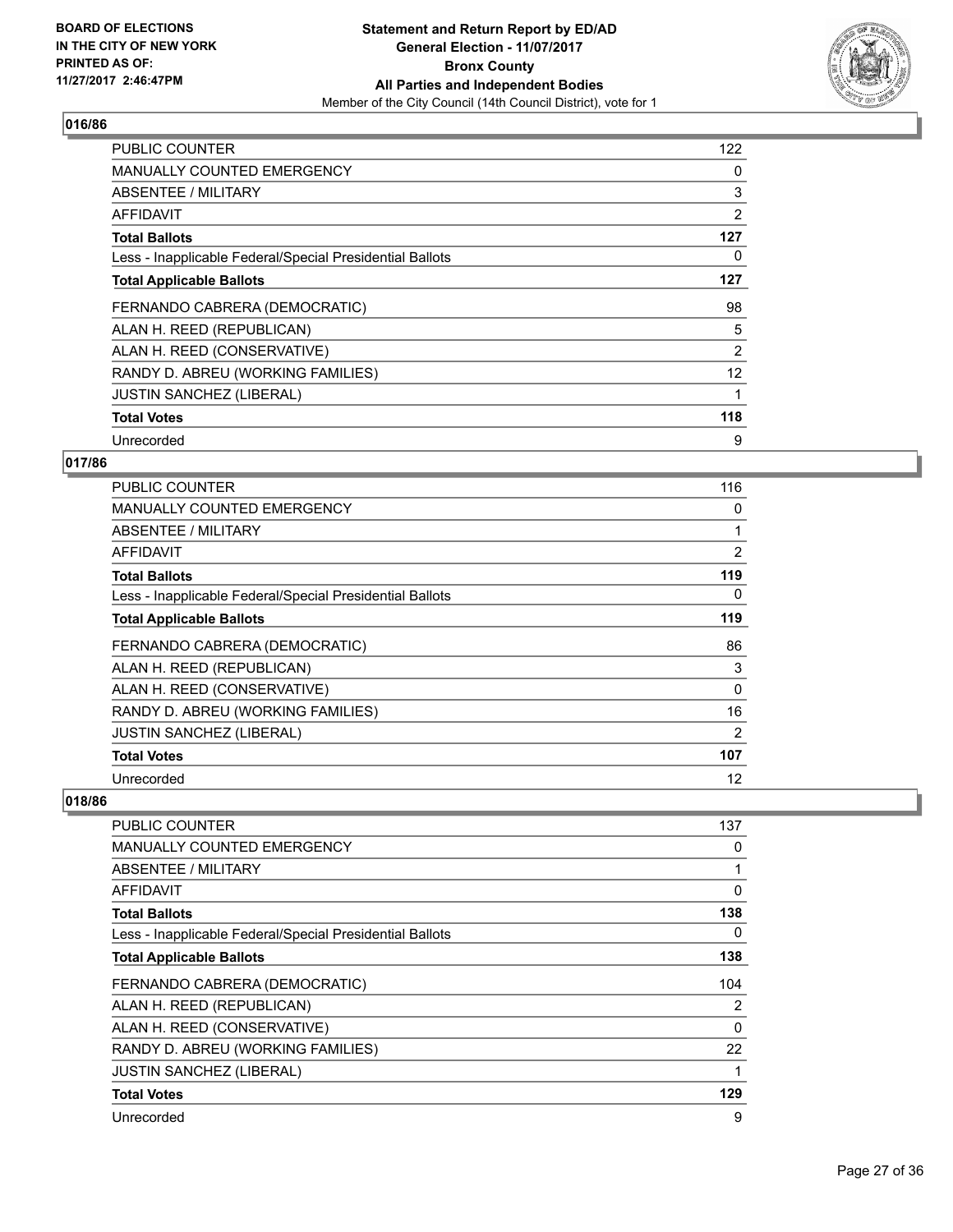

| <b>PUBLIC COUNTER</b>                                    | 122 |
|----------------------------------------------------------|-----|
| <b>MANUALLY COUNTED EMERGENCY</b>                        | 0   |
| <b>ABSENTEE / MILITARY</b>                               | 3   |
| AFFIDAVIT                                                | 2   |
| <b>Total Ballots</b>                                     | 127 |
| Less - Inapplicable Federal/Special Presidential Ballots | 0   |
| <b>Total Applicable Ballots</b>                          | 127 |
| FERNANDO CABRERA (DEMOCRATIC)                            | 98  |
| ALAN H. REED (REPUBLICAN)                                | 5   |
| ALAN H. REED (CONSERVATIVE)                              | 2   |
| RANDY D. ABREU (WORKING FAMILIES)                        | 12  |
| <b>JUSTIN SANCHEZ (LIBERAL)</b>                          |     |
| <b>Total Votes</b>                                       | 118 |
| Unrecorded                                               | 9   |

## **017/86**

| <b>PUBLIC COUNTER</b>                                    | 116 |
|----------------------------------------------------------|-----|
| <b>MANUALLY COUNTED EMERGENCY</b>                        | 0   |
| ABSENTEE / MILITARY                                      |     |
| AFFIDAVIT                                                | 2   |
| <b>Total Ballots</b>                                     | 119 |
| Less - Inapplicable Federal/Special Presidential Ballots | 0   |
| <b>Total Applicable Ballots</b>                          | 119 |
| FERNANDO CABRERA (DEMOCRATIC)                            | 86  |
| ALAN H. REED (REPUBLICAN)                                | 3   |
| ALAN H. REED (CONSERVATIVE)                              | 0   |
| RANDY D. ABREU (WORKING FAMILIES)                        | 16  |
| <b>JUSTIN SANCHEZ (LIBERAL)</b>                          | 2   |
| <b>Total Votes</b>                                       | 107 |
| Unrecorded                                               | 12  |

| PUBLIC COUNTER                                           | 137 |
|----------------------------------------------------------|-----|
| <b>MANUALLY COUNTED EMERGENCY</b>                        | 0   |
| ABSENTEE / MILITARY                                      |     |
| AFFIDAVIT                                                | 0   |
| <b>Total Ballots</b>                                     | 138 |
| Less - Inapplicable Federal/Special Presidential Ballots | 0   |
| <b>Total Applicable Ballots</b>                          | 138 |
| FERNANDO CABRERA (DEMOCRATIC)                            | 104 |
| ALAN H. REED (REPUBLICAN)                                | 2   |
| ALAN H. REED (CONSERVATIVE)                              | 0   |
| RANDY D. ABREU (WORKING FAMILIES)                        | 22  |
| JUSTIN SANCHEZ (LIBERAL)                                 |     |
| <b>Total Votes</b>                                       | 129 |
| Unrecorded                                               | 9   |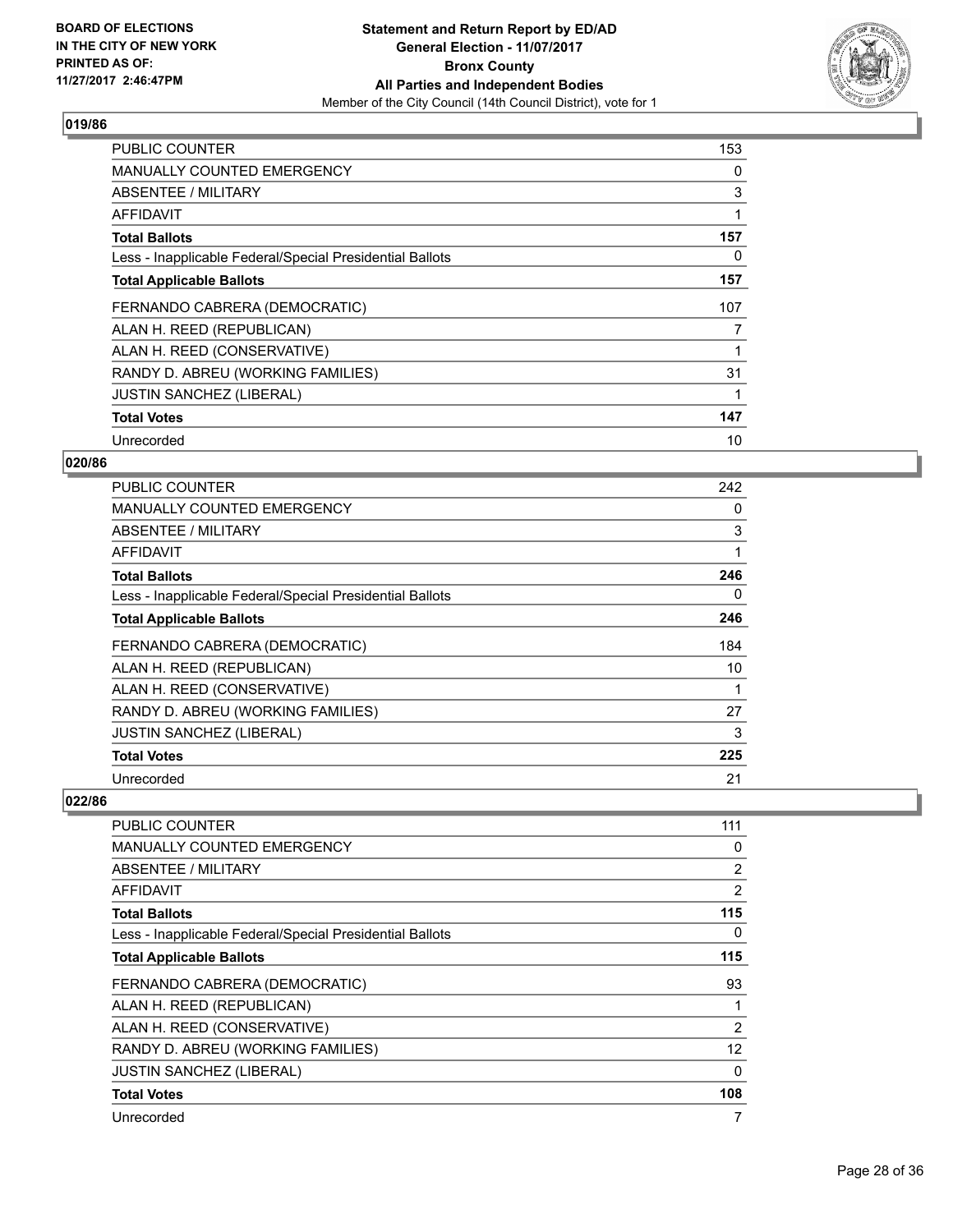

| <b>PUBLIC COUNTER</b>                                    | 153 |
|----------------------------------------------------------|-----|
| <b>MANUALLY COUNTED EMERGENCY</b>                        | 0   |
| <b>ABSENTEE / MILITARY</b>                               | 3   |
| AFFIDAVIT                                                |     |
| <b>Total Ballots</b>                                     | 157 |
| Less - Inapplicable Federal/Special Presidential Ballots | 0   |
| <b>Total Applicable Ballots</b>                          | 157 |
| FERNANDO CABRERA (DEMOCRATIC)                            | 107 |
| ALAN H. REED (REPUBLICAN)                                | 7   |
| ALAN H. REED (CONSERVATIVE)                              |     |
| RANDY D. ABREU (WORKING FAMILIES)                        | 31  |
| <b>JUSTIN SANCHEZ (LIBERAL)</b>                          |     |
| <b>Total Votes</b>                                       | 147 |
| Unrecorded                                               | 10  |

## **020/86**

| <b>PUBLIC COUNTER</b>                                    | 242 |
|----------------------------------------------------------|-----|
| MANUALLY COUNTED EMERGENCY                               | 0   |
| ABSENTEE / MILITARY                                      | 3   |
| AFFIDAVIT                                                | 1   |
| <b>Total Ballots</b>                                     | 246 |
| Less - Inapplicable Federal/Special Presidential Ballots | 0   |
| <b>Total Applicable Ballots</b>                          | 246 |
| FERNANDO CABRERA (DEMOCRATIC)                            | 184 |
| ALAN H. REED (REPUBLICAN)                                | 10  |
| ALAN H. REED (CONSERVATIVE)                              |     |
| RANDY D. ABREU (WORKING FAMILIES)                        | 27  |
| <b>JUSTIN SANCHEZ (LIBERAL)</b>                          | 3   |
| <b>Total Votes</b>                                       | 225 |
| Unrecorded                                               | 21  |

| PUBLIC COUNTER                                           | 111            |
|----------------------------------------------------------|----------------|
| <b>MANUALLY COUNTED EMERGENCY</b>                        | 0              |
| <b>ABSENTEE / MILITARY</b>                               | $\overline{2}$ |
| AFFIDAVIT                                                | 2              |
| <b>Total Ballots</b>                                     | 115            |
| Less - Inapplicable Federal/Special Presidential Ballots | 0              |
| <b>Total Applicable Ballots</b>                          | 115            |
| FERNANDO CABRERA (DEMOCRATIC)                            | 93             |
| ALAN H. REED (REPUBLICAN)                                |                |
| ALAN H. REED (CONSERVATIVE)                              | 2              |
| RANDY D. ABREU (WORKING FAMILIES)                        | 12             |
| <b>JUSTIN SANCHEZ (LIBERAL)</b>                          | 0              |
| <b>Total Votes</b>                                       | 108            |
| Unrecorded                                               | 7              |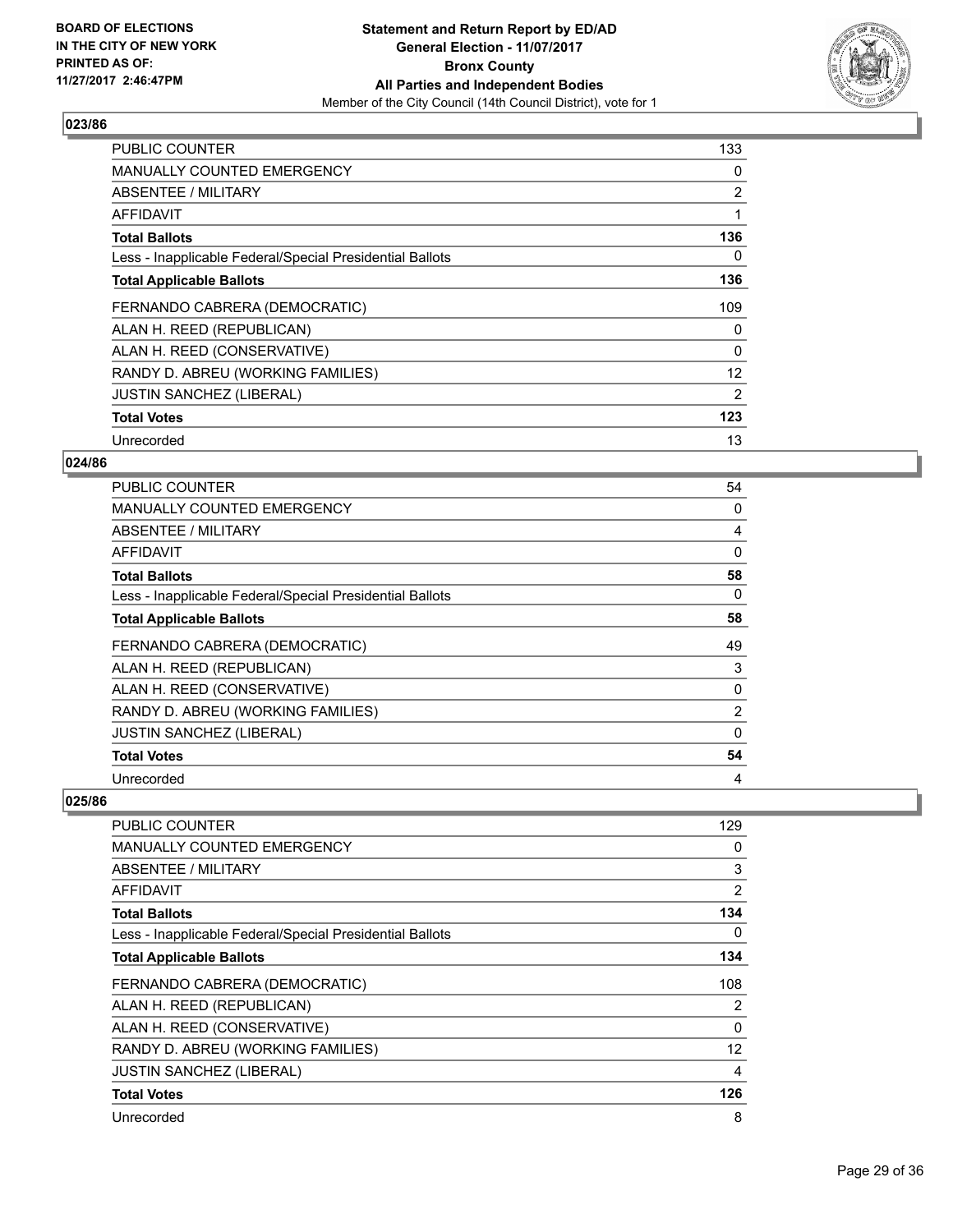

| <b>PUBLIC COUNTER</b>                                    | 133               |
|----------------------------------------------------------|-------------------|
| MANUALLY COUNTED EMERGENCY                               | 0                 |
| ABSENTEE / MILITARY                                      | 2                 |
| AFFIDAVIT                                                |                   |
| <b>Total Ballots</b>                                     | 136               |
| Less - Inapplicable Federal/Special Presidential Ballots | 0                 |
| <b>Total Applicable Ballots</b>                          | 136               |
| FERNANDO CABRERA (DEMOCRATIC)                            | 109               |
| ALAN H. REED (REPUBLICAN)                                | 0                 |
| ALAN H. REED (CONSERVATIVE)                              | $\Omega$          |
| RANDY D. ABREU (WORKING FAMILIES)                        | $12 \overline{ }$ |
| <b>JUSTIN SANCHEZ (LIBERAL)</b>                          | 2                 |
| <b>Total Votes</b>                                       | 123               |
| Unrecorded                                               | 13                |

## **024/86**

| <b>PUBLIC COUNTER</b>                                    | 54             |
|----------------------------------------------------------|----------------|
| <b>MANUALLY COUNTED EMERGENCY</b>                        | 0              |
| ABSENTEE / MILITARY                                      | 4              |
| AFFIDAVIT                                                | $\Omega$       |
| <b>Total Ballots</b>                                     | 58             |
| Less - Inapplicable Federal/Special Presidential Ballots | 0              |
| <b>Total Applicable Ballots</b>                          | 58             |
| FERNANDO CABRERA (DEMOCRATIC)                            | 49             |
| ALAN H. REED (REPUBLICAN)                                | 3              |
| ALAN H. REED (CONSERVATIVE)                              | 0              |
| RANDY D. ABREU (WORKING FAMILIES)                        | $\overline{2}$ |
| <b>JUSTIN SANCHEZ (LIBERAL)</b>                          | 0              |
| <b>Total Votes</b>                                       | 54             |
| Unrecorded                                               | 4              |

| <b>PUBLIC COUNTER</b>                                    | 129            |
|----------------------------------------------------------|----------------|
| <b>MANUALLY COUNTED EMERGENCY</b>                        | 0              |
| <b>ABSENTEE / MILITARY</b>                               | 3              |
| AFFIDAVIT                                                | $\overline{2}$ |
| <b>Total Ballots</b>                                     | 134            |
| Less - Inapplicable Federal/Special Presidential Ballots | 0              |
| <b>Total Applicable Ballots</b>                          | 134            |
| FERNANDO CABRERA (DEMOCRATIC)                            | 108            |
| ALAN H. REED (REPUBLICAN)                                | 2              |
| ALAN H. REED (CONSERVATIVE)                              | 0              |
| RANDY D. ABREU (WORKING FAMILIES)                        | 12             |
| <b>JUSTIN SANCHEZ (LIBERAL)</b>                          | 4              |
| <b>Total Votes</b>                                       | 126            |
| Unrecorded                                               | 8              |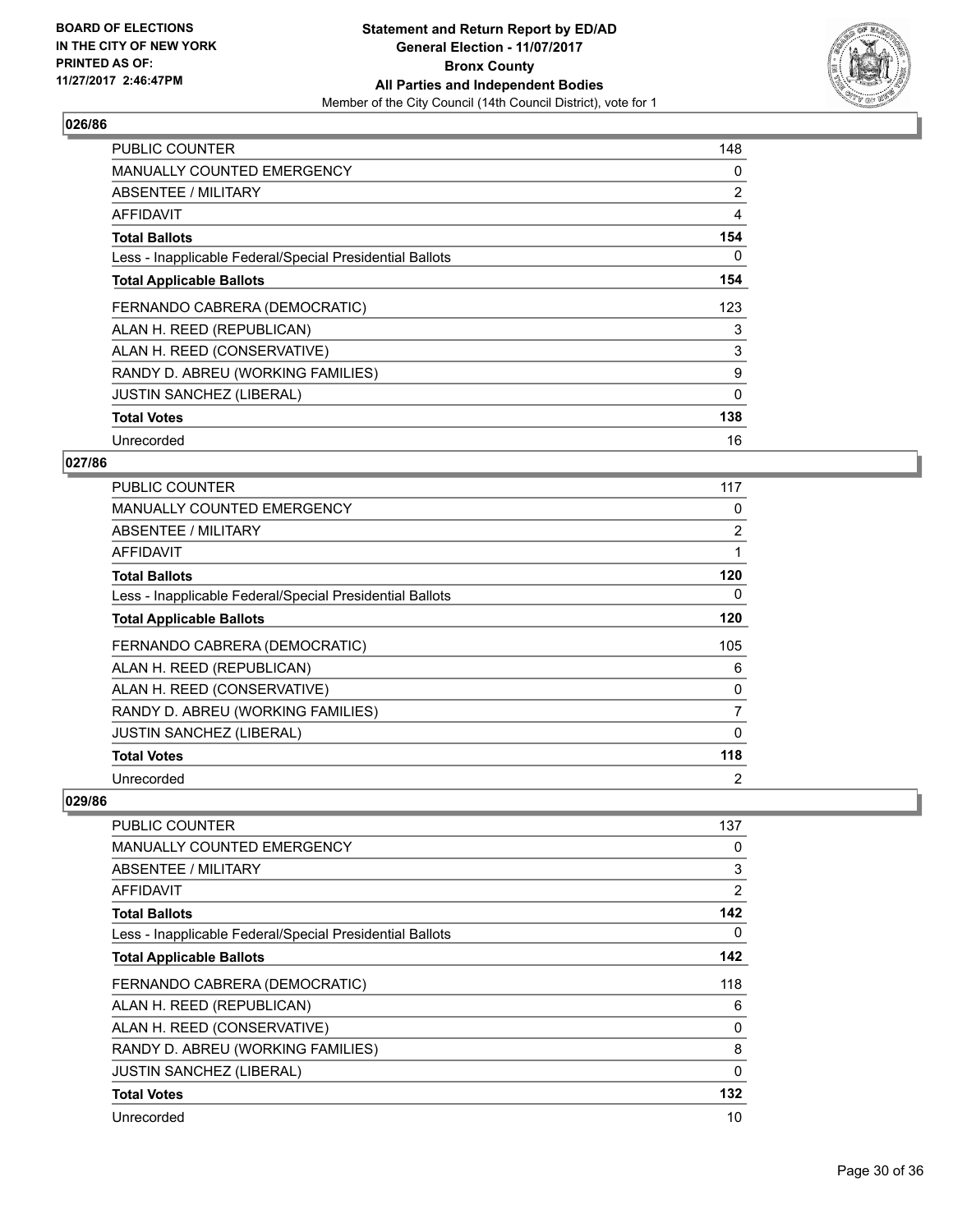

| <b>PUBLIC COUNTER</b>                                    | 148 |
|----------------------------------------------------------|-----|
| <b>MANUALLY COUNTED EMERGENCY</b>                        | 0   |
| <b>ABSENTEE / MILITARY</b>                               | 2   |
| AFFIDAVIT                                                | 4   |
| <b>Total Ballots</b>                                     | 154 |
| Less - Inapplicable Federal/Special Presidential Ballots | 0   |
| <b>Total Applicable Ballots</b>                          | 154 |
| FERNANDO CABRERA (DEMOCRATIC)                            | 123 |
| ALAN H. REED (REPUBLICAN)                                | 3   |
| ALAN H. REED (CONSERVATIVE)                              | 3   |
| RANDY D. ABREU (WORKING FAMILIES)                        | 9   |
| <b>JUSTIN SANCHEZ (LIBERAL)</b>                          | 0   |
| <b>Total Votes</b>                                       | 138 |
| Unrecorded                                               | 16  |

## **027/86**

| <b>PUBLIC COUNTER</b>                                    | 117            |
|----------------------------------------------------------|----------------|
| MANUALLY COUNTED EMERGENCY                               | 0              |
| ABSENTEE / MILITARY                                      | $\overline{2}$ |
| AFFIDAVIT                                                |                |
| <b>Total Ballots</b>                                     | 120            |
| Less - Inapplicable Federal/Special Presidential Ballots | 0              |
| <b>Total Applicable Ballots</b>                          | 120            |
| FERNANDO CABRERA (DEMOCRATIC)                            | 105            |
| ALAN H. REED (REPUBLICAN)                                | 6              |
| ALAN H. REED (CONSERVATIVE)                              | 0              |
| RANDY D. ABREU (WORKING FAMILIES)                        | 7              |
| JUSTIN SANCHEZ (LIBERAL)                                 | 0              |
| <b>Total Votes</b>                                       | 118            |
| Unrecorded                                               | 2              |

| <b>PUBLIC COUNTER</b>                                    | 137         |
|----------------------------------------------------------|-------------|
| <b>MANUALLY COUNTED EMERGENCY</b>                        | 0           |
| <b>ABSENTEE / MILITARY</b>                               | 3           |
| <b>AFFIDAVIT</b>                                         | 2           |
| <b>Total Ballots</b>                                     | 142         |
| Less - Inapplicable Federal/Special Presidential Ballots | 0           |
| <b>Total Applicable Ballots</b>                          | 142         |
| FERNANDO CABRERA (DEMOCRATIC)                            | 118         |
| ALAN H. REED (REPUBLICAN)                                | 6           |
| ALAN H. REED (CONSERVATIVE)                              | 0           |
| RANDY D. ABREU (WORKING FAMILIES)                        | 8           |
| <b>JUSTIN SANCHEZ (LIBERAL)</b>                          | $\mathbf 0$ |
| <b>Total Votes</b>                                       | 132         |
| Unrecorded                                               | 10          |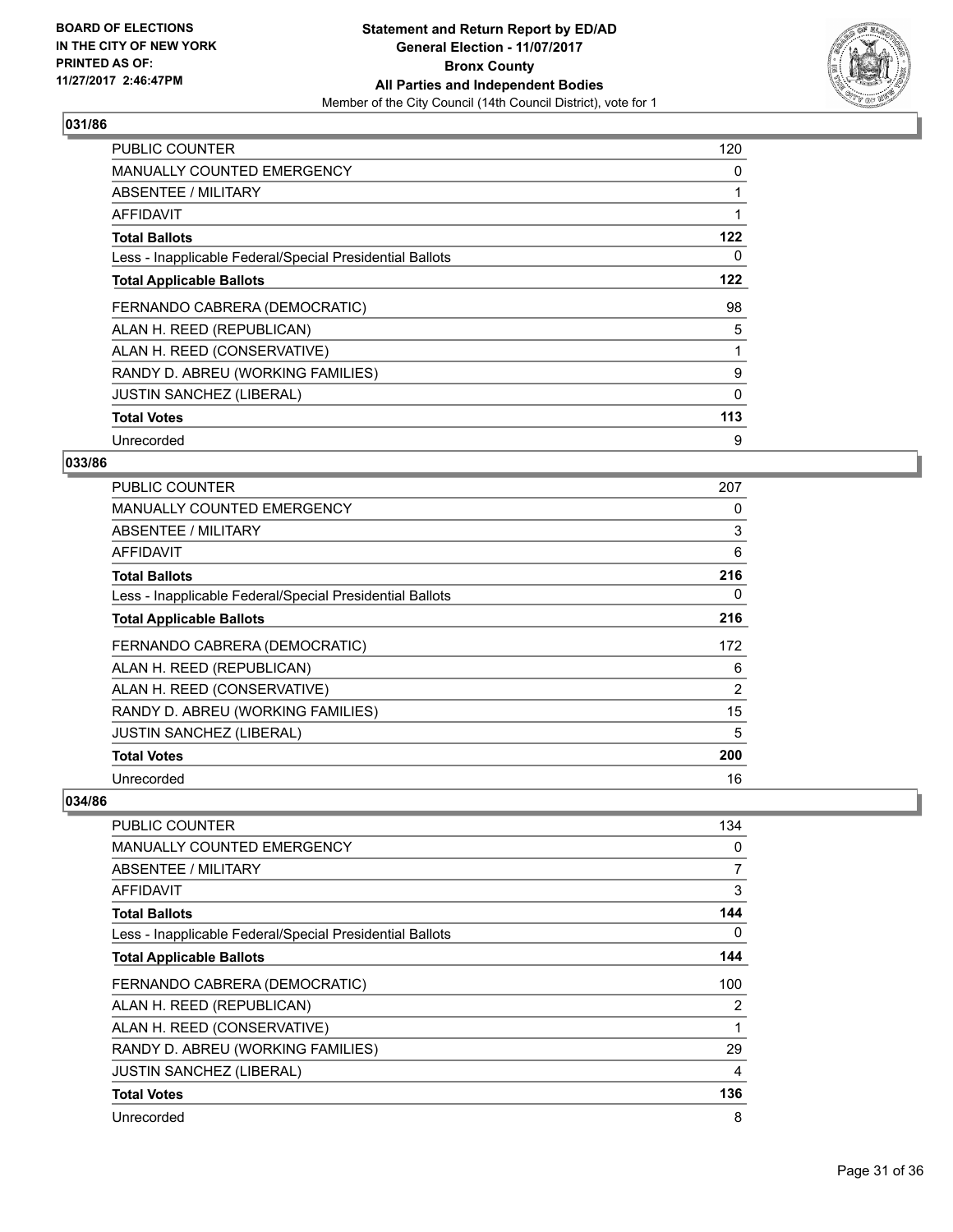

| <b>PUBLIC COUNTER</b>                                    | 120 |
|----------------------------------------------------------|-----|
| MANUALLY COUNTED EMERGENCY                               | 0   |
| <b>ABSENTEE / MILITARY</b>                               |     |
| <b>AFFIDAVIT</b>                                         |     |
| <b>Total Ballots</b>                                     | 122 |
| Less - Inapplicable Federal/Special Presidential Ballots | 0   |
| <b>Total Applicable Ballots</b>                          | 122 |
| FERNANDO CABRERA (DEMOCRATIC)                            | 98  |
| ALAN H. REED (REPUBLICAN)                                | 5   |
| ALAN H. REED (CONSERVATIVE)                              |     |
| RANDY D. ABREU (WORKING FAMILIES)                        | 9   |
| <b>JUSTIN SANCHEZ (LIBERAL)</b>                          | 0   |
| <b>Total Votes</b>                                       | 113 |
| Unrecorded                                               | 9   |

## **033/86**

| <b>PUBLIC COUNTER</b>                                    | 207 |
|----------------------------------------------------------|-----|
| <b>MANUALLY COUNTED EMERGENCY</b>                        | 0   |
| ABSENTEE / MILITARY                                      | 3   |
| AFFIDAVIT                                                | 6   |
| <b>Total Ballots</b>                                     | 216 |
| Less - Inapplicable Federal/Special Presidential Ballots | 0   |
| <b>Total Applicable Ballots</b>                          | 216 |
| FERNANDO CABRERA (DEMOCRATIC)                            | 172 |
| ALAN H. REED (REPUBLICAN)                                | 6   |
| ALAN H. REED (CONSERVATIVE)                              | 2   |
| RANDY D. ABREU (WORKING FAMILIES)                        | 15  |
| <b>JUSTIN SANCHEZ (LIBERAL)</b>                          | 5   |
| <b>Total Votes</b>                                       | 200 |
| Unrecorded                                               | 16  |

| <b>PUBLIC COUNTER</b>                                    | 134 |
|----------------------------------------------------------|-----|
| <b>MANUALLY COUNTED EMERGENCY</b>                        | 0   |
| <b>ABSENTEE / MILITARY</b>                               | 7   |
| <b>AFFIDAVIT</b>                                         | 3   |
| <b>Total Ballots</b>                                     | 144 |
| Less - Inapplicable Federal/Special Presidential Ballots | 0   |
| <b>Total Applicable Ballots</b>                          | 144 |
| FERNANDO CABRERA (DEMOCRATIC)                            | 100 |
| ALAN H. REED (REPUBLICAN)                                | 2   |
| ALAN H. REED (CONSERVATIVE)                              |     |
| RANDY D. ABREU (WORKING FAMILIES)                        | 29  |
| <b>JUSTIN SANCHEZ (LIBERAL)</b>                          | 4   |
| <b>Total Votes</b>                                       | 136 |
| Unrecorded                                               | 8   |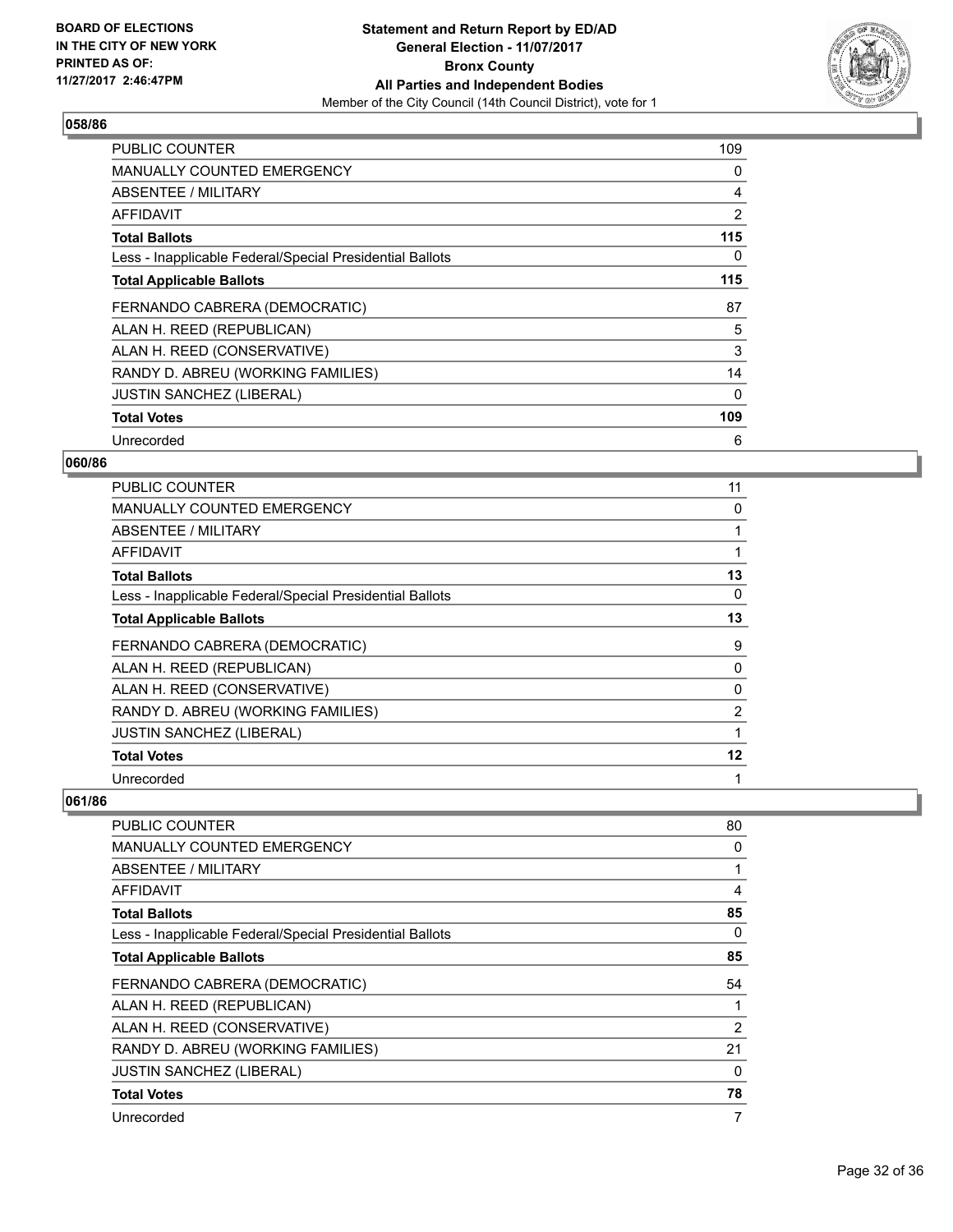

| <b>PUBLIC COUNTER</b>                                    | 109 |
|----------------------------------------------------------|-----|
| <b>MANUALLY COUNTED EMERGENCY</b>                        | 0   |
| <b>ABSENTEE / MILITARY</b>                               | 4   |
| AFFIDAVIT                                                | 2   |
| <b>Total Ballots</b>                                     | 115 |
| Less - Inapplicable Federal/Special Presidential Ballots | 0   |
| <b>Total Applicable Ballots</b>                          | 115 |
| FERNANDO CABRERA (DEMOCRATIC)                            | 87  |
| ALAN H. REED (REPUBLICAN)                                | 5   |
| ALAN H. REED (CONSERVATIVE)                              | 3   |
| RANDY D. ABREU (WORKING FAMILIES)                        | 14  |
| <b>JUSTIN SANCHEZ (LIBERAL)</b>                          | 0   |
| <b>Total Votes</b>                                       | 109 |
| Unrecorded                                               | 6   |

## **060/86**

| PUBLIC COUNTER                                           | 11 |
|----------------------------------------------------------|----|
| <b>MANUALLY COUNTED EMERGENCY</b>                        | 0  |
| ABSENTEE / MILITARY                                      | 1  |
| AFFIDAVIT                                                | 1  |
| <b>Total Ballots</b>                                     | 13 |
| Less - Inapplicable Federal/Special Presidential Ballots | 0  |
| <b>Total Applicable Ballots</b>                          | 13 |
| FERNANDO CABRERA (DEMOCRATIC)                            | 9  |
| ALAN H. REED (REPUBLICAN)                                | 0  |
| ALAN H. REED (CONSERVATIVE)                              | 0  |
| RANDY D. ABREU (WORKING FAMILIES)                        | 2  |
| <b>JUSTIN SANCHEZ (LIBERAL)</b>                          | 1  |
| <b>Total Votes</b>                                       | 12 |
| Unrecorded                                               | 1  |

| <b>PUBLIC COUNTER</b>                                    | 80           |
|----------------------------------------------------------|--------------|
| <b>MANUALLY COUNTED EMERGENCY</b>                        | 0            |
| ABSENTEE / MILITARY                                      | $\mathbf{1}$ |
| AFFIDAVIT                                                | 4            |
| <b>Total Ballots</b>                                     | 85           |
| Less - Inapplicable Federal/Special Presidential Ballots | 0            |
| <b>Total Applicable Ballots</b>                          | 85           |
| FERNANDO CABRERA (DEMOCRATIC)                            | 54           |
| ALAN H. REED (REPUBLICAN)                                | 1            |
| ALAN H. REED (CONSERVATIVE)                              | 2            |
| RANDY D. ABREU (WORKING FAMILIES)                        | 21           |
| <b>JUSTIN SANCHEZ (LIBERAL)</b>                          | 0            |
| <b>Total Votes</b>                                       | 78           |
| Unrecorded                                               | 7            |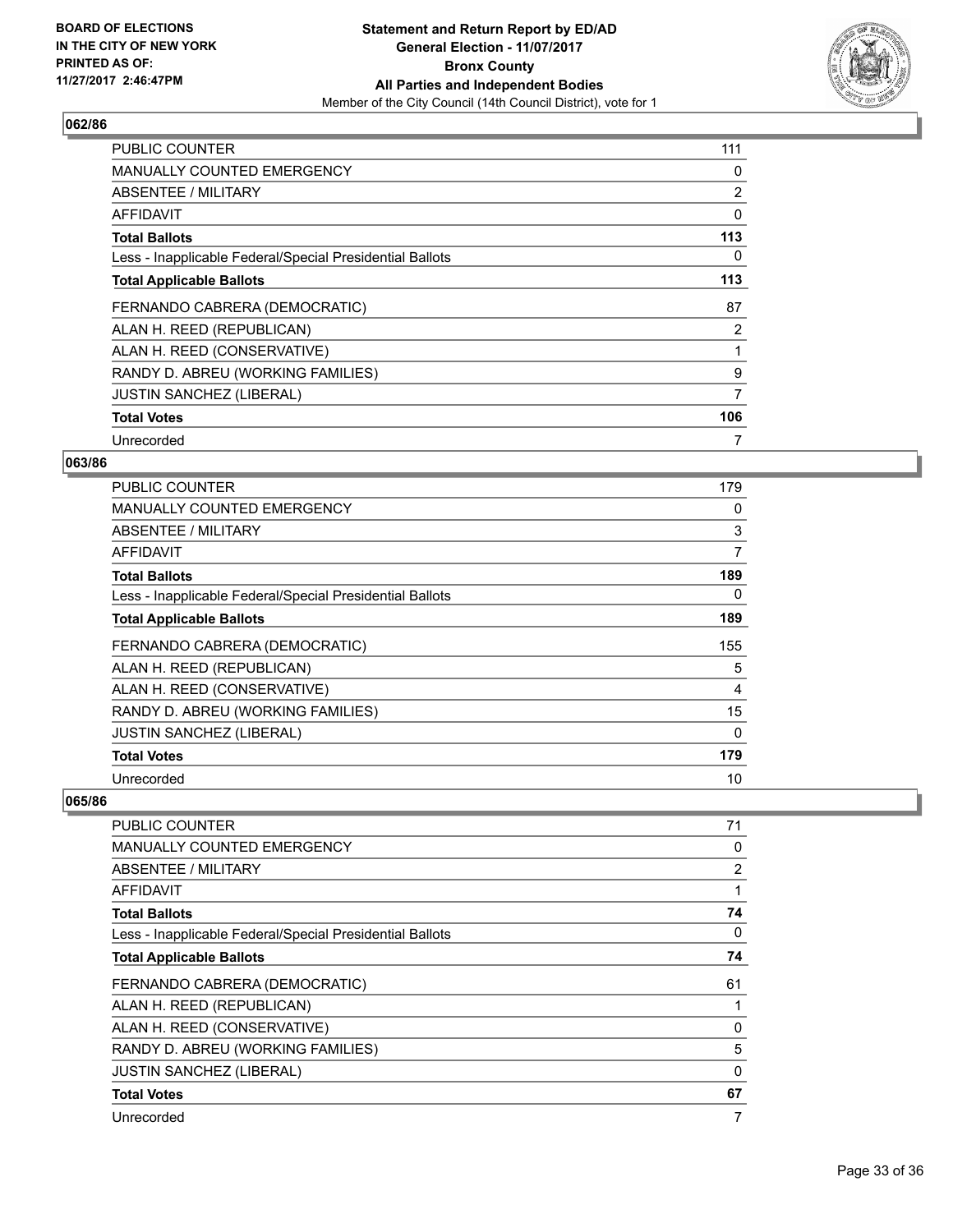

| <b>PUBLIC COUNTER</b>                                    | 111            |
|----------------------------------------------------------|----------------|
| <b>MANUALLY COUNTED EMERGENCY</b>                        | 0              |
| <b>ABSENTEE / MILITARY</b>                               | 2              |
| <b>AFFIDAVIT</b>                                         | 0              |
| <b>Total Ballots</b>                                     | 113            |
| Less - Inapplicable Federal/Special Presidential Ballots | 0              |
| <b>Total Applicable Ballots</b>                          | 113            |
| FERNANDO CABRERA (DEMOCRATIC)                            | 87             |
| ALAN H. REED (REPUBLICAN)                                | $\overline{2}$ |
| ALAN H. REED (CONSERVATIVE)                              |                |
| RANDY D. ABREU (WORKING FAMILIES)                        | 9              |
| <b>JUSTIN SANCHEZ (LIBERAL)</b>                          | 7              |
| <b>Total Votes</b>                                       | 106            |
| Unrecorded                                               | 7              |

## **063/86**

| <b>PUBLIC COUNTER</b>                                    | 179 |
|----------------------------------------------------------|-----|
| MANUALLY COUNTED EMERGENCY                               | 0   |
| ABSENTEE / MILITARY                                      | 3   |
| AFFIDAVIT                                                | 7   |
| <b>Total Ballots</b>                                     | 189 |
| Less - Inapplicable Federal/Special Presidential Ballots | 0   |
| <b>Total Applicable Ballots</b>                          | 189 |
| FERNANDO CABRERA (DEMOCRATIC)                            | 155 |
| ALAN H. REED (REPUBLICAN)                                | 5   |
| ALAN H. REED (CONSERVATIVE)                              | 4   |
| RANDY D. ABREU (WORKING FAMILIES)                        | 15  |
| JUSTIN SANCHEZ (LIBERAL)                                 | 0   |
| <b>Total Votes</b>                                       | 179 |
| Unrecorded                                               | 10  |

| <b>PUBLIC COUNTER</b>                                    | 71       |
|----------------------------------------------------------|----------|
| <b>MANUALLY COUNTED EMERGENCY</b>                        | 0        |
| ABSENTEE / MILITARY                                      | 2        |
| AFFIDAVIT                                                | 1        |
| <b>Total Ballots</b>                                     | 74       |
| Less - Inapplicable Federal/Special Presidential Ballots | 0        |
| <b>Total Applicable Ballots</b>                          | 74       |
| FERNANDO CABRERA (DEMOCRATIC)                            | 61       |
| ALAN H. REED (REPUBLICAN)                                | 1        |
| ALAN H. REED (CONSERVATIVE)                              | 0        |
| RANDY D. ABREU (WORKING FAMILIES)                        | 5        |
| <b>JUSTIN SANCHEZ (LIBERAL)</b>                          | $\Omega$ |
| <b>Total Votes</b>                                       | 67       |
| Unrecorded                                               | 7        |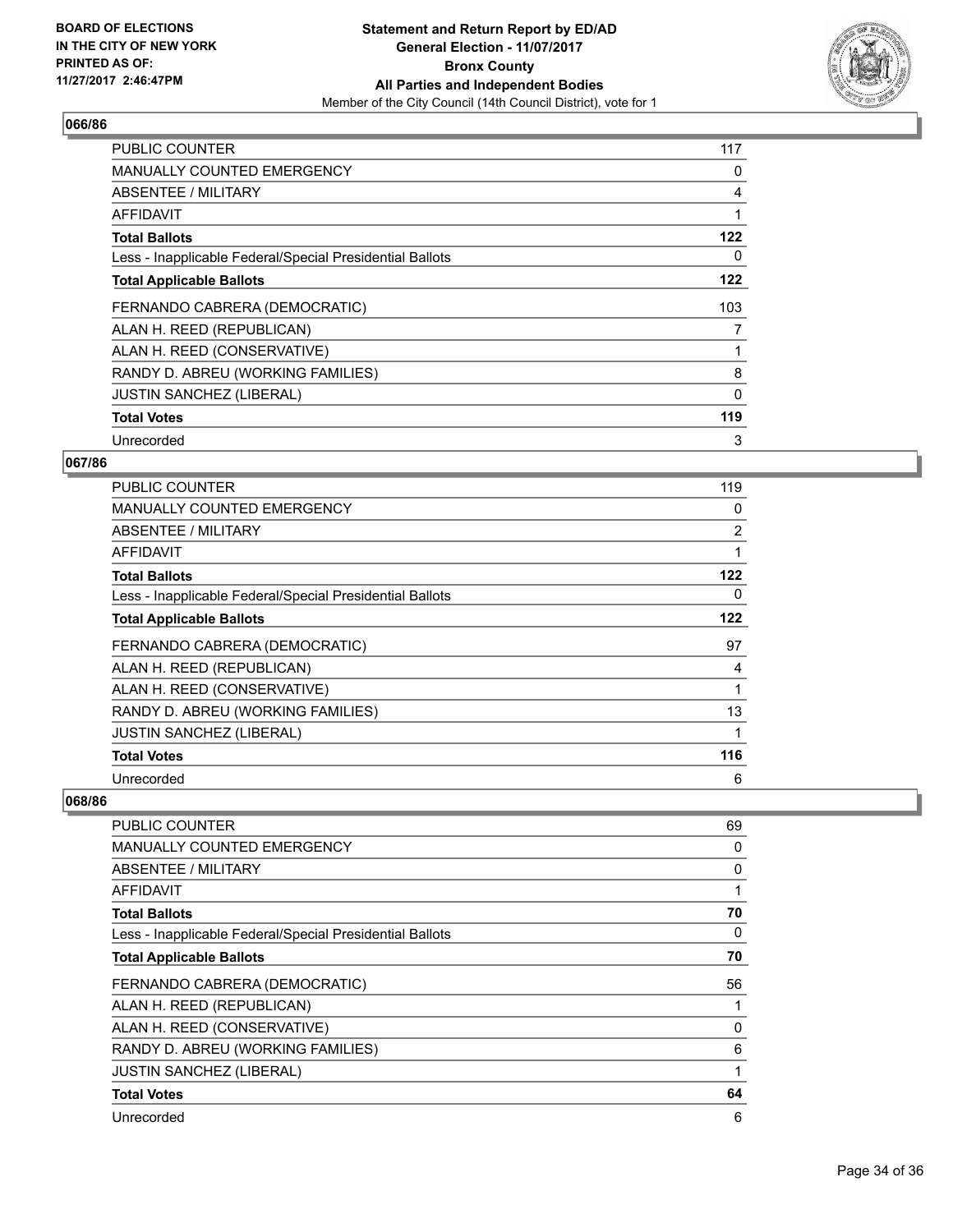

| <b>PUBLIC COUNTER</b>                                    | 117      |
|----------------------------------------------------------|----------|
| <b>MANUALLY COUNTED EMERGENCY</b>                        | 0        |
| ABSENTEE / MILITARY                                      | 4        |
| AFFIDAVIT                                                |          |
| <b>Total Ballots</b>                                     | 122      |
| Less - Inapplicable Federal/Special Presidential Ballots | 0        |
| <b>Total Applicable Ballots</b>                          | 122      |
| FERNANDO CABRERA (DEMOCRATIC)                            | 103      |
| ALAN H. REED (REPUBLICAN)                                | 7        |
| ALAN H. REED (CONSERVATIVE)                              |          |
| RANDY D. ABREU (WORKING FAMILIES)                        | 8        |
| <b>JUSTIN SANCHEZ (LIBERAL)</b>                          | $\Omega$ |
| <b>Total Votes</b>                                       | 119      |
| Unrecorded                                               | 3        |

## **067/86**

| PUBLIC COUNTER                                           | 119            |
|----------------------------------------------------------|----------------|
| <b>MANUALLY COUNTED EMERGENCY</b>                        | 0              |
| ABSENTEE / MILITARY                                      | $\overline{2}$ |
| AFFIDAVIT                                                |                |
| <b>Total Ballots</b>                                     | 122            |
| Less - Inapplicable Federal/Special Presidential Ballots | 0              |
| <b>Total Applicable Ballots</b>                          | 122            |
| FERNANDO CABRERA (DEMOCRATIC)                            | 97             |
| ALAN H. REED (REPUBLICAN)                                | 4              |
| ALAN H. REED (CONSERVATIVE)                              |                |
| RANDY D. ABREU (WORKING FAMILIES)                        | 13             |
| <b>JUSTIN SANCHEZ (LIBERAL)</b>                          |                |
| <b>Total Votes</b>                                       | 116            |
| Unrecorded                                               | 6              |

| <b>PUBLIC COUNTER</b>                                    | 69 |
|----------------------------------------------------------|----|
| <b>MANUALLY COUNTED EMERGENCY</b>                        | 0  |
| ABSENTEE / MILITARY                                      | 0  |
| AFFIDAVIT                                                | 1  |
| <b>Total Ballots</b>                                     | 70 |
| Less - Inapplicable Federal/Special Presidential Ballots | 0  |
| <b>Total Applicable Ballots</b>                          | 70 |
| FERNANDO CABRERA (DEMOCRATIC)                            | 56 |
| ALAN H. REED (REPUBLICAN)                                | 1  |
| ALAN H. REED (CONSERVATIVE)                              | 0  |
| RANDY D. ABREU (WORKING FAMILIES)                        | 6  |
| <b>JUSTIN SANCHEZ (LIBERAL)</b>                          | 1  |
| <b>Total Votes</b>                                       | 64 |
| Unrecorded                                               | 6  |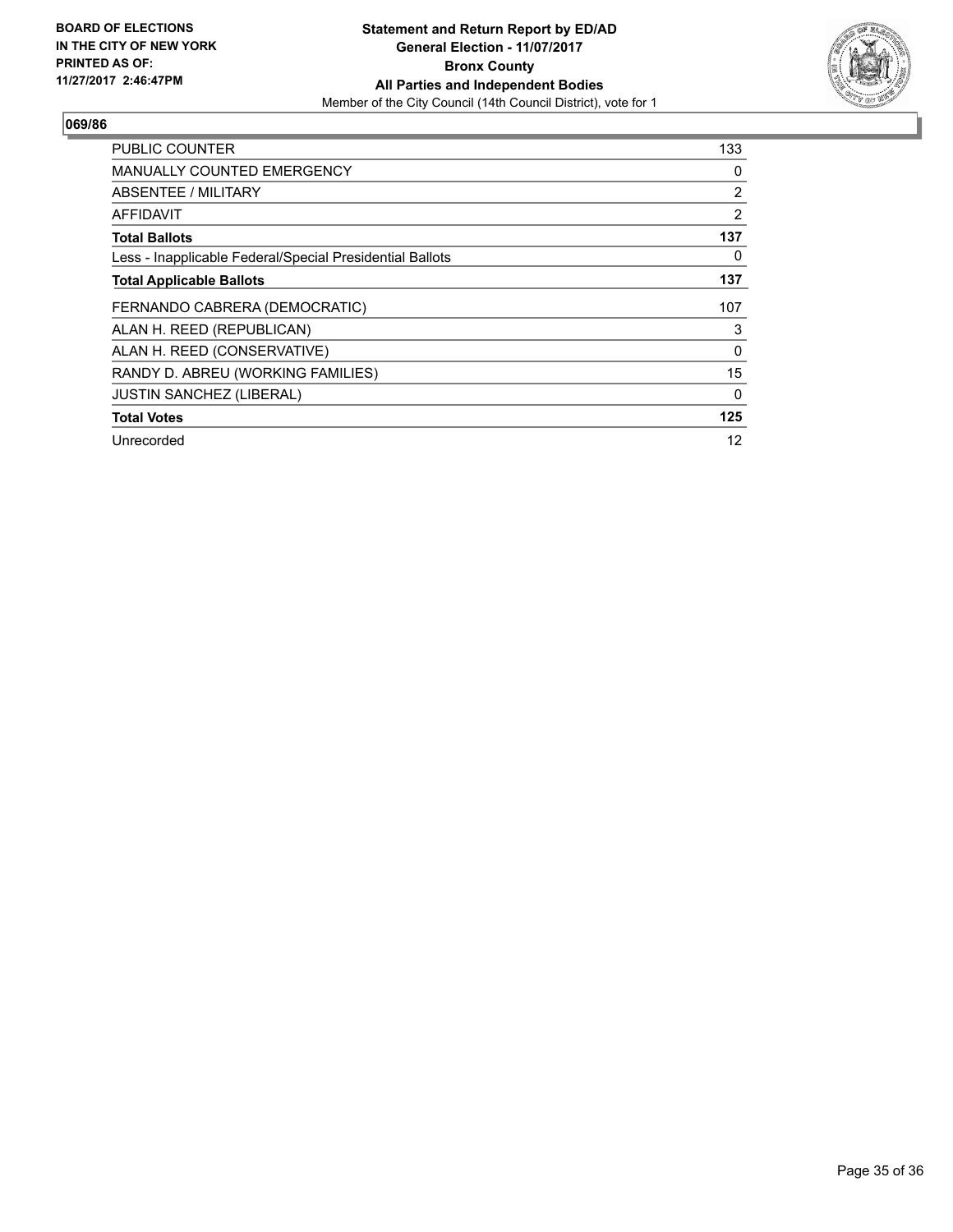

| <b>PUBLIC COUNTER</b>                                    | 133            |
|----------------------------------------------------------|----------------|
| <b>MANUALLY COUNTED EMERGENCY</b>                        | 0              |
| ABSENTEE / MILITARY                                      | $\overline{2}$ |
| AFFIDAVIT                                                | $\overline{2}$ |
| <b>Total Ballots</b>                                     | 137            |
| Less - Inapplicable Federal/Special Presidential Ballots | 0              |
| <b>Total Applicable Ballots</b>                          | 137            |
| FERNANDO CABRERA (DEMOCRATIC)                            | 107            |
|                                                          |                |
| ALAN H. REED (REPUBLICAN)                                | 3              |
| ALAN H. REED (CONSERVATIVE)                              | 0              |
| RANDY D. ABREU (WORKING FAMILIES)                        | 15             |
| <b>JUSTIN SANCHEZ (LIBERAL)</b>                          | 0              |
| <b>Total Votes</b>                                       | 125            |